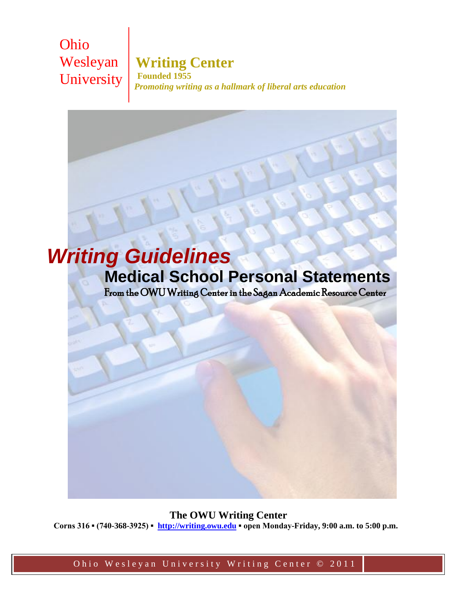#### **Writing Center Founded 1955** *Promoting writing as a hallmark of liberal arts education* Ohio Wesleyan **University**

# *Writing Guidelines*

**Medical School Personal Statements**

From the OWU Writing Center in the Sagan Academic Resource Center

**The OWU Writing Center Corns 316 ▪ (740-368-3925) ▪ [http://writing.owu.edu](http://writing.owu.edu/) ▪ open Monday-Friday, 9:00 a.m. to 5:00 p.m.**

Ohio Wesleyan University Writing Center © 2011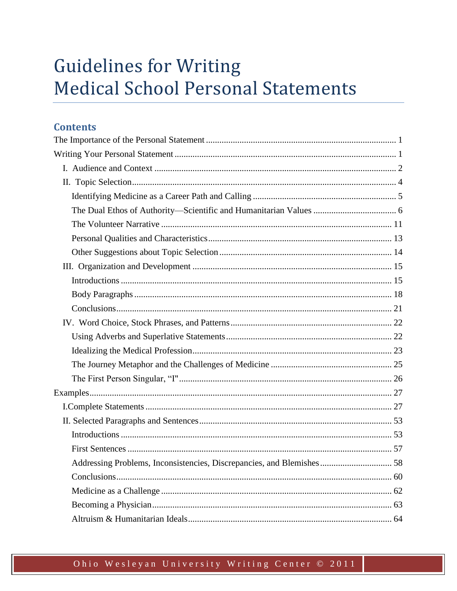# **Guidelines for Writing Medical School Personal Statements**

# **Contents**

| Addressing Problems, Inconsistencies, Discrepancies, and Blemishes 58 |  |
|-----------------------------------------------------------------------|--|
|                                                                       |  |
|                                                                       |  |
|                                                                       |  |
|                                                                       |  |

# Ohio Wesleyan University Writing Center © 2011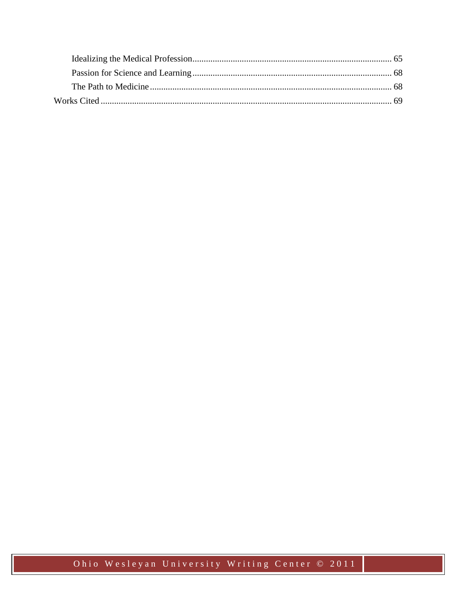Ohio Wesleyan University Writing Center © 2011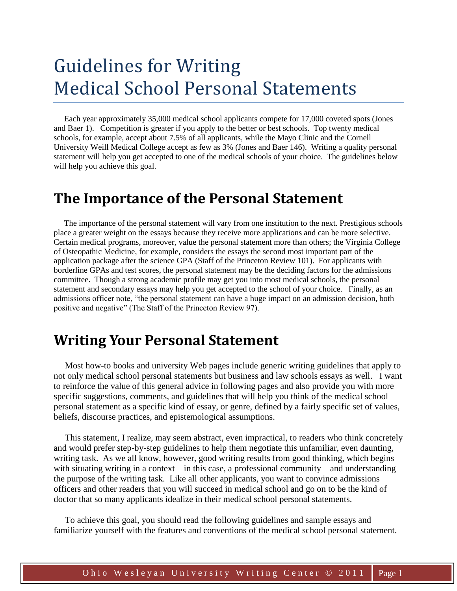# Guidelines for Writing Medical School Personal Statements

 Each year approximately 35,000 medical school applicants compete for 17,000 coveted spots (Jones and Baer 1). Competition is greater if you apply to the better or best schools. Top twenty medical schools, for example, accept about 7.5% of all applicants, while the Mayo Clinic and the Cornell University Weill Medical College accept as few as 3% (Jones and Baer 146). Writing a quality personal statement will help you get accepted to one of the medical schools of your choice. The guidelines below will help you achieve this goal.

# <span id="page-3-0"></span>**The Importance of the Personal Statement**

The importance of the personal statement will vary from one institution to the next. Prestigious schools place a greater weight on the essays because they receive more applications and can be more selective. Certain medical programs, moreover, value the personal statement more than others; the Virginia College of Osteopathic Medicine, for example, considers the essays the second most important part of the application package after the science GPA (Staff of the Princeton Review 101). For applicants with borderline GPAs and test scores, the personal statement may be the deciding factors for the admissions committee. Though a strong academic profile may get you into most medical schools, the personal statement and secondary essays may help you get accepted to the school of your choice. Finally, as an admissions officer note, "the personal statement can have a huge impact on an admission decision, both positive and negative" (The Staff of the Princeton Review 97).

# <span id="page-3-1"></span>**Writing Your Personal Statement**

Most how-to books and university Web pages include generic writing guidelines that apply to not only medical school personal statements but business and law schools essays as well. I want to reinforce the value of this general advice in following pages and also provide you with more specific suggestions, comments, and guidelines that will help you think of the medical school personal statement as a specific kind of essay, or genre, defined by a fairly specific set of values, beliefs, discourse practices, and epistemological assumptions.

 This statement, I realize, may seem abstract, even impractical, to readers who think concretely and would prefer step-by-step guidelines to help them negotiate this unfamiliar, even daunting, writing task. As we all know, however, good writing results from good thinking, which begins with situating writing in a context—in this case, a professional community—and understanding the purpose of the writing task. Like all other applicants, you want to convince admissions officers and other readers that you will succeed in medical school and go on to be the kind of doctor that so many applicants idealize in their medical school personal statements.

 To achieve this goal, you should read the following guidelines and sample essays and familiarize yourself with the features and conventions of the medical school personal statement.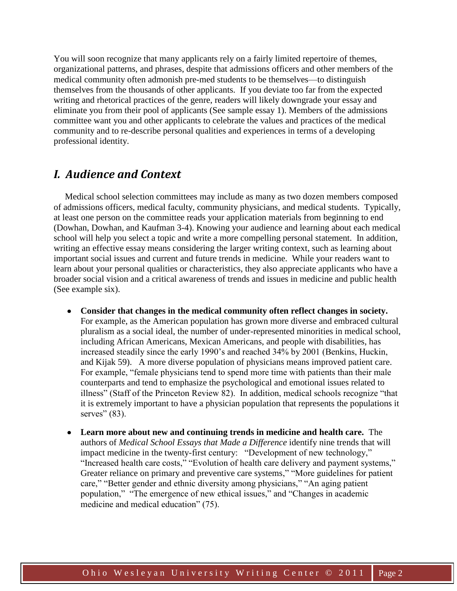You will soon recognize that many applicants rely on a fairly limited repertoire of themes, organizational patterns, and phrases, despite that admissions officers and other members of the medical community often admonish pre-med students to be themselves—to distinguish themselves from the thousands of other applicants. If you deviate too far from the expected writing and rhetorical practices of the genre, readers will likely downgrade your essay and eliminate you from their pool of applicants (See sample essay 1). Members of the admissions committee want you and other applicants to celebrate the values and practices of the medical community and to re-describe personal qualities and experiences in terms of a developing professional identity.

## <span id="page-4-0"></span>*I. Audience and Context*

Medical school selection committees may include as many as two dozen members composed of admissions officers, medical faculty, community physicians, and medical students. Typically, at least one person on the committee reads your application materials from beginning to end (Dowhan, Dowhan, and Kaufman 3-4). Knowing your audience and learning about each medical school will help you select a topic and write a more compelling personal statement. In addition, writing an effective essay means considering the larger writing context, such as learning about important social issues and current and future trends in medicine. While your readers want to learn about your personal qualities or characteristics, they also appreciate applicants who have a broader social vision and a critical awareness of trends and issues in medicine and public health (See example six).

- **Consider that changes in the medical community often reflect changes in society.**  For example, as the American population has grown more diverse and embraced cultural pluralism as a social ideal, the number of under-represented minorities in medical school, including African Americans, Mexican Americans, and people with disabilities, has increased steadily since the early 1990"s and reached 34% by 2001 (Benkins, Huckin, and Kijak 59). A more diverse population of physicians means improved patient care. For example, "female physicians tend to spend more time with patients than their male counterparts and tend to emphasize the psychological and emotional issues related to illness" (Staff of the Princeton Review 82). In addition, medical schools recognize "that it is extremely important to have a physician population that represents the populations it serves"  $(83)$ .
- **Learn more about new and continuing trends in medicine and health care.** The  $\bullet$ authors of *Medical School Essays that Made a Difference* identify nine trends that will impact medicine in the twenty-first century: "Development of new technology," "Increased health care costs," "Evolution of health care delivery and payment systems," Greater reliance on primary and preventive care systems," "More guidelines for patient care," "Better gender and ethnic diversity among physicians," "An aging patient population," "The emergence of new ethical issues," and "Changes in academic medicine and medical education" (75).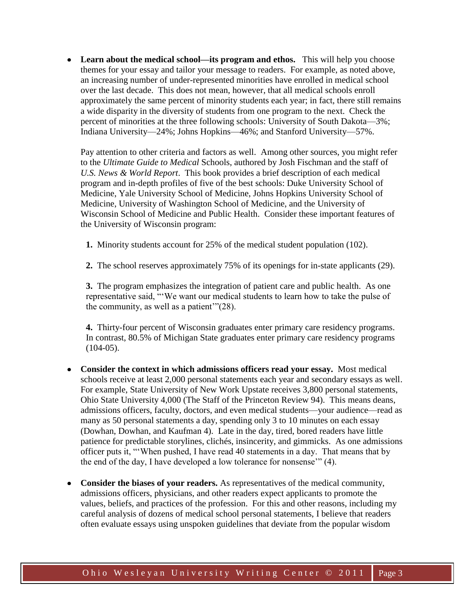• Learn about the medical school—its program and ethos. This will help you choose themes for your essay and tailor your message to readers. For example, as noted above, an increasing number of under-represented minorities have enrolled in medical school over the last decade. This does not mean, however, that all medical schools enroll approximately the same percent of minority students each year; in fact, there still remains a wide disparity in the diversity of students from one program to the next. Check the percent of minorities at the three following schools: University of South Dakota—3%; Indiana University—24%; Johns Hopkins—46%; and Stanford University—57%.

Pay attention to other criteria and factors as well. Among other sources, you might refer to the *Ultimate Guide to Medical* Schools, authored by Josh Fischman and the staff of *U.S. News & World Report*. This book provides a brief description of each medical program and in-depth profiles of five of the best schools: Duke University School of Medicine, Yale University School of Medicine, Johns Hopkins University School of Medicine, University of Washington School of Medicine, and the University of Wisconsin School of Medicine and Public Health. Consider these important features of the University of Wisconsin program:

- **1.** Minority students account for 25% of the medical student population (102).
- **2.** The school reserves approximately 75% of its openings for in-state applicants (29).

**3.** The program emphasizes the integration of patient care and public health. As one representative said, ""We want our medical students to learn how to take the pulse of the community, as well as a patient""(28).

**4.** Thirty-four percent of Wisconsin graduates enter primary care residency programs. In contrast, 80.5% of Michigan State graduates enter primary care residency programs  $(104-05)$ .

- **Consider the context in which admissions officers read your essay.** Most medical schools receive at least 2,000 personal statements each year and secondary essays as well. For example, State University of New Work Upstate receives 3,800 personal statements, Ohio State University 4,000 (The Staff of the Princeton Review 94). This means deans, admissions officers, faculty, doctors, and even medical students—your audience—read as many as 50 personal statements a day, spending only 3 to 10 minutes on each essay (Dowhan, Dowhan, and Kaufman 4). Late in the day, tired, bored readers have little patience for predictable storylines, clichés, insincerity, and gimmicks. As one admissions officer puts it, ""When pushed, I have read 40 statements in a day. That means that by the end of the day, I have developed a low tolerance for nonsense"" (4).
- **Consider the biases of your readers.** As representatives of the medical community, admissions officers, physicians, and other readers expect applicants to promote the values, beliefs, and practices of the profession. For this and other reasons, including my careful analysis of dozens of medical school personal statements, I believe that readers often evaluate essays using unspoken guidelines that deviate from the popular wisdom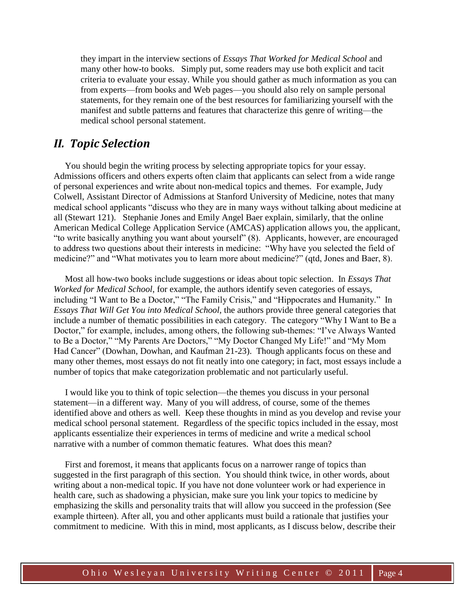they impart in the interview sections of *Essays That Worked for Medical School* and many other how-to books. Simply put, some readers may use both explicit and tacit criteria to evaluate your essay. While you should gather as much information as you can from experts—from books and Web pages—you should also rely on sample personal statements, for they remain one of the best resources for familiarizing yourself with the manifest and subtle patterns and features that characterize this genre of writing—the medical school personal statement.

### <span id="page-6-0"></span>*II. Topic Selection*

You should begin the writing process by selecting appropriate topics for your essay. Admissions officers and others experts often claim that applicants can select from a wide range of personal experiences and write about non-medical topics and themes. For example, Judy Colwell, Assistant Director of Admissions at Stanford University of Medicine, notes that many medical school applicants "discuss who they are in many ways without talking about medicine at all (Stewart 121). Stephanie Jones and Emily Angel Baer explain, similarly, that the online American Medical College Application Service (AMCAS) application allows you, the applicant, "to write basically anything you want about yourself" (8). Applicants, however, are encouraged to address two questions about their interests in medicine: "Why have you selected the field of medicine?" and "What motivates you to learn more about medicine?" (qtd, Jones and Baer, 8).

 Most all how-two books include suggestions or ideas about topic selection. In *Essays That Worked for Medical School*, for example, the authors identify seven categories of essays, including "I Want to Be a Doctor," "The Family Crisis," and "Hippocrates and Humanity." In *Essays That Will Get You into Medical School,* the authors provide three general categories that include a number of thematic possibilities in each category. The category "Why I Want to Be a Doctor," for example, includes, among others, the following sub-themes: "I"ve Always Wanted to Be a Doctor," "My Parents Are Doctors," "My Doctor Changed My Life!" and "My Mom Had Cancer" (Dowhan, Dowhan, and Kaufman 21-23). Though applicants focus on these and many other themes, most essays do not fit neatly into one category; in fact, most essays include a number of topics that make categorization problematic and not particularly useful.

 I would like you to think of topic selection—the themes you discuss in your personal statement—in a different way. Many of you will address, of course, some of the themes identified above and others as well. Keep these thoughts in mind as you develop and revise your medical school personal statement. Regardless of the specific topics included in the essay, most applicants essentialize their experiences in terms of medicine and write a medical school narrative with a number of common thematic features. What does this mean?

 First and foremost, it means that applicants focus on a narrower range of topics than suggested in the first paragraph of this section. You should think twice, in other words, about writing about a non-medical topic. If you have not done volunteer work or had experience in health care, such as shadowing a physician, make sure you link your topics to medicine by emphasizing the skills and personality traits that will allow you succeed in the profession (See example thirteen). After all, you and other applicants must build a rationale that justifies your commitment to medicine. With this in mind, most applicants, as I discuss below, describe their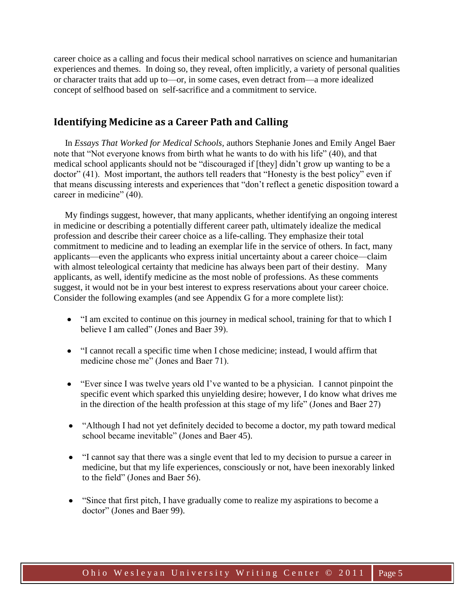career choice as a calling and focus their medical school narratives on science and humanitarian experiences and themes. In doing so, they reveal, often implicitly, a variety of personal qualities or character traits that add up to—or, in some cases, even detract from—a more idealized concept of selfhood based on self-sacrifice and a commitment to service.

#### <span id="page-7-0"></span>**Identifying Medicine as a Career Path and Calling**

 In *Essays That Worked for Medical Schools,* authors Stephanie Jones and Emily Angel Baer note that "Not everyone knows from birth what he wants to do with his life" (40), and that medical school applicants should not be "discouraged if [they] didn"t grow up wanting to be a doctor" (41). Most important, the authors tell readers that "Honesty is the best policy" even if that means discussing interests and experiences that "don"t reflect a genetic disposition toward a career in medicine" (40).

 My findings suggest, however, that many applicants, whether identifying an ongoing interest in medicine or describing a potentially different career path, ultimately idealize the medical profession and describe their career choice as a life-calling. They emphasize their total commitment to medicine and to leading an exemplar life in the service of others. In fact, many applicants—even the applicants who express initial uncertainty about a career choice—claim with almost teleological certainty that medicine has always been part of their destiny. Many applicants, as well, identify medicine as the most noble of professions. As these comments suggest, it would not be in your best interest to express reservations about your career choice. Consider the following examples (and see Appendix G for a more complete list):

- "I am excited to continue on this journey in medical school, training for that to which I believe I am called" (Jones and Baer 39).
- "I cannot recall a specific time when I chose medicine; instead, I would affirm that medicine chose me" (Jones and Baer 71).
- "Ever since I was twelve years old I"ve wanted to be a physician. I cannot pinpoint the specific event which sparked this unyielding desire; however, I do know what drives me in the direction of the health profession at this stage of my life" (Jones and Baer 27)
- "Although I had not yet definitely decided to become a doctor, my path toward medical school became inevitable" (Jones and Baer 45).
- "I cannot say that there was a single event that led to my decision to pursue a career in medicine, but that my life experiences, consciously or not, have been inexorably linked to the field" (Jones and Baer 56).
- "Since that first pitch, I have gradually come to realize my aspirations to become a doctor" (Jones and Baer 99).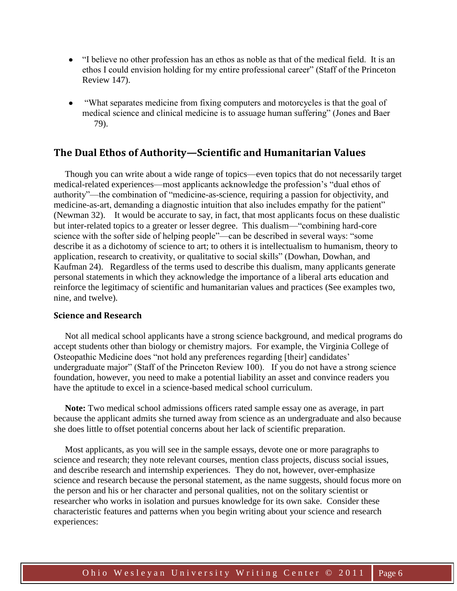- "I believe no other profession has an ethos as noble as that of the medical field. It is an ethos I could envision holding for my entire professional career" (Staff of the Princeton Review 147).
- "What separates medicine from fixing computers and motorcycles is that the goal of medical science and clinical medicine is to assuage human suffering" (Jones and Baer 79).

#### <span id="page-8-0"></span>**The Dual Ethos of Authority—Scientific and Humanitarian Values**

 Though you can write about a wide range of topics—even topics that do not necessarily target medical-related experiences—most applicants acknowledge the profession"s "dual ethos of authority"—the combination of "medicine-as-science, requiring a passion for objectivity, and medicine-as-art, demanding a diagnostic intuition that also includes empathy for the patient" (Newman 32). It would be accurate to say, in fact, that most applicants focus on these dualistic but inter-related topics to a greater or lesser degree. This dualism—"combining hard-core science with the softer side of helping people"—can be described in several ways: "some describe it as a dichotomy of science to art; to others it is intellectualism to humanism, theory to application, research to creativity, or qualitative to social skills" (Dowhan, Dowhan, and Kaufman 24). Regardless of the terms used to describe this dualism, many applicants generate personal statements in which they acknowledge the importance of a liberal arts education and reinforce the legitimacy of scientific and humanitarian values and practices (See examples two, nine, and twelve).

#### **Science and Research**

 Not all medical school applicants have a strong science background, and medical programs do accept students other than biology or chemistry majors. For example, the Virginia College of Osteopathic Medicine does "not hold any preferences regarding [their] candidates" undergraduate major" (Staff of the Princeton Review 100). If you do not have a strong science foundation, however, you need to make a potential liability an asset and convince readers you have the aptitude to excel in a science-based medical school curriculum.

 **Note:** Two medical school admissions officers rated sample essay one as average, in part because the applicant admits she turned away from science as an undergraduate and also because she does little to offset potential concerns about her lack of scientific preparation.

 Most applicants, as you will see in the sample essays, devote one or more paragraphs to science and research; they note relevant courses, mention class projects, discuss social issues, and describe research and internship experiences. They do not, however, over-emphasize science and research because the personal statement, as the name suggests, should focus more on the person and his or her character and personal qualities, not on the solitary scientist or researcher who works in isolation and pursues knowledge for its own sake. Consider these characteristic features and patterns when you begin writing about your science and research experiences: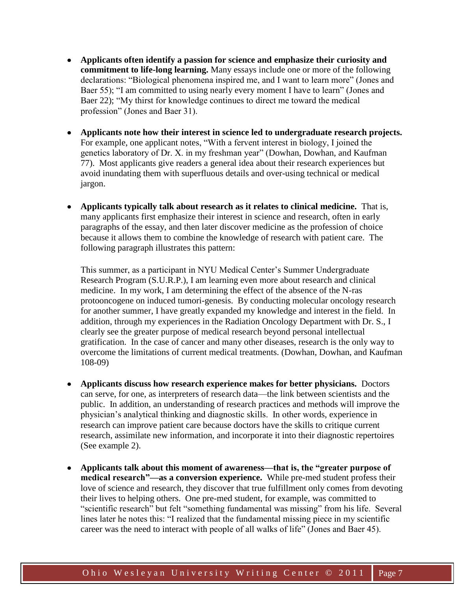- **Applicants often identify a passion for science and emphasize their curiosity and commitment to life-long learning.** Many essays include one or more of the following declarations: "Biological phenomena inspired me, and I want to learn more" (Jones and Baer 55); "I am committed to using nearly every moment I have to learn" (Jones and Baer 22); "My thirst for knowledge continues to direct me toward the medical profession" (Jones and Baer 31).
- **Applicants note how their interest in science led to undergraduate research projects.**  For example, one applicant notes, "With a fervent interest in biology, I joined the genetics laboratory of Dr. X. in my freshman year" (Dowhan, Dowhan, and Kaufman 77). Most applicants give readers a general idea about their research experiences but avoid inundating them with superfluous details and over-using technical or medical jargon.
- **Applicants typically talk about research as it relates to clinical medicine.** That is, many applicants first emphasize their interest in science and research, often in early paragraphs of the essay, and then later discover medicine as the profession of choice because it allows them to combine the knowledge of research with patient care. The following paragraph illustrates this pattern:

This summer, as a participant in NYU Medical Center"s Summer Undergraduate Research Program (S.U.R.P.), I am learning even more about research and clinical medicine. In my work, I am determining the effect of the absence of the N-ras protooncogene on induced tumori-genesis. By conducting molecular oncology research for another summer, I have greatly expanded my knowledge and interest in the field. In addition, through my experiences in the Radiation Oncology Department with Dr. S., I clearly see the greater purpose of medical research beyond personal intellectual gratification. In the case of cancer and many other diseases, research is the only way to overcome the limitations of current medical treatments. (Dowhan, Dowhan, and Kaufman 108-09)

- **Applicants discuss how research experience makes for better physicians.** Doctors can serve, for one, as interpreters of research data—the link between scientists and the public. In addition, an understanding of research practices and methods will improve the physician"s analytical thinking and diagnostic skills. In other words, experience in research can improve patient care because doctors have the skills to critique current research, assimilate new information, and incorporate it into their diagnostic repertoires (See example 2).
- **Applicants talk about this moment of awareness—that is, the "greater purpose of medical research"—as a conversion experience.** While pre-med student profess their love of science and research, they discover that true fulfillment only comes from devoting their lives to helping others. One pre-med student, for example, was committed to "scientific research" but felt "something fundamental was missing" from his life. Several lines later he notes this: "I realized that the fundamental missing piece in my scientific career was the need to interact with people of all walks of life" (Jones and Baer 45).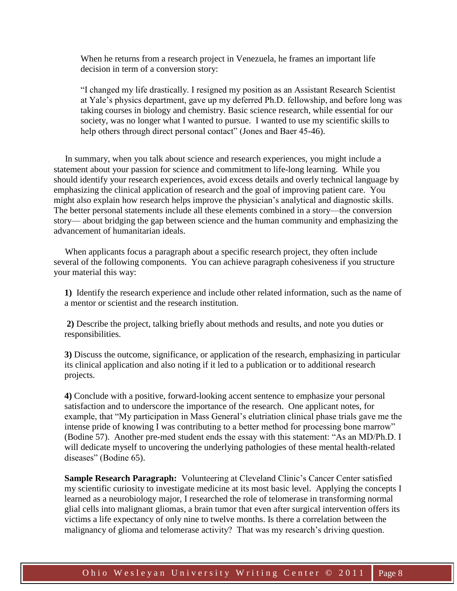When he returns from a research project in Venezuela, he frames an important life decision in term of a conversion story:

"I changed my life drastically. I resigned my position as an Assistant Research Scientist at Yale"s physics department, gave up my deferred Ph.D. fellowship, and before long was taking courses in biology and chemistry. Basic science research, while essential for our society, was no longer what I wanted to pursue. I wanted to use my scientific skills to help others through direct personal contact" (Jones and Baer 45-46).

 In summary, when you talk about science and research experiences, you might include a statement about your passion for science and commitment to life-long learning. While you should identify your research experiences, avoid excess details and overly technical language by emphasizing the clinical application of research and the goal of improving patient care. You might also explain how research helps improve the physician"s analytical and diagnostic skills. The better personal statements include all these elements combined in a story—the conversion story— about bridging the gap between science and the human community and emphasizing the advancement of humanitarian ideals.

 When applicants focus a paragraph about a specific research project, they often include several of the following components. You can achieve paragraph cohesiveness if you structure your material this way:

**1)** Identify the research experience and include other related information, such as the name of a mentor or scientist and the research institution.

**2)** Describe the project, talking briefly about methods and results, and note you duties or responsibilities.

**3)** Discuss the outcome, significance, or application of the research, emphasizing in particular its clinical application and also noting if it led to a publication or to additional research projects.

**4)** Conclude with a positive, forward-looking accent sentence to emphasize your personal satisfaction and to underscore the importance of the research. One applicant notes, for example, that "My participation in Mass General's elutriation clinical phase trials gave me the intense pride of knowing I was contributing to a better method for processing bone marrow" (Bodine 57). Another pre-med student ends the essay with this statement: "As an MD/Ph.D. I will dedicate myself to uncovering the underlying pathologies of these mental health-related diseases" (Bodine 65).

**Sample Research Paragraph:** Volunteering at Cleveland Clinic's Cancer Center satisfied my scientific curiosity to investigate medicine at its most basic level. Applying the concepts I learned as a neurobiology major, I researched the role of telomerase in transforming normal glial cells into malignant gliomas, a brain tumor that even after surgical intervention offers its victims a life expectancy of only nine to twelve months. Is there a correlation between the malignancy of glioma and telomerase activity? That was my research's driving question.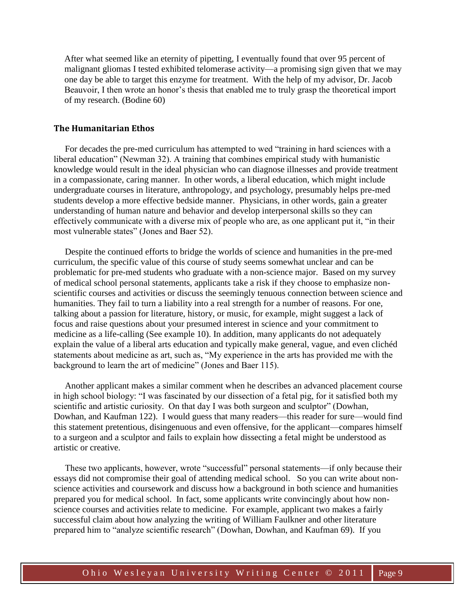After what seemed like an eternity of pipetting, I eventually found that over 95 percent of malignant gliomas I tested exhibited telomerase activity—a promising sign given that we may one day be able to target this enzyme for treatment. With the help of my advisor, Dr. Jacob Beauvoir, I then wrote an honor's thesis that enabled me to truly grasp the theoretical import of my research. (Bodine 60)

#### **The Humanitarian Ethos**

 For decades the pre-med curriculum has attempted to wed "training in hard sciences with a liberal education" (Newman 32). A training that combines empirical study with humanistic knowledge would result in the ideal physician who can diagnose illnesses and provide treatment in a compassionate, caring manner. In other words, a liberal education, which might include undergraduate courses in literature, anthropology, and psychology, presumably helps pre-med students develop a more effective bedside manner. Physicians, in other words, gain a greater understanding of human nature and behavior and develop interpersonal skills so they can effectively communicate with a diverse mix of people who are, as one applicant put it, "in their most vulnerable states" (Jones and Baer 52).

 Despite the continued efforts to bridge the worlds of science and humanities in the pre-med curriculum, the specific value of this course of study seems somewhat unclear and can be problematic for pre-med students who graduate with a non-science major. Based on my survey of medical school personal statements, applicants take a risk if they choose to emphasize nonscientific courses and activities or discuss the seemingly tenuous connection between science and humanities. They fail to turn a liability into a real strength for a number of reasons. For one, talking about a passion for literature, history, or music, for example, might suggest a lack of focus and raise questions about your presumed interest in science and your commitment to medicine as a life-calling (See example 10). In addition, many applicants do not adequately explain the value of a liberal arts education and typically make general, vague, and even clichéd statements about medicine as art, such as, "My experience in the arts has provided me with the background to learn the art of medicine" (Jones and Baer 115).

 Another applicant makes a similar comment when he describes an advanced placement course in high school biology: "I was fascinated by our dissection of a fetal pig, for it satisfied both my scientific and artistic curiosity. On that day I was both surgeon and sculptor" (Dowhan, Dowhan, and Kaufman 122). I would guess that many readers—this reader for sure—would find this statement pretentious, disingenuous and even offensive, for the applicant—compares himself to a surgeon and a sculptor and fails to explain how dissecting a fetal might be understood as artistic or creative.

 These two applicants, however, wrote "successful" personal statements—if only because their essays did not compromise their goal of attending medical school. So you can write about nonscience activities and coursework and discuss how a background in both science and humanities prepared you for medical school. In fact, some applicants write convincingly about how nonscience courses and activities relate to medicine. For example, applicant two makes a fairly successful claim about how analyzing the writing of William Faulkner and other literature prepared him to "analyze scientific research" (Dowhan, Dowhan, and Kaufman 69). If you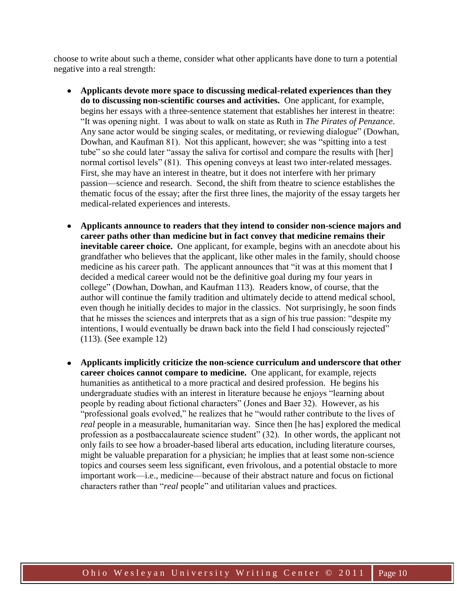choose to write about such a theme, consider what other applicants have done to turn a potential negative into a real strength:

- **Applicants devote more space to discussing medical-related experiences than they do to discussing non-scientific courses and activities.** One applicant, for example, begins her essays with a three-sentence statement that establishes her interest in theatre: "It was opening night. I was about to walk on state as Ruth in *The Pirates of Penzance*. Any sane actor would be singing scales, or meditating, or reviewing dialogue" (Dowhan, Dowhan, and Kaufman 81). Not this applicant, however; she was "spitting into a test tube" so she could later "assay the saliva for cortisol and compare the results with [her] normal cortisol levels" (81). This opening conveys at least two inter-related messages. First, she may have an interest in theatre, but it does not interfere with her primary passion—science and research. Second, the shift from theatre to science establishes the thematic focus of the essay; after the first three lines, the majority of the essay targets her medical-related experiences and interests.
- **Applicants announce to readers that they intend to consider non-science majors and career paths other than medicine but in fact convey that medicine remains their inevitable career choice.** One applicant, for example, begins with an anecdote about his grandfather who believes that the applicant, like other males in the family, should choose medicine as his career path. The applicant announces that "it was at this moment that I decided a medical career would not be the definitive goal during my four years in college" (Dowhan, Dowhan, and Kaufman 113). Readers know, of course, that the author will continue the family tradition and ultimately decide to attend medical school, even though he initially decides to major in the classics. Not surprisingly, he soon finds that he misses the sciences and interprets that as a sign of his true passion: "despite my intentions, I would eventually be drawn back into the field I had consciously rejected" (113). (See example 12)
- **Applicants implicitly criticize the non-science curriculum and underscore that other**   $\bullet$ **career choices cannot compare to medicine.** One applicant, for example, rejects humanities as antithetical to a more practical and desired profession. He begins his undergraduate studies with an interest in literature because he enjoys "learning about people by reading about fictional characters" (Jones and Baer 32). However, as his "professional goals evolved," he realizes that he "would rather contribute to the lives of *real* people in a measurable, humanitarian way. Since then [he has] explored the medical profession as a postbaccalaureate science student" (32). In other words, the applicant not only fails to see how a broader-based liberal arts education, including literature courses, might be valuable preparation for a physician; he implies that at least some non-science topics and courses seem less significant, even frivolous, and a potential obstacle to more important work—i.e., medicine—because of their abstract nature and focus on fictional characters rather than "*real* people" and utilitarian values and practices.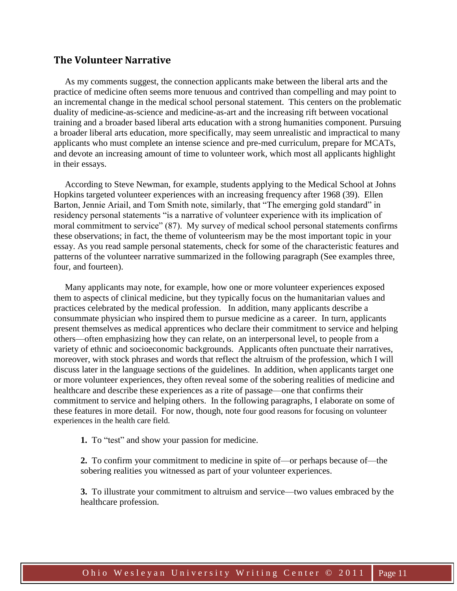#### <span id="page-13-0"></span>**The Volunteer Narrative**

 As my comments suggest, the connection applicants make between the liberal arts and the practice of medicine often seems more tenuous and contrived than compelling and may point to an incremental change in the medical school personal statement. This centers on the problematic duality of medicine-as-science and medicine-as-art and the increasing rift between vocational training and a broader based liberal arts education with a strong humanities component. Pursuing a broader liberal arts education, more specifically, may seem unrealistic and impractical to many applicants who must complete an intense science and pre-med curriculum, prepare for MCATs, and devote an increasing amount of time to volunteer work, which most all applicants highlight in their essays.

 According to Steve Newman, for example, students applying to the Medical School at Johns Hopkins targeted volunteer experiences with an increasing frequency after 1968 (39). Ellen Barton, Jennie Ariail, and Tom Smith note, similarly, that "The emerging gold standard" in residency personal statements "is a narrative of volunteer experience with its implication of moral commitment to service" (87). My survey of medical school personal statements confirms these observations; in fact, the theme of volunteerism may be the most important topic in your essay. As you read sample personal statements, check for some of the characteristic features and patterns of the volunteer narrative summarized in the following paragraph (See examples three, four, and fourteen).

 Many applicants may note, for example, how one or more volunteer experiences exposed them to aspects of clinical medicine, but they typically focus on the humanitarian values and practices celebrated by the medical profession. In addition, many applicants describe a consummate physician who inspired them to pursue medicine as a career. In turn, applicants present themselves as medical apprentices who declare their commitment to service and helping others—often emphasizing how they can relate, on an interpersonal level, to people from a variety of ethnic and socioeconomic backgrounds. Applicants often punctuate their narratives, moreover, with stock phrases and words that reflect the altruism of the profession, which I will discuss later in the language sections of the guidelines. In addition, when applicants target one or more volunteer experiences, they often reveal some of the sobering realities of medicine and healthcare and describe these experiences as a rite of passage—one that confirms their commitment to service and helping others. In the following paragraphs, I elaborate on some of these features in more detail. For now, though, note four good reasons for focusing on volunteer experiences in the health care field.

**1.** To "test" and show your passion for medicine.

**2.** To confirm your commitment to medicine in spite of—or perhaps because of—the sobering realities you witnessed as part of your volunteer experiences.

**3.** To illustrate your commitment to altruism and service—two values embraced by the healthcare profession.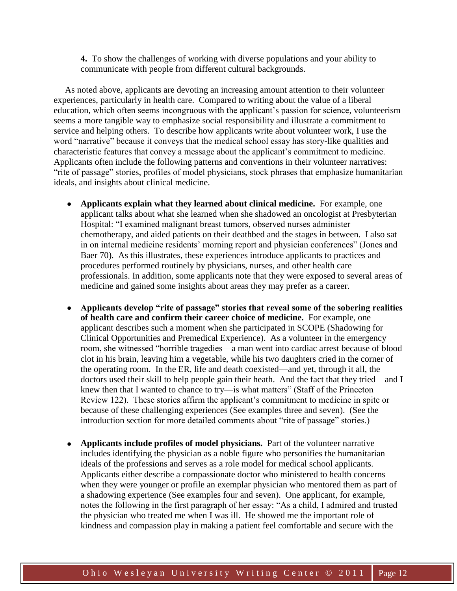**4.** To show the challenges of working with diverse populations and your ability to communicate with people from different cultural backgrounds.

 As noted above, applicants are devoting an increasing amount attention to their volunteer experiences, particularly in health care. Compared to writing about the value of a liberal education, which often seems incongruous with the applicant's passion for science, volunteerism seems a more tangible way to emphasize social responsibility and illustrate a commitment to service and helping others. To describe how applicants write about volunteer work, I use the word "narrative" because it conveys that the medical school essay has story-like qualities and characteristic features that convey a message about the applicant"s commitment to medicine. Applicants often include the following patterns and conventions in their volunteer narratives: "rite of passage" stories, profiles of model physicians, stock phrases that emphasize humanitarian ideals, and insights about clinical medicine.

- **Applicants explain what they learned about clinical medicine.** For example, one applicant talks about what she learned when she shadowed an oncologist at Presbyterian Hospital: "I examined malignant breast tumors, observed nurses administer chemotherapy, and aided patients on their deathbed and the stages in between. I also sat in on internal medicine residents' morning report and physician conferences" (Jones and Baer 70). As this illustrates, these experiences introduce applicants to practices and procedures performed routinely by physicians, nurses, and other health care professionals. In addition, some applicants note that they were exposed to several areas of medicine and gained some insights about areas they may prefer as a career.
- **Applicants develop "rite of passage" stories that reveal some of the sobering realities of health care and confirm their career choice of medicine.** For example, one applicant describes such a moment when she participated in SCOPE (Shadowing for Clinical Opportunities and Premedical Experience). As a volunteer in the emergency room, she witnessed "horrible tragedies—a man went into cardiac arrest because of blood clot in his brain, leaving him a vegetable, while his two daughters cried in the corner of the operating room. In the ER, life and death coexisted—and yet, through it all, the doctors used their skill to help people gain their heath. And the fact that they tried—and I knew then that I wanted to chance to try—is what matters" (Staff of the Princeton Review 122). These stories affirm the applicant's commitment to medicine in spite or because of these challenging experiences (See examples three and seven). (See the introduction section for more detailed comments about "rite of passage" stories.)
- **Applicants include profiles of model physicians.** Part of the volunteer narrative includes identifying the physician as a noble figure who personifies the humanitarian ideals of the professions and serves as a role model for medical school applicants. Applicants either describe a compassionate doctor who ministered to health concerns when they were younger or profile an exemplar physician who mentored them as part of a shadowing experience (See examples four and seven). One applicant, for example, notes the following in the first paragraph of her essay: "As a child, I admired and trusted the physician who treated me when I was ill. He showed me the important role of kindness and compassion play in making a patient feel comfortable and secure with the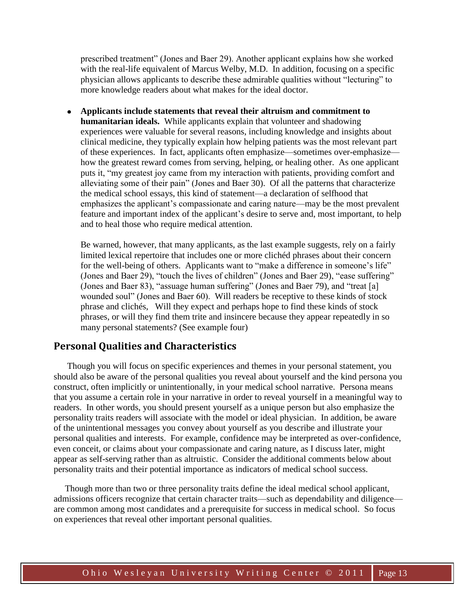prescribed treatment" (Jones and Baer 29). Another applicant explains how she worked with the real-life equivalent of Marcus Welby, M.D. In addition, focusing on a specific physician allows applicants to describe these admirable qualities without "lecturing" to more knowledge readers about what makes for the ideal doctor.

**Applicants include statements that reveal their altruism and commitment to humanitarian ideals.** While applicants explain that volunteer and shadowing experiences were valuable for several reasons, including knowledge and insights about clinical medicine, they typically explain how helping patients was the most relevant part of these experiences. In fact, applicants often emphasize—sometimes over-emphasize how the greatest reward comes from serving, helping, or healing other. As one applicant puts it, "my greatest joy came from my interaction with patients, providing comfort and alleviating some of their pain" (Jones and Baer 30). Of all the patterns that characterize the medical school essays, this kind of statement—a declaration of selfhood that emphasizes the applicant's compassionate and caring nature—may be the most prevalent feature and important index of the applicant's desire to serve and, most important, to help and to heal those who require medical attention.

Be warned, however, that many applicants, as the last example suggests, rely on a fairly limited lexical repertoire that includes one or more clichéd phrases about their concern for the well-being of others. Applicants want to "make a difference in someone's life" (Jones and Baer 29), "touch the lives of children" (Jones and Baer 29), "ease suffering" (Jones and Baer 83), "assuage human suffering" (Jones and Baer 79), and "treat [a] wounded soul" (Jones and Baer 60). Will readers be receptive to these kinds of stock phrase and clichés, Will they expect and perhaps hope to find these kinds of stock phrases, or will they find them trite and insincere because they appear repeatedly in so many personal statements? (See example four)

#### <span id="page-15-0"></span>**Personal Qualities and Characteristics**

 Though you will focus on specific experiences and themes in your personal statement, you should also be aware of the personal qualities you reveal about yourself and the kind persona you construct, often implicitly or unintentionally, in your medical school narrative. Persona means that you assume a certain role in your narrative in order to reveal yourself in a meaningful way to readers. In other words, you should present yourself as a unique person but also emphasize the personality traits readers will associate with the model or ideal physician. In addition, be aware of the unintentional messages you convey about yourself as you describe and illustrate your personal qualities and interests. For example, confidence may be interpreted as over-confidence, even conceit, or claims about your compassionate and caring nature, as I discuss later, might appear as self-serving rather than as altruistic. Consider the additional comments below about personality traits and their potential importance as indicators of medical school success.

 Though more than two or three personality traits define the ideal medical school applicant, admissions officers recognize that certain character traits—such as dependability and diligence are common among most candidates and a prerequisite for success in medical school. So focus on experiences that reveal other important personal qualities.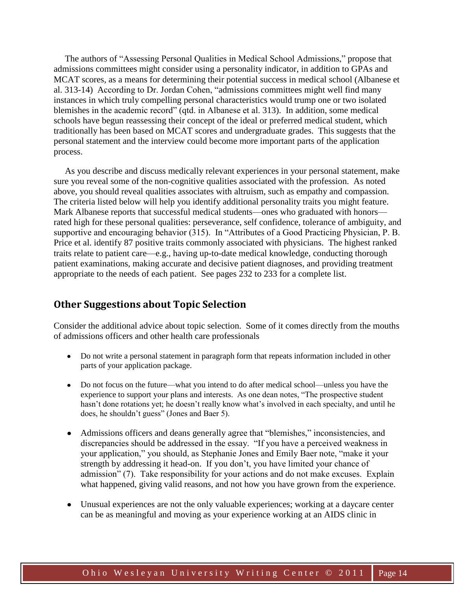The authors of "Assessing Personal Qualities in Medical School Admissions," propose that admissions committees might consider using a personality indicator, in addition to GPAs and MCAT scores, as a means for determining their potential success in medical school (Albanese et al. 313-14) According to Dr. Jordan Cohen, "admissions committees might well find many instances in which truly compelling personal characteristics would trump one or two isolated blemishes in the academic record" (qtd. in Albanese et al. 313). In addition, some medical schools have begun reassessing their concept of the ideal or preferred medical student, which traditionally has been based on MCAT scores and undergraduate grades. This suggests that the personal statement and the interview could become more important parts of the application process.

 As you describe and discuss medically relevant experiences in your personal statement, make sure you reveal some of the non-cognitive qualities associated with the profession. As noted above, you should reveal qualities associates with altruism, such as empathy and compassion. The criteria listed below will help you identify additional personality traits you might feature. Mark Albanese reports that successful medical students—ones who graduated with honors rated high for these personal qualities: perseverance, self confidence, tolerance of ambiguity, and supportive and encouraging behavior (315). In "Attributes of a Good Practicing Physician, P. B. Price et al. identify 87 positive traits commonly associated with physicians. The highest ranked traits relate to patient care—e.g., having up-to-date medical knowledge, conducting thorough patient examinations, making accurate and decisive patient diagnoses, and providing treatment appropriate to the needs of each patient. See pages 232 to 233 for a complete list.

#### <span id="page-16-0"></span>**Other Suggestions about Topic Selection**

Consider the additional advice about topic selection. Some of it comes directly from the mouths of admissions officers and other health care professionals

- Do not write a personal statement in paragraph form that repeats information included in other parts of your application package.
- Do not focus on the future—what you intend to do after medical school—unless you have the experience to support your plans and interests. As one dean notes, "The prospective student hasn't done rotations yet; he doesn't really know what's involved in each specialty, and until he does, he shouldn"t guess" (Jones and Baer 5).
- Admissions officers and deans generally agree that "blemishes," inconsistencies, and discrepancies should be addressed in the essay. "If you have a perceived weakness in your application," you should, as Stephanie Jones and Emily Baer note, "make it your strength by addressing it head-on. If you don't, you have limited your chance of admission" (7). Take responsibility for your actions and do not make excuses. Explain what happened, giving valid reasons, and not how you have grown from the experience.
- Unusual experiences are not the only valuable experiences; working at a daycare center can be as meaningful and moving as your experience working at an AIDS clinic in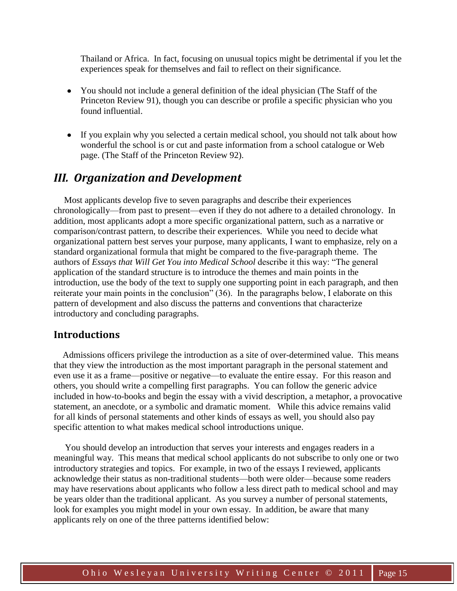Thailand or Africa. In fact, focusing on unusual topics might be detrimental if you let the experiences speak for themselves and fail to reflect on their significance.

- You should not include a general definition of the ideal physician (The Staff of the Princeton Review 91), though you can describe or profile a specific physician who you found influential.
- If you explain why you selected a certain medical school, you should not talk about how wonderful the school is or cut and paste information from a school catalogue or Web page. (The Staff of the Princeton Review 92).

## <span id="page-17-0"></span>*III. Organization and Development*

 Most applicants develop five to seven paragraphs and describe their experiences chronologically—from past to present—even if they do not adhere to a detailed chronology. In addition, most applicants adopt a more specific organizational pattern, such as a narrative or comparison/contrast pattern, to describe their experiences. While you need to decide what organizational pattern best serves your purpose, many applicants, I want to emphasize, rely on a standard organizational formula that might be compared to the five-paragraph theme. The authors of *Essays that Will Get You into Medical School* describe it this way: "The general application of the standard structure is to introduce the themes and main points in the introduction, use the body of the text to supply one supporting point in each paragraph, and then reiterate your main points in the conclusion" (36). In the paragraphs below, I elaborate on this pattern of development and also discuss the patterns and conventions that characterize introductory and concluding paragraphs.

#### <span id="page-17-1"></span>**Introductions**

 Admissions officers privilege the introduction as a site of over-determined value. This means that they view the introduction as the most important paragraph in the personal statement and even use it as a frame—positive or negative—to evaluate the entire essay. For this reason and others, you should write a compelling first paragraphs. You can follow the generic advice included in how-to-books and begin the essay with a vivid description, a metaphor, a provocative statement, an anecdote, or a symbolic and dramatic moment. While this advice remains valid for all kinds of personal statements and other kinds of essays as well, you should also pay specific attention to what makes medical school introductions unique.

 You should develop an introduction that serves your interests and engages readers in a meaningful way. This means that medical school applicants do not subscribe to only one or two introductory strategies and topics. For example, in two of the essays I reviewed, applicants acknowledge their status as non-traditional students—both were older—because some readers may have reservations about applicants who follow a less direct path to medical school and may be years older than the traditional applicant. As you survey a number of personal statements, look for examples you might model in your own essay. In addition, be aware that many applicants rely on one of the three patterns identified below: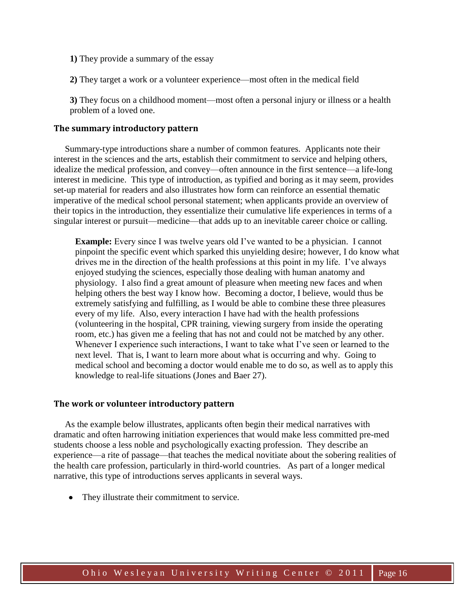**1)** They provide a summary of the essay

**2)** They target a work or a volunteer experience—most often in the medical field

**3)** They focus on a childhood moment—most often a personal injury or illness or a health problem of a loved one.

#### **The summary introductory pattern**

 Summary-type introductions share a number of common features. Applicants note their interest in the sciences and the arts, establish their commitment to service and helping others, idealize the medical profession, and convey—often announce in the first sentence—a life-long interest in medicine. This type of introduction, as typified and boring as it may seem, provides set-up material for readers and also illustrates how form can reinforce an essential thematic imperative of the medical school personal statement; when applicants provide an overview of their topics in the introduction, they essentialize their cumulative life experiences in terms of a singular interest or pursuit—medicine—that adds up to an inevitable career choice or calling.

**Example:** Every since I was twelve years old I've wanted to be a physician. I cannot pinpoint the specific event which sparked this unyielding desire; however, I do know what drives me in the direction of the health professions at this point in my life. I"ve always enjoyed studying the sciences, especially those dealing with human anatomy and physiology. I also find a great amount of pleasure when meeting new faces and when helping others the best way I know how. Becoming a doctor, I believe, would thus be extremely satisfying and fulfilling, as I would be able to combine these three pleasures every of my life. Also, every interaction I have had with the health professions (volunteering in the hospital, CPR training, viewing surgery from inside the operating room, etc.) has given me a feeling that has not and could not be matched by any other. Whenever I experience such interactions, I want to take what I've seen or learned to the next level. That is, I want to learn more about what is occurring and why. Going to medical school and becoming a doctor would enable me to do so, as well as to apply this knowledge to real-life situations (Jones and Baer 27).

#### **The work or volunteer introductory pattern**

 As the example below illustrates, applicants often begin their medical narratives with dramatic and often harrowing initiation experiences that would make less committed pre-med students choose a less noble and psychologically exacting profession. They describe an experience—a rite of passage—that teaches the medical novitiate about the sobering realities of the health care profession, particularly in third-world countries. As part of a longer medical narrative, this type of introductions serves applicants in several ways.

• They illustrate their commitment to service.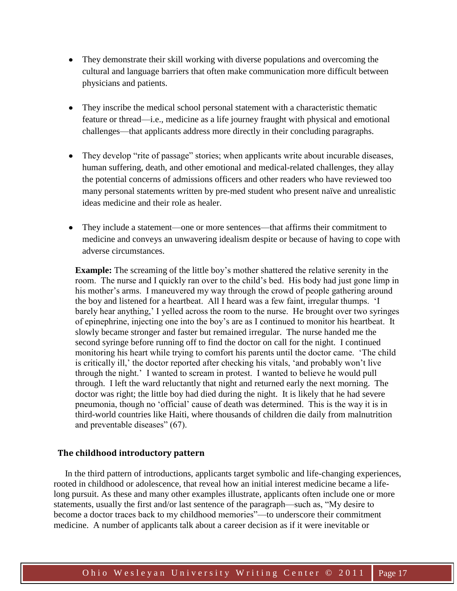- They demonstrate their skill working with diverse populations and overcoming the cultural and language barriers that often make communication more difficult between physicians and patients.
- They inscribe the medical school personal statement with a characteristic thematic feature or thread—i.e., medicine as a life journey fraught with physical and emotional challenges—that applicants address more directly in their concluding paragraphs.
- They develop "rite of passage" stories; when applicants write about incurable diseases, human suffering, death, and other emotional and medical-related challenges, they allay the potential concerns of admissions officers and other readers who have reviewed too many personal statements written by pre-med student who present naïve and unrealistic ideas medicine and their role as healer.
- They include a statement—one or more sentences—that affirms their commitment to medicine and conveys an unwavering idealism despite or because of having to cope with adverse circumstances.

**Example:** The screaming of the little boy's mother shattered the relative serenity in the room. The nurse and I quickly ran over to the child"s bed. His body had just gone limp in his mother's arms. I maneuvered my way through the crowd of people gathering around the boy and listened for a heartbeat. All I heard was a few faint, irregular thumps. "I barely hear anything," I yelled across the room to the nurse. He brought over two syringes of epinephrine, injecting one into the boy"s are as I continued to monitor his heartbeat. It slowly became stronger and faster but remained irregular. The nurse handed me the second syringe before running off to find the doctor on call for the night. I continued monitoring his heart while trying to comfort his parents until the doctor came. "The child is critically ill,' the doctor reported after checking his vitals, 'and probably won't live through the night." I wanted to scream in protest. I wanted to believe he would pull through. I left the ward reluctantly that night and returned early the next morning. The doctor was right; the little boy had died during the night. It is likely that he had severe pneumonia, though no "official" cause of death was determined. This is the way it is in third-world countries like Haiti, where thousands of children die daily from malnutrition and preventable diseases" (67).

#### **The childhood introductory pattern**

 In the third pattern of introductions, applicants target symbolic and life-changing experiences, rooted in childhood or adolescence, that reveal how an initial interest medicine became a lifelong pursuit. As these and many other examples illustrate, applicants often include one or more statements, usually the first and/or last sentence of the paragraph—such as, "My desire to become a doctor traces back to my childhood memories"—to underscore their commitment medicine. A number of applicants talk about a career decision as if it were inevitable or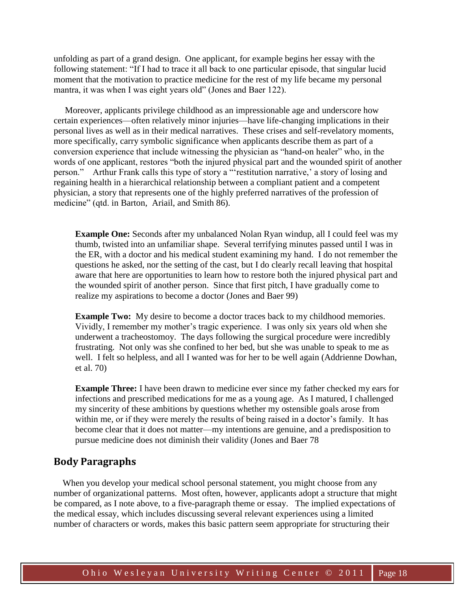unfolding as part of a grand design. One applicant, for example begins her essay with the following statement: "If I had to trace it all back to one particular episode, that singular lucid moment that the motivation to practice medicine for the rest of my life became my personal mantra, it was when I was eight years old" (Jones and Baer 122).

 Moreover, applicants privilege childhood as an impressionable age and underscore how certain experiences—often relatively minor injuries—have life-changing implications in their personal lives as well as in their medical narratives. These crises and self-revelatory moments, more specifically, carry symbolic significance when applicants describe them as part of a conversion experience that include witnessing the physician as "hand-on healer" who, in the words of one applicant, restores "both the injured physical part and the wounded spirit of another person." Arthur Frank calls this type of story a "restitution narrative,' a story of losing and regaining health in a hierarchical relationship between a compliant patient and a competent physician, a story that represents one of the highly preferred narratives of the profession of medicine" (qtd. in Barton, Ariail, and Smith 86).

**Example One:** Seconds after my unbalanced Nolan Ryan windup, all I could feel was my thumb, twisted into an unfamiliar shape. Several terrifying minutes passed until I was in the ER, with a doctor and his medical student examining my hand. I do not remember the questions he asked, nor the setting of the cast, but I do clearly recall leaving that hospital aware that here are opportunities to learn how to restore both the injured physical part and the wounded spirit of another person. Since that first pitch, I have gradually come to realize my aspirations to become a doctor (Jones and Baer 99)

**Example Two:** My desire to become a doctor traces back to my childhood memories. Vividly, I remember my mother"s tragic experience. I was only six years old when she underwent a tracheostomoy. The days following the surgical procedure were incredibly frustrating. Not only was she confined to her bed, but she was unable to speak to me as well. I felt so helpless, and all I wanted was for her to be well again (Addrienne Dowhan, et al. 70)

**Example Three:** I have been drawn to medicine ever since my father checked my ears for infections and prescribed medications for me as a young age. As I matured, I challenged my sincerity of these ambitions by questions whether my ostensible goals arose from within me, or if they were merely the results of being raised in a doctor's family. It has become clear that it does not matter—my intentions are genuine, and a predisposition to pursue medicine does not diminish their validity (Jones and Baer 78

#### <span id="page-20-0"></span>**Body Paragraphs**

 When you develop your medical school personal statement, you might choose from any number of organizational patterns. Most often, however, applicants adopt a structure that might be compared, as I note above, to a five-paragraph theme or essay. The implied expectations of the medical essay, which includes discussing several relevant experiences using a limited number of characters or words, makes this basic pattern seem appropriate for structuring their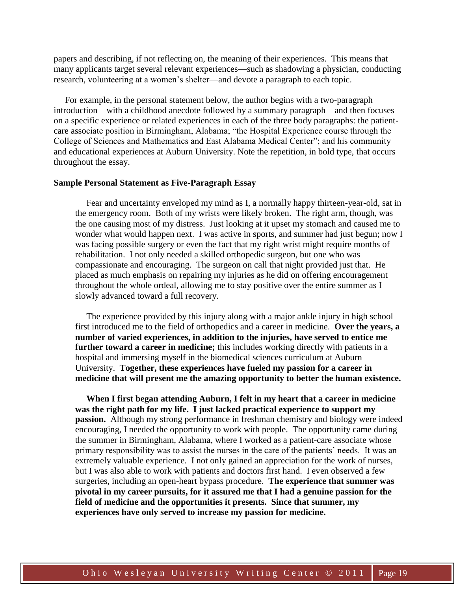papers and describing, if not reflecting on, the meaning of their experiences. This means that many applicants target several relevant experiences—such as shadowing a physician, conducting research, volunteering at a women"s shelter—and devote a paragraph to each topic.

 For example, in the personal statement below, the author begins with a two-paragraph introduction—with a childhood anecdote followed by a summary paragraph—and then focuses on a specific experience or related experiences in each of the three body paragraphs: the patientcare associate position in Birmingham, Alabama; "the Hospital Experience course through the College of Sciences and Mathematics and East Alabama Medical Center"; and his community and educational experiences at Auburn University. Note the repetition, in bold type, that occurs throughout the essay.

#### **Sample Personal Statement as Five-Paragraph Essay**

 Fear and uncertainty enveloped my mind as I, a normally happy thirteen-year-old, sat in the emergency room. Both of my wrists were likely broken. The right arm, though, was the one causing most of my distress. Just looking at it upset my stomach and caused me to wonder what would happen next. I was active in sports, and summer had just begun; now I was facing possible surgery or even the fact that my right wrist might require months of rehabilitation. I not only needed a skilled orthopedic surgeon, but one who was compassionate and encouraging. The surgeon on call that night provided just that. He placed as much emphasis on repairing my injuries as he did on offering encouragement throughout the whole ordeal, allowing me to stay positive over the entire summer as I slowly advanced toward a full recovery.

 The experience provided by this injury along with a major ankle injury in high school first introduced me to the field of orthopedics and a career in medicine. **Over the years, a number of varied experiences, in addition to the injuries, have served to entice me further toward a career in medicine;** this includes working directly with patients in a hospital and immersing myself in the biomedical sciences curriculum at Auburn University. **Together, these experiences have fueled my passion for a career in medicine that will present me the amazing opportunity to better the human existence.**

 **When I first began attending Auburn, I felt in my heart that a career in medicine was the right path for my life. I just lacked practical experience to support my passion.** Although my strong performance in freshman chemistry and biology were indeed encouraging, I needed the opportunity to work with people. The opportunity came during the summer in Birmingham, Alabama, where I worked as a patient-care associate whose primary responsibility was to assist the nurses in the care of the patients" needs. It was an extremely valuable experience. I not only gained an appreciation for the work of nurses, but I was also able to work with patients and doctors first hand. I even observed a few surgeries, including an open-heart bypass procedure. **The experience that summer was pivotal in my career pursuits, for it assured me that I had a genuine passion for the field of medicine and the opportunities it presents. Since that summer, my experiences have only served to increase my passion for medicine.**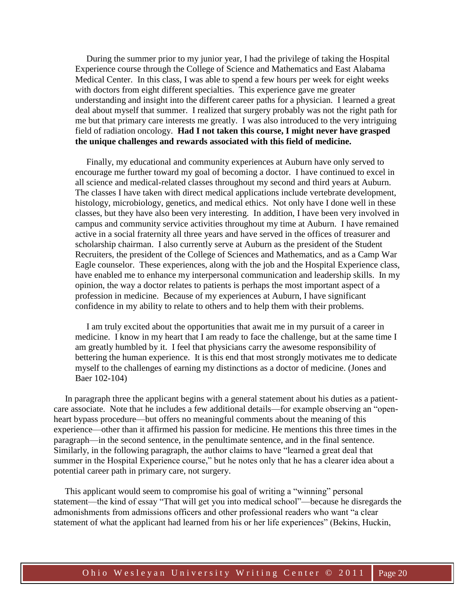During the summer prior to my junior year, I had the privilege of taking the Hospital Experience course through the College of Science and Mathematics and East Alabama Medical Center. In this class, I was able to spend a few hours per week for eight weeks with doctors from eight different specialties. This experience gave me greater understanding and insight into the different career paths for a physician. I learned a great deal about myself that summer. I realized that surgery probably was not the right path for me but that primary care interests me greatly. I was also introduced to the very intriguing field of radiation oncology. **Had I not taken this course, I might never have grasped the unique challenges and rewards associated with this field of medicine.**

 Finally, my educational and community experiences at Auburn have only served to encourage me further toward my goal of becoming a doctor. I have continued to excel in all science and medical-related classes throughout my second and third years at Auburn. The classes I have taken with direct medical applications include vertebrate development, histology, microbiology, genetics, and medical ethics. Not only have I done well in these classes, but they have also been very interesting. In addition, I have been very involved in campus and community service activities throughout my time at Auburn. I have remained active in a social fraternity all three years and have served in the offices of treasurer and scholarship chairman. I also currently serve at Auburn as the president of the Student Recruiters, the president of the College of Sciences and Mathematics, and as a Camp War Eagle counselor. These experiences, along with the job and the Hospital Experience class, have enabled me to enhance my interpersonal communication and leadership skills. In my opinion, the way a doctor relates to patients is perhaps the most important aspect of a profession in medicine. Because of my experiences at Auburn, I have significant confidence in my ability to relate to others and to help them with their problems.

 I am truly excited about the opportunities that await me in my pursuit of a career in medicine. I know in my heart that I am ready to face the challenge, but at the same time I am greatly humbled by it. I feel that physicians carry the awesome responsibility of bettering the human experience. It is this end that most strongly motivates me to dedicate myself to the challenges of earning my distinctions as a doctor of medicine. (Jones and Baer 102-104)

 In paragraph three the applicant begins with a general statement about his duties as a patientcare associate. Note that he includes a few additional details—for example observing an "openheart bypass procedure—but offers no meaningful comments about the meaning of this experience—other than it affirmed his passion for medicine. He mentions this three times in the paragraph—in the second sentence, in the penultimate sentence, and in the final sentence. Similarly, in the following paragraph, the author claims to have "learned a great deal that summer in the Hospital Experience course," but he notes only that he has a clearer idea about a potential career path in primary care, not surgery.

 This applicant would seem to compromise his goal of writing a "winning" personal statement—the kind of essay "That will get you into medical school"—because he disregards the admonishments from admissions officers and other professional readers who want "a clear statement of what the applicant had learned from his or her life experiences" (Bekins, Huckin,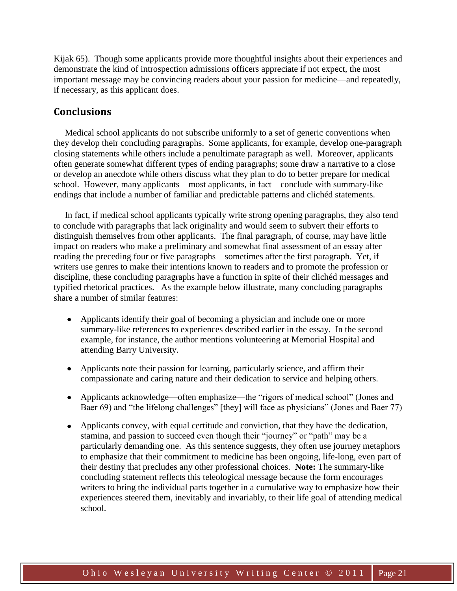Kijak 65). Though some applicants provide more thoughtful insights about their experiences and demonstrate the kind of introspection admissions officers appreciate if not expect, the most important message may be convincing readers about your passion for medicine—and repeatedly, if necessary, as this applicant does.

#### <span id="page-23-0"></span>**Conclusions**

 Medical school applicants do not subscribe uniformly to a set of generic conventions when they develop their concluding paragraphs. Some applicants, for example, develop one-paragraph closing statements while others include a penultimate paragraph as well. Moreover, applicants often generate somewhat different types of ending paragraphs; some draw a narrative to a close or develop an anecdote while others discuss what they plan to do to better prepare for medical school. However, many applicants—most applicants, in fact—conclude with summary-like endings that include a number of familiar and predictable patterns and clichéd statements.

 In fact, if medical school applicants typically write strong opening paragraphs, they also tend to conclude with paragraphs that lack originality and would seem to subvert their efforts to distinguish themselves from other applicants. The final paragraph, of course, may have little impact on readers who make a preliminary and somewhat final assessment of an essay after reading the preceding four or five paragraphs—sometimes after the first paragraph. Yet, if writers use genres to make their intentions known to readers and to promote the profession or discipline, these concluding paragraphs have a function in spite of their clichéd messages and typified rhetorical practices. As the example below illustrate, many concluding paragraphs share a number of similar features:

- Applicants identify their goal of becoming a physician and include one or more summary-like references to experiences described earlier in the essay. In the second example, for instance, the author mentions volunteering at Memorial Hospital and attending Barry University.
- Applicants note their passion for learning, particularly science, and affirm their compassionate and caring nature and their dedication to service and helping others.
- Applicants acknowledge—often emphasize—the "rigors of medical school" (Jones and Baer 69) and "the lifelong challenges" [they] will face as physicians" (Jones and Baer 77)
- Applicants convey, with equal certitude and conviction, that they have the dedication, stamina, and passion to succeed even though their "journey" or "path" may be a particularly demanding one. As this sentence suggests, they often use journey metaphors to emphasize that their commitment to medicine has been ongoing, life-long, even part of their destiny that precludes any other professional choices. **Note:** The summary-like concluding statement reflects this teleological message because the form encourages writers to bring the individual parts together in a cumulative way to emphasize how their experiences steered them, inevitably and invariably, to their life goal of attending medical school.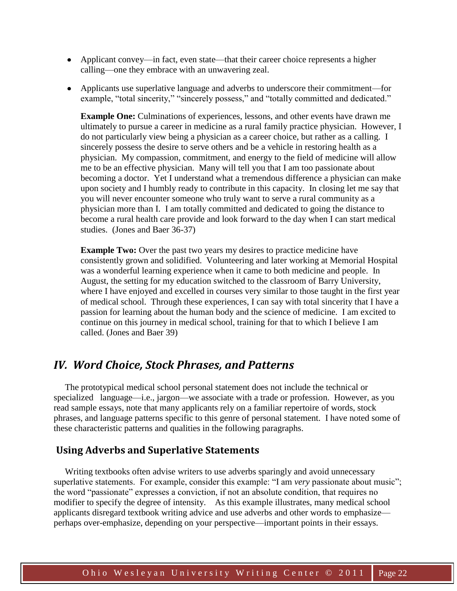- Applicant convey—in fact, even state—that their career choice represents a higher calling—one they embrace with an unwavering zeal.
- Applicants use superlative language and adverbs to underscore their commitment—for example, "total sincerity," "sincerely possess," and "totally committed and dedicated."

**Example One:** Culminations of experiences, lessons, and other events have drawn me ultimately to pursue a career in medicine as a rural family practice physician. However, I do not particularly view being a physician as a career choice, but rather as a calling. I sincerely possess the desire to serve others and be a vehicle in restoring health as a physician. My compassion, commitment, and energy to the field of medicine will allow me to be an effective physician. Many will tell you that I am too passionate about becoming a doctor. Yet I understand what a tremendous difference a physician can make upon society and I humbly ready to contribute in this capacity. In closing let me say that you will never encounter someone who truly want to serve a rural community as a physician more than I. I am totally committed and dedicated to going the distance to become a rural health care provide and look forward to the day when I can start medical studies. (Jones and Baer 36-37)

**Example Two:** Over the past two years my desires to practice medicine have consistently grown and solidified. Volunteering and later working at Memorial Hospital was a wonderful learning experience when it came to both medicine and people. In August, the setting for my education switched to the classroom of Barry University, where I have enjoyed and excelled in courses very similar to those taught in the first year of medical school. Through these experiences, I can say with total sincerity that I have a passion for learning about the human body and the science of medicine. I am excited to continue on this journey in medical school, training for that to which I believe I am called. (Jones and Baer 39)

## <span id="page-24-0"></span>*IV. Word Choice, Stock Phrases, and Patterns*

 The prototypical medical school personal statement does not include the technical or specialized language—i.e., jargon—we associate with a trade or profession. However, as you read sample essays, note that many applicants rely on a familiar repertoire of words, stock phrases, and language patterns specific to this genre of personal statement. I have noted some of these characteristic patterns and qualities in the following paragraphs.

#### <span id="page-24-1"></span>**Using Adverbs and Superlative Statements**

 Writing textbooks often advise writers to use adverbs sparingly and avoid unnecessary superlative statements. For example, consider this example: "I am *very* passionate about music"; the word "passionate" expresses a conviction, if not an absolute condition, that requires no modifier to specify the degree of intensity. As this example illustrates, many medical school applicants disregard textbook writing advice and use adverbs and other words to emphasize perhaps over-emphasize, depending on your perspective—important points in their essays.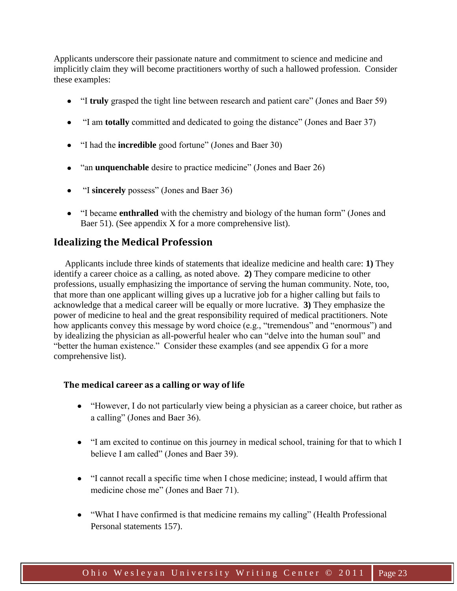Applicants underscore their passionate nature and commitment to science and medicine and implicitly claim they will become practitioners worthy of such a hallowed profession. Consider these examples:

- "I **truly** grasped the tight line between research and patient care" (Jones and Baer 59)  $\bullet$
- "I am **totally** committed and dedicated to going the distance" (Jones and Baer 37)
- "I had the **incredible** good fortune" (Jones and Baer 30)
- "an **unquenchable** desire to practice medicine" (Jones and Baer 26)
- "I **sincerely** possess" (Jones and Baer 36)
- "I became **enthralled** with the chemistry and biology of the human form" (Jones and Baer 51). (See appendix X for a more comprehensive list).

## <span id="page-25-0"></span>**Idealizing the Medical Profession**

Applicants include three kinds of statements that idealize medicine and health care: **1)** They identify a career choice as a calling, as noted above. **2)** They compare medicine to other professions, usually emphasizing the importance of serving the human community. Note, too, that more than one applicant willing gives up a lucrative job for a higher calling but fails to acknowledge that a medical career will be equally or more lucrative. **3)** They emphasize the power of medicine to heal and the great responsibility required of medical practitioners. Note how applicants convey this message by word choice (e.g., "tremendous" and "enormous") and by idealizing the physician as all-powerful healer who can "delve into the human soul" and "better the human existence." Consider these examples (and see appendix G for a more comprehensive list).

#### **The medical career as a calling or way of life**

- "However, I do not particularly view being a physician as a career choice, but rather as a calling" (Jones and Baer 36).
- "I am excited to continue on this journey in medical school, training for that to which I believe I am called" (Jones and Baer 39).
- "I cannot recall a specific time when I chose medicine; instead, I would affirm that medicine chose me" (Jones and Baer 71).
- "What I have confirmed is that medicine remains my calling" (Health Professional Personal statements 157).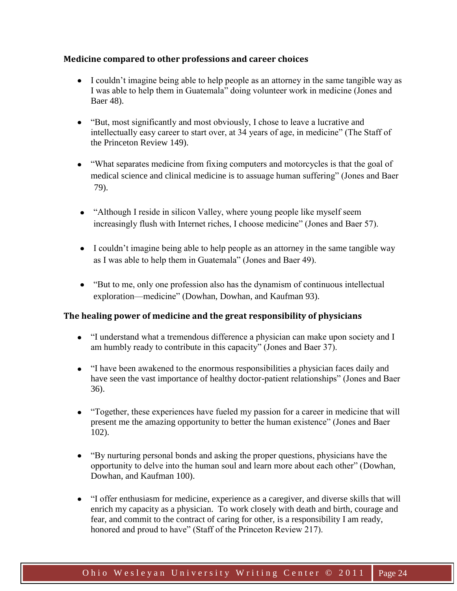#### **Medicine compared to other professions and career choices**

- I couldn"t imagine being able to help people as an attorney in the same tangible way as I was able to help them in Guatemala" doing volunteer work in medicine (Jones and Baer 48).
- "But, most significantly and most obviously, I chose to leave a lucrative and intellectually easy career to start over, at 34 years of age, in medicine" (The Staff of the Princeton Review 149).
- "What separates medicine from fixing computers and motorcycles is that the goal of medical science and clinical medicine is to assuage human suffering" (Jones and Baer 79).
- "Although I reside in silicon Valley, where young people like myself seem increasingly flush with Internet riches, I choose medicine" (Jones and Baer 57).
- I couldn't imagine being able to help people as an attorney in the same tangible way as I was able to help them in Guatemala" (Jones and Baer 49).
- "But to me, only one profession also has the dynamism of continuous intellectual exploration—medicine" (Dowhan, Dowhan, and Kaufman 93).

#### **The healing power of medicine and the great responsibility of physicians**

- "I understand what a tremendous difference a physician can make upon society and I  $\bullet$ am humbly ready to contribute in this capacity" (Jones and Baer 37).
- $\bullet$ "I have been awakened to the enormous responsibilities a physician faces daily and have seen the vast importance of healthy doctor-patient relationships" (Jones and Baer 36).
- "Together, these experiences have fueled my passion for a career in medicine that will present me the amazing opportunity to better the human existence" (Jones and Baer 102).
- "By nurturing personal bonds and asking the proper questions, physicians have the  $\bullet$ opportunity to delve into the human soul and learn more about each other" (Dowhan, Dowhan, and Kaufman 100).
- "I offer enthusiasm for medicine, experience as a caregiver, and diverse skills that will enrich my capacity as a physician. To work closely with death and birth, courage and fear, and commit to the contract of caring for other, is a responsibility I am ready, honored and proud to have" (Staff of the Princeton Review 217).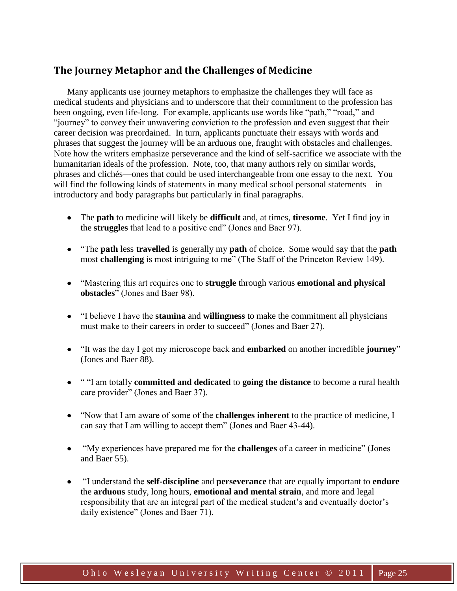## <span id="page-27-0"></span>**The Journey Metaphor and the Challenges of Medicine**

Many applicants use journey metaphors to emphasize the challenges they will face as medical students and physicians and to underscore that their commitment to the profession has been ongoing, even life-long. For example, applicants use words like "path," "road," and "journey" to convey their unwavering conviction to the profession and even suggest that their career decision was preordained. In turn, applicants punctuate their essays with words and phrases that suggest the journey will be an arduous one, fraught with obstacles and challenges. Note how the writers emphasize perseverance and the kind of self-sacrifice we associate with the humanitarian ideals of the profession. Note, too, that many authors rely on similar words, phrases and clichés—ones that could be used interchangeable from one essay to the next. You will find the following kinds of statements in many medical school personal statements—in introductory and body paragraphs but particularly in final paragraphs.

- The **path** to medicine will likely be **difficult** and, at times, **tiresome**. Yet I find joy in the **struggles** that lead to a positive end" (Jones and Baer 97).
- "The **path** less **travelled** is generally my **path** of choice. Some would say that the **path**  most **challenging** is most intriguing to me" (The Staff of the Princeton Review 149).
- "Mastering this art requires one to **struggle** through various **emotional and physical obstacles**" (Jones and Baer 98).
- "I believe I have the **stamina** and **willingness** to make the commitment all physicians must make to their careers in order to succeed" (Jones and Baer 27).
- "It was the day I got my microscope back and **embarked** on another incredible **journey**" (Jones and Baer 88).
- " "I am totally **committed and dedicated** to **going the distance** to become a rural health care provider" (Jones and Baer 37).
- "Now that I am aware of some of the **challenges inherent** to the practice of medicine, I can say that I am willing to accept them" (Jones and Baer 43-44).
- "My experiences have prepared me for the **challenges** of a career in medicine" (Jones  $\bullet$ and Baer 55).
- "I understand the **self-discipline** and **perseverance** that are equally important to **endure**   $\bullet$ the **arduous** study, long hours, **emotional and mental strain**, and more and legal responsibility that are an integral part of the medical student's and eventually doctor's daily existence" (Jones and Baer 71).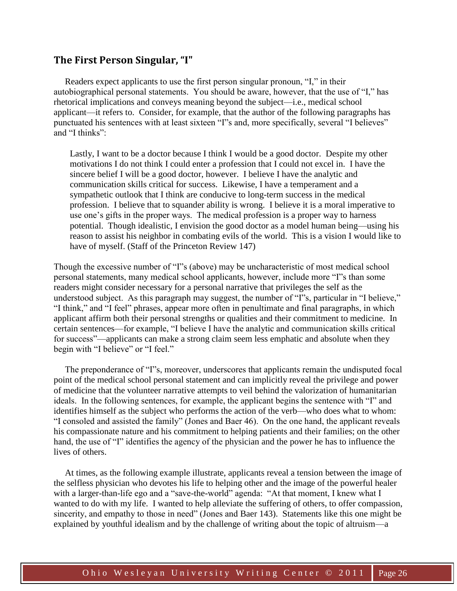#### <span id="page-28-0"></span>**The First Person Singular, "I"**

 Readers expect applicants to use the first person singular pronoun, "I," in their autobiographical personal statements. You should be aware, however, that the use of "I," has rhetorical implications and conveys meaning beyond the subject—i.e., medical school applicant—it refers to. Consider, for example, that the author of the following paragraphs has punctuated his sentences with at least sixteen "I"s and, more specifically, several "I believes" and "I thinks":

Lastly, I want to be a doctor because I think I would be a good doctor. Despite my other motivations I do not think I could enter a profession that I could not excel in. I have the sincere belief I will be a good doctor, however. I believe I have the analytic and communication skills critical for success. Likewise, I have a temperament and a sympathetic outlook that I think are conducive to long-term success in the medical profession. I believe that to squander ability is wrong. I believe it is a moral imperative to use one"s gifts in the proper ways. The medical profession is a proper way to harness potential. Though idealistic, I envision the good doctor as a model human being—using his reason to assist his neighbor in combating evils of the world. This is a vision I would like to have of myself. (Staff of the Princeton Review 147)

Though the excessive number of "I"s (above) may be uncharacteristic of most medical school personal statements, many medical school applicants, however, include more "I"s than some readers might consider necessary for a personal narrative that privileges the self as the understood subject. As this paragraph may suggest, the number of "I"s, particular in "I believe," "I think," and "I feel" phrases, appear more often in penultimate and final paragraphs, in which applicant affirm both their personal strengths or qualities and their commitment to medicine. In certain sentences—for example, "I believe I have the analytic and communication skills critical for success"—applicants can make a strong claim seem less emphatic and absolute when they begin with "I believe" or "I feel."

 The preponderance of "I"s, moreover, underscores that applicants remain the undisputed focal point of the medical school personal statement and can implicitly reveal the privilege and power of medicine that the volunteer narrative attempts to veil behind the valorization of humanitarian ideals. In the following sentences, for example, the applicant begins the sentence with "I" and identifies himself as the subject who performs the action of the verb—who does what to whom: "I consoled and assisted the family" (Jones and Baer 46). On the one hand, the applicant reveals his compassionate nature and his commitment to helping patients and their families; on the other hand, the use of "I" identifies the agency of the physician and the power he has to influence the lives of others.

 At times, as the following example illustrate, applicants reveal a tension between the image of the selfless physician who devotes his life to helping other and the image of the powerful healer with a larger-than-life ego and a "save-the-world" agenda: "At that moment, I knew what I wanted to do with my life. I wanted to help alleviate the suffering of others, to offer compassion, sincerity, and empathy to those in need" (Jones and Baer 143). Statements like this one might be explained by youthful idealism and by the challenge of writing about the topic of altruism—a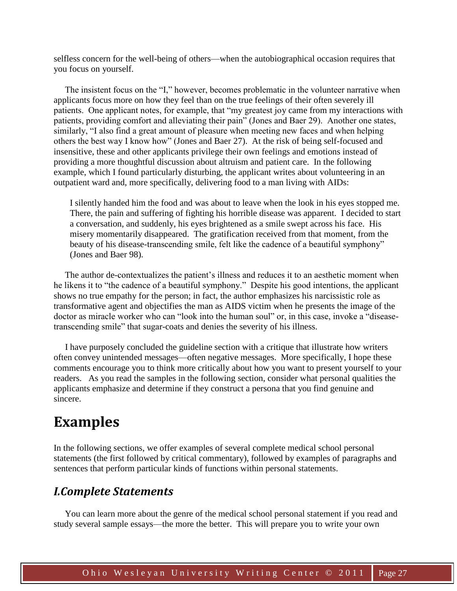selfless concern for the well-being of others—when the autobiographical occasion requires that you focus on yourself.

 The insistent focus on the "I," however, becomes problematic in the volunteer narrative when applicants focus more on how they feel than on the true feelings of their often severely ill patients. One applicant notes, for example, that "my greatest joy came from my interactions with patients, providing comfort and alleviating their pain" (Jones and Baer 29). Another one states, similarly, "I also find a great amount of pleasure when meeting new faces and when helping others the best way I know how" (Jones and Baer 27). At the risk of being self-focused and insensitive, these and other applicants privilege their own feelings and emotions instead of providing a more thoughtful discussion about altruism and patient care. In the following example, which I found particularly disturbing, the applicant writes about volunteering in an outpatient ward and, more specifically, delivering food to a man living with AIDs:

I silently handed him the food and was about to leave when the look in his eyes stopped me. There, the pain and suffering of fighting his horrible disease was apparent. I decided to start a conversation, and suddenly, his eyes brightened as a smile swept across his face. His misery momentarily disappeared. The gratification received from that moment, from the beauty of his disease-transcending smile, felt like the cadence of a beautiful symphony" (Jones and Baer 98).

 The author de-contextualizes the patient"s illness and reduces it to an aesthetic moment when he likens it to "the cadence of a beautiful symphony." Despite his good intentions, the applicant shows no true empathy for the person; in fact, the author emphasizes his narcissistic role as transformative agent and objectifies the man as AIDS victim when he presents the image of the doctor as miracle worker who can "look into the human soul" or, in this case, invoke a "diseasetranscending smile" that sugar-coats and denies the severity of his illness.

 I have purposely concluded the guideline section with a critique that illustrate how writers often convey unintended messages—often negative messages. More specifically, I hope these comments encourage you to think more critically about how you want to present yourself to your readers. As you read the samples in the following section, consider what personal qualities the applicants emphasize and determine if they construct a persona that you find genuine and sincere.

# <span id="page-29-0"></span>**Examples**

In the following sections, we offer examples of several complete medical school personal statements (the first followed by critical commentary), followed by examples of paragraphs and sentences that perform particular kinds of functions within personal statements.

# <span id="page-29-1"></span>*I.Complete Statements*

 You can learn more about the genre of the medical school personal statement if you read and study several sample essays—the more the better. This will prepare you to write your own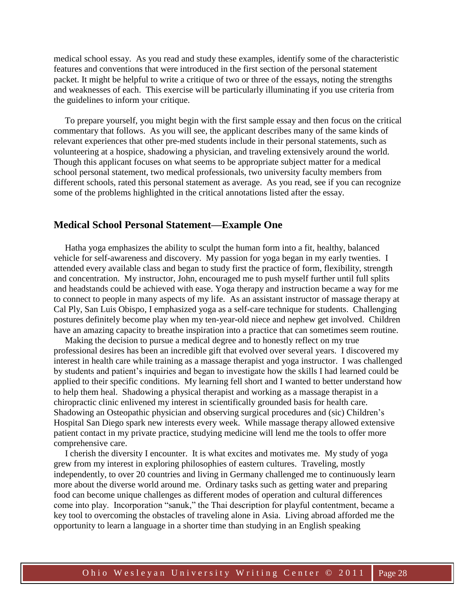medical school essay. As you read and study these examples, identify some of the characteristic features and conventions that were introduced in the first section of the personal statement packet. It might be helpful to write a critique of two or three of the essays, noting the strengths and weaknesses of each. This exercise will be particularly illuminating if you use criteria from the guidelines to inform your critique.

 To prepare yourself, you might begin with the first sample essay and then focus on the critical commentary that follows. As you will see, the applicant describes many of the same kinds of relevant experiences that other pre-med students include in their personal statements, such as volunteering at a hospice, shadowing a physician, and traveling extensively around the world. Though this applicant focuses on what seems to be appropriate subject matter for a medical school personal statement, two medical professionals, two university faculty members from different schools, rated this personal statement as average. As you read, see if you can recognize some of the problems highlighted in the critical annotations listed after the essay.

#### **Medical School Personal Statement—Example One**

 Hatha yoga emphasizes the ability to sculpt the human form into a fit, healthy, balanced vehicle for self-awareness and discovery. My passion for yoga began in my early twenties. I attended every available class and began to study first the practice of form, flexibility, strength and concentration. My instructor, John, encouraged me to push myself further until full splits and headstands could be achieved with ease. Yoga therapy and instruction became a way for me to connect to people in many aspects of my life. As an assistant instructor of massage therapy at Cal Ply, San Luis Obispo, I emphasized yoga as a self-care technique for students. Challenging postures definitely become play when my ten-year-old niece and nephew get involved. Children have an amazing capacity to breathe inspiration into a practice that can sometimes seem routine.

 Making the decision to pursue a medical degree and to honestly reflect on my true professional desires has been an incredible gift that evolved over several years. I discovered my interest in health care while training as a massage therapist and yoga instructor. I was challenged by students and patient"s inquiries and began to investigate how the skills I had learned could be applied to their specific conditions. My learning fell short and I wanted to better understand how to help them heal. Shadowing a physical therapist and working as a massage therapist in a chiropractic clinic enlivened my interest in scientifically grounded basis for health care. Shadowing an Osteopathic physician and observing surgical procedures and (sic) Children"s Hospital San Diego spark new interests every week. While massage therapy allowed extensive patient contact in my private practice, studying medicine will lend me the tools to offer more comprehensive care.

 I cherish the diversity I encounter. It is what excites and motivates me. My study of yoga grew from my interest in exploring philosophies of eastern cultures. Traveling, mostly independently, to over 20 countries and living in Germany challenged me to continuously learn more about the diverse world around me. Ordinary tasks such as getting water and preparing food can become unique challenges as different modes of operation and cultural differences come into play. Incorporation "sanuk," the Thai description for playful contentment, became a key tool to overcoming the obstacles of traveling alone in Asia. Living abroad afforded me the opportunity to learn a language in a shorter time than studying in an English speaking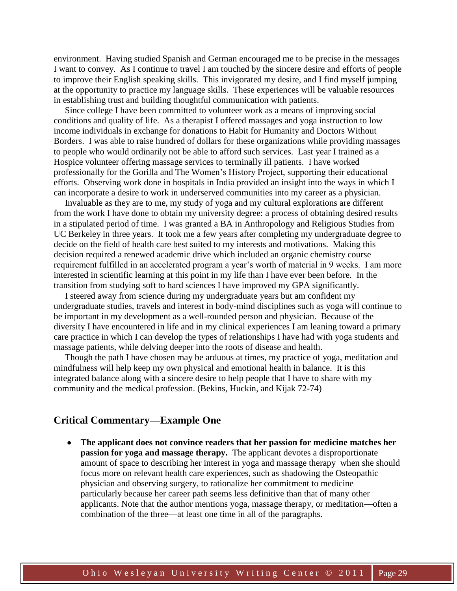environment. Having studied Spanish and German encouraged me to be precise in the messages I want to convey. As I continue to travel I am touched by the sincere desire and efforts of people to improve their English speaking skills. This invigorated my desire, and I find myself jumping at the opportunity to practice my language skills. These experiences will be valuable resources in establishing trust and building thoughtful communication with patients.

 Since college I have been committed to volunteer work as a means of improving social conditions and quality of life. As a therapist I offered massages and yoga instruction to low income individuals in exchange for donations to Habit for Humanity and Doctors Without Borders. I was able to raise hundred of dollars for these organizations while providing massages to people who would ordinarily not be able to afford such services. Last year I trained as a Hospice volunteer offering massage services to terminally ill patients. I have worked professionally for the Gorilla and The Women"s History Project, supporting their educational efforts. Observing work done in hospitals in India provided an insight into the ways in which I can incorporate a desire to work in underserved communities into my career as a physician.

 Invaluable as they are to me, my study of yoga and my cultural explorations are different from the work I have done to obtain my university degree: a process of obtaining desired results in a stipulated period of time. I was granted a BA in Anthropology and Religious Studies from UC Berkeley in three years. It took me a few years after completing my undergraduate degree to decide on the field of health care best suited to my interests and motivations. Making this decision required a renewed academic drive which included an organic chemistry course requirement fulfilled in an accelerated program a year"s worth of material in 9 weeks. I am more interested in scientific learning at this point in my life than I have ever been before. In the transition from studying soft to hard sciences I have improved my GPA significantly.

 I steered away from science during my undergraduate years but am confident my undergraduate studies, travels and interest in body-mind disciplines such as yoga will continue to be important in my development as a well-rounded person and physician. Because of the diversity I have encountered in life and in my clinical experiences I am leaning toward a primary care practice in which I can develop the types of relationships I have had with yoga students and massage patients, while delving deeper into the roots of disease and health.

 Though the path I have chosen may be arduous at times, my practice of yoga, meditation and mindfulness will help keep my own physical and emotional health in balance. It is this integrated balance along with a sincere desire to help people that I have to share with my community and the medical profession. (Bekins, Huckin, and Kijak 72-74)

#### **Critical Commentary—Example One**

 $\bullet$ **The applicant does not convince readers that her passion for medicine matches her passion for yoga and massage therapy.** The applicant devotes a disproportionate amount of space to describing her interest in yoga and massage therapy when she should focus more on relevant health care experiences, such as shadowing the Osteopathic physician and observing surgery, to rationalize her commitment to medicine particularly because her career path seems less definitive than that of many other applicants. Note that the author mentions yoga, massage therapy, or meditation—often a combination of the three—at least one time in all of the paragraphs.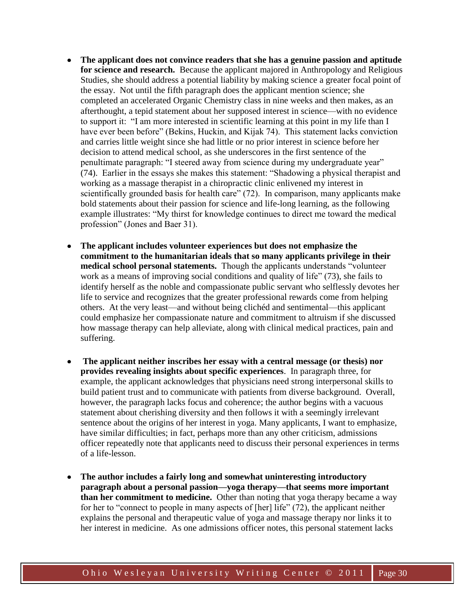- **The applicant does not convince readers that she has a genuine passion and aptitude for science and research.** Because the applicant majored in Anthropology and Religious Studies, she should address a potential liability by making science a greater focal point of the essay. Not until the fifth paragraph does the applicant mention science; she completed an accelerated Organic Chemistry class in nine weeks and then makes, as an afterthought, a tepid statement about her supposed interest in science—with no evidence to support it: "I am more interested in scientific learning at this point in my life than I have ever been before" (Bekins, Huckin, and Kijak 74). This statement lacks conviction and carries little weight since she had little or no prior interest in science before her decision to attend medical school, as she underscores in the first sentence of the penultimate paragraph: "I steered away from science during my undergraduate year" (74). Earlier in the essays she makes this statement: "Shadowing a physical therapist and working as a massage therapist in a chiropractic clinic enlivened my interest in scientifically grounded basis for health care" (72). In comparison, many applicants make bold statements about their passion for science and life-long learning, as the following example illustrates: "My thirst for knowledge continues to direct me toward the medical profession" (Jones and Baer 31).
- **The applicant includes volunteer experiences but does not emphasize the commitment to the humanitarian ideals that so many applicants privilege in their medical school personal statements.** Though the applicants understands "volunteer work as a means of improving social conditions and quality of life" (73), she fails to identify herself as the noble and compassionate public servant who selflessly devotes her life to service and recognizes that the greater professional rewards come from helping others. At the very least—and without being clichéd and sentimental—this applicant could emphasize her compassionate nature and commitment to altruism if she discussed how massage therapy can help alleviate, along with clinical medical practices, pain and suffering.
- **The applicant neither inscribes her essay with a central message (or thesis) nor provides revealing insights about specific experiences**. In paragraph three, for example, the applicant acknowledges that physicians need strong interpersonal skills to build patient trust and to communicate with patients from diverse background. Overall, however, the paragraph lacks focus and coherence; the author begins with a vacuous statement about cherishing diversity and then follows it with a seemingly irrelevant sentence about the origins of her interest in yoga. Many applicants, I want to emphasize, have similar difficulties; in fact, perhaps more than any other criticism, admissions officer repeatedly note that applicants need to discuss their personal experiences in terms of a life-lesson.
- **The author includes a fairly long and somewhat uninteresting introductory paragraph about a personal passion—yoga therapy—that seems more important than her commitment to medicine.** Other than noting that yoga therapy became a way for her to "connect to people in many aspects of [her] life" (72), the applicant neither explains the personal and therapeutic value of yoga and massage therapy nor links it to her interest in medicine. As one admissions officer notes, this personal statement lacks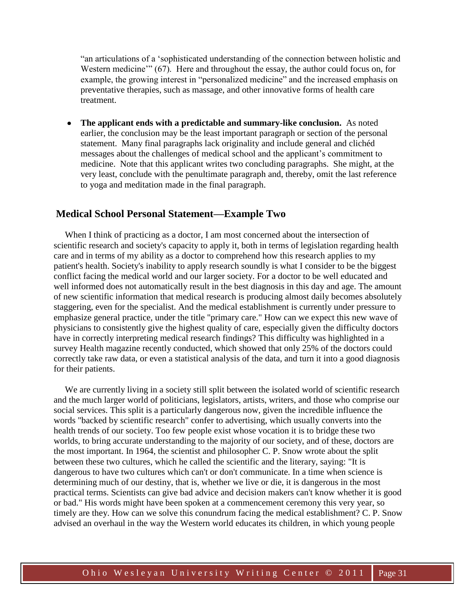"an articulations of a "sophisticated understanding of the connection between holistic and Western medicine" (67). Here and throughout the essay, the author could focus on, for example, the growing interest in "personalized medicine" and the increased emphasis on preventative therapies, such as massage, and other innovative forms of health care treatment.

**The applicant ends with a predictable and summary-like conclusion.** As noted earlier, the conclusion may be the least important paragraph or section of the personal statement. Many final paragraphs lack originality and include general and clichéd messages about the challenges of medical school and the applicant's commitment to medicine. Note that this applicant writes two concluding paragraphs. She might, at the very least, conclude with the penultimate paragraph and, thereby, omit the last reference to yoga and meditation made in the final paragraph.

#### **Medical School Personal Statement—Example Two**

 When I think of practicing as a doctor, I am most concerned about the intersection of scientific research and society's capacity to apply it, both in terms of legislation regarding health care and in terms of my ability as a doctor to comprehend how this research applies to my patient's health. Society's inability to apply research soundly is what I consider to be the biggest conflict facing the medical world and our larger society. For a doctor to be well educated and well informed does not automatically result in the best diagnosis in this day and age. The amount of new scientific information that medical research is producing almost daily becomes absolutely staggering, even for the specialist. And the medical establishment is currently under pressure to emphasize general practice, under the title "primary care." How can we expect this new wave of physicians to consistently give the highest quality of care, especially given the difficulty doctors have in correctly interpreting medical research findings? This difficulty was highlighted in a survey Health magazine recently conducted, which showed that only 25% of the doctors could correctly take raw data, or even a statistical analysis of the data, and turn it into a good diagnosis for their patients.

 We are currently living in a society still split between the isolated world of scientific research and the much larger world of politicians, legislators, artists, writers, and those who comprise our social services. This split is a particularly dangerous now, given the incredible influence the words "backed by scientific research" confer to advertising, which usually converts into the health trends of our society. Too few people exist whose vocation it is to bridge these two worlds, to bring accurate understanding to the majority of our society, and of these, doctors are the most important. In 1964, the scientist and philosopher C. P. Snow wrote about the split between these two cultures, which he called the scientific and the literary, saying: "It is dangerous to have two cultures which can't or don't communicate. In a time when science is determining much of our destiny, that is, whether we live or die, it is dangerous in the most practical terms. Scientists can give bad advice and decision makers can't know whether it is good or bad." His words might have been spoken at a commencement ceremony this very year, so timely are they. How can we solve this conundrum facing the medical establishment? C. P. Snow advised an overhaul in the way the Western world educates its children, in which young people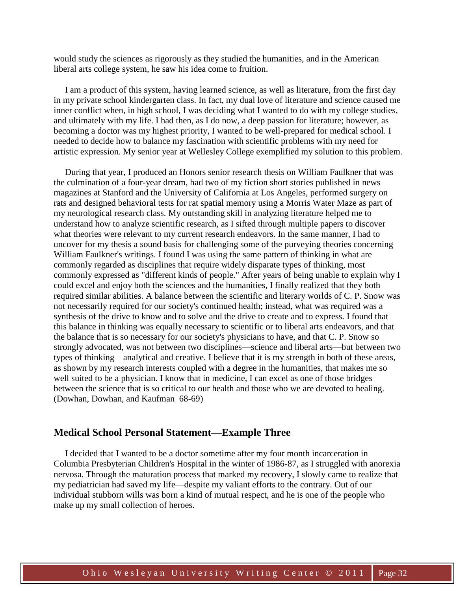would study the sciences as rigorously as they studied the humanities, and in the American liberal arts college system, he saw his idea come to fruition.

 I am a product of this system, having learned science, as well as literature, from the first day in my private school kindergarten class. In fact, my dual love of literature and science caused me inner conflict when, in high school, I was deciding what I wanted to do with my college studies, and ultimately with my life. I had then, as I do now, a deep passion for literature; however, as becoming a doctor was my highest priority, I wanted to be well-prepared for medical school. I needed to decide how to balance my fascination with scientific problems with my need for artistic expression. My senior year at Wellesley College exemplified my solution to this problem.

 During that year, I produced an Honors senior research thesis on William Faulkner that was the culmination of a four-year dream, had two of my fiction short stories published in news magazines at Stanford and the University of California at Los Angeles, performed surgery on rats and designed behavioral tests for rat spatial memory using a Morris Water Maze as part of my neurological research class. My outstanding skill in analyzing literature helped me to understand how to analyze scientific research, as I sifted through multiple papers to discover what theories were relevant to my current research endeavors. In the same manner, I had to uncover for my thesis a sound basis for challenging some of the purveying theories concerning William Faulkner's writings. I found I was using the same pattern of thinking in what are commonly regarded as disciplines that require widely disparate types of thinking, most commonly expressed as "different kinds of people." After years of being unable to explain why I could excel and enjoy both the sciences and the humanities, I finally realized that they both required similar abilities. A balance between the scientific and literary worlds of C. P. Snow was not necessarily required for our society's continued health; instead, what was required was a synthesis of the drive to know and to solve and the drive to create and to express. I found that this balance in thinking was equally necessary to scientific or to liberal arts endeavors, and that the balance that is so necessary for our society's physicians to have, and that C. P. Snow so strongly advocated, was not between two disciplines—science and liberal arts—but between two types of thinking—analytical and creative. I believe that it is my strength in both of these areas, as shown by my research interests coupled with a degree in the humanities, that makes me so well suited to be a physician. I know that in medicine, I can excel as one of those bridges between the science that is so critical to our health and those who we are devoted to healing. (Dowhan, Dowhan, and Kaufman 68-69)

#### **Medical School Personal Statement—Example Three**

 I decided that I wanted to be a doctor sometime after my four month incarceration in Columbia Presbyterian Children's Hospital in the winter of 1986-87, as I struggled with anorexia nervosa. Through the maturation process that marked my recovery, I slowly came to realize that my pediatrician had saved my life—despite my valiant efforts to the contrary. Out of our individual stubborn wills was born a kind of mutual respect, and he is one of the people who make up my small collection of heroes.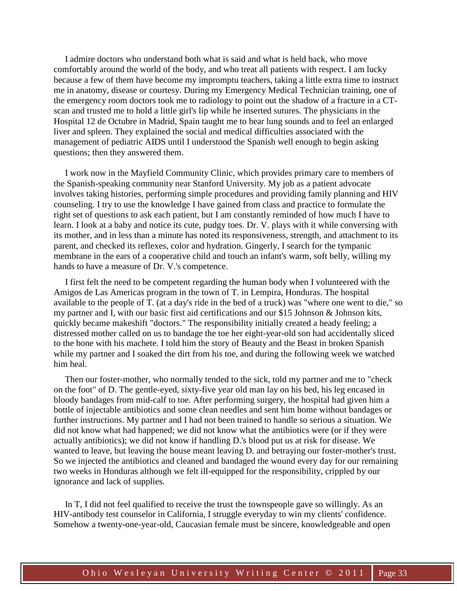I admire doctors who understand both what is said and what is held back, who move comfortably around the world of the body, and who treat all patients with respect. I am lucky because a few of them have become my impromptu teachers, taking a little extra time to instruct me in anatomy, disease or courtesy. During my Emergency Medical Technician training, one of the emergency room doctors took me to radiology to point out the shadow of a fracture in a CTscan and trusted me to hold a little girl's lip while he inserted sutures. The physicians in the Hospital 12 de Octubre in Madrid, Spain taught me to hear lung sounds and to feel an enlarged liver and spleen. They explained the social and medical difficulties associated with the management of pediatric AIDS until I understood the Spanish well enough to begin asking questions; then they answered them.

 I work now in the Mayfield Community Clinic, which provides primary care to members of the Spanish-speaking community near Stanford University. My job as a patient advocate involves taking histories, performing simple procedures and providing family planning and HIV counseling. I try to use the knowledge I have gained from class and practice to formulate the right set of questions to ask each patient, but I am constantly reminded of how much I have to learn. I look at a baby and notice its cute, pudgy toes. Dr. V. plays with it while conversing with its mother, and in less than a minute has noted its responsiveness, strength, and attachment to its parent, and checked its reflexes, color and hydration. Gingerly, I search for the tympanic membrane in the ears of a cooperative child and touch an infant's warm, soft belly, willing my hands to have a measure of Dr. V.'s competence.

 I first felt the need to be competent regarding the human body when I volunteered with the Amigos de Las Americas program in the town of T. in Lempira, Honduras. The hospital available to the people of T. (at a day's ride in the bed of a truck) was "where one went to die," so my partner and I, with our basic first aid certifications and our \$15 Johnson & Johnson kits, quickly became makeshift "doctors." The responsibility initially created a heady feeling; a distressed mother called on us to bandage the toe her eight-year-old son had accidentally sliced to the bone with his machete. I told him the story of Beauty and the Beast in broken Spanish while my partner and I soaked the dirt from his toe, and during the following week we watched him heal.

 Then our foster-mother, who normally tended to the sick, told my partner and me to "check on the foot" of D. The gentle-eyed, sixty-five year old man lay on his bed, his leg encased in bloody bandages from mid-calf to toe. After performing surgery, the hospital had given him a bottle of injectable antibiotics and some clean needles and sent him home without bandages or further instructions. My partner and I had not been trained to handle so serious a situation. We did not know what had happened; we did not know what the antibiotics were (or if they were actually antibiotics); we did not know if handling D.'s blood put us at risk for disease. We wanted to leave, but leaving the house meant leaving D. and betraying our foster-mother's trust. So we injected the antibiotics and cleaned and bandaged the wound every day for our remaining two weeks in Honduras although we felt ill-equipped for the responsibility, crippled by our ignorance and lack of supplies.

In T, I did not feel qualified to receive the trust the townspeople gave so willingly. As an HIV-antibody test counselor in California, I struggle everyday to win my clients' confidence. Somehow a twenty-one-year-old, Caucasian female must be sincere, knowledgeable and open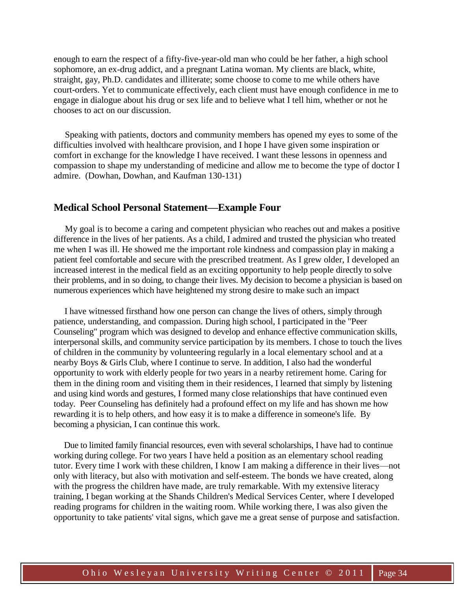enough to earn the respect of a fifty-five-year-old man who could be her father, a high school sophomore, an ex-drug addict, and a pregnant Latina woman. My clients are black, white, straight, gay, Ph.D. candidates and illiterate; some choose to come to me while others have court-orders. Yet to communicate effectively, each client must have enough confidence in me to engage in dialogue about his drug or sex life and to believe what I tell him, whether or not he chooses to act on our discussion.

 Speaking with patients, doctors and community members has opened my eyes to some of the difficulties involved with healthcare provision, and I hope I have given some inspiration or comfort in exchange for the knowledge I have received. I want these lessons in openness and compassion to shape my understanding of medicine and allow me to become the type of doctor I admire. (Dowhan, Dowhan, and Kaufman 130-131)

### **Medical School Personal Statement—Example Four**

 My goal is to become a caring and competent physician who reaches out and makes a positive difference in the lives of her patients. As a child, I admired and trusted the physician who treated me when I was ill. He showed me the important role kindness and compassion play in making a patient feel comfortable and secure with the prescribed treatment. As I grew older, I developed an increased interest in the medical field as an exciting opportunity to help people directly to solve their problems, and in so doing, to change their lives. My decision to become a physician is based on numerous experiences which have heightened my strong desire to make such an impact

 I have witnessed firsthand how one person can change the lives of others, simply through patience, understanding, and compassion. During high school, I participated in the "Peer Counseling" program which was designed to develop and enhance effective communication skills, interpersonal skills, and community service participation by its members. I chose to touch the lives of children in the community by volunteering regularly in a local elementary school and at a nearby Boys & Girls Club, where I continue to serve. In addition, I also had the wonderful opportunity to work with elderly people for two years in a nearby retirement home. Caring for them in the dining room and visiting them in their residences, I learned that simply by listening and using kind words and gestures, I formed many close relationships that have continued even today. Peer Counseling has definitely had a profound effect on my life and has shown me how rewarding it is to help others, and how easy it is to make a difference in someone's life. By becoming a physician, I can continue this work.

 Due to limited family financial resources, even with several scholarships, I have had to continue working during college. For two years I have held a position as an elementary school reading tutor. Every time I work with these children, I know I am making a difference in their lives—not only with literacy, but also with motivation and self-esteem. The bonds we have created, along with the progress the children have made, are truly remarkable. With my extensive literacy training, I began working at the Shands Children's Medical Services Center, where I developed reading programs for children in the waiting room. While working there, I was also given the opportunity to take patients' vital signs, which gave me a great sense of purpose and satisfaction.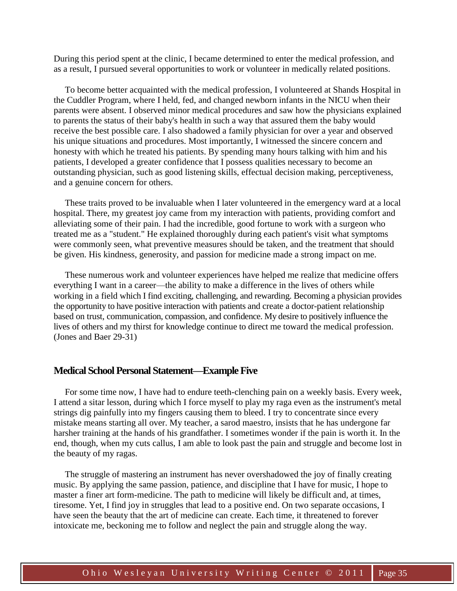During this period spent at the clinic, I became determined to enter the medical profession, and as a result, I pursued several opportunities to work or volunteer in medically related positions.

 To become better acquainted with the medical profession, I volunteered at Shands Hospital in the Cuddler Program, where I held, fed, and changed newborn infants in the NICU when their parents were absent. I observed minor medical procedures and saw how the physicians explained to parents the status of their baby's health in such a way that assured them the baby would receive the best possible care. I also shadowed a family physician for over a year and observed his unique situations and procedures. Most importantly, I witnessed the sincere concern and honesty with which he treated his patients. By spending many hours talking with him and his patients, I developed a greater confidence that I possess qualities necessary to become an outstanding physician, such as good listening skills, effectual decision making, perceptiveness, and a genuine concern for others.

 These traits proved to be invaluable when I later volunteered in the emergency ward at a local hospital. There, my greatest joy came from my interaction with patients, providing comfort and alleviating some of their pain. I had the incredible, good fortune to work with a surgeon who treated me as a "student." He explained thoroughly during each patient's visit what symptoms were commonly seen, what preventive measures should be taken, and the treatment that should be given. His kindness, generosity, and passion for medicine made a strong impact on me.

 These numerous work and volunteer experiences have helped me realize that medicine offers everything I want in a career—the ability to make a difference in the lives of others while working in a field which I find exciting, challenging, and rewarding. Becoming a physician provides the opportunity to have positive interaction with patients and create a doctor-patient relationship based on trust, communication, compassion, and confidence. My desire to positively influence the lives of others and my thirst for knowledge continue to direct me toward the medical profession. (Jones and Baer 29-31)

#### **Medical School Personal Statement—Example Five**

 For some time now, I have had to endure teeth-clenching pain on a weekly basis. Every week, I attend a sitar lesson, during which I force myself to play my raga even as the instrument's metal strings dig painfully into my fingers causing them to bleed. I try to concentrate since every mistake means starting all over. My teacher, a sarod maestro, insists that he has undergone far harsher training at the hands of his grandfather. I sometimes wonder if the pain is worth it. In the end, though, when my cuts callus, I am able to look past the pain and struggle and become lost in the beauty of my ragas.

 The struggle of mastering an instrument has never overshadowed the joy of finally creating music. By applying the same passion, patience, and discipline that I have for music, I hope to master a finer art form-medicine. The path to medicine will likely be difficult and, at times, tiresome. Yet, I find joy in struggles that lead to a positive end. On two separate occasions, I have seen the beauty that the art of medicine can create. Each time, it threatened to forever intoxicate me, beckoning me to follow and neglect the pain and struggle along the way.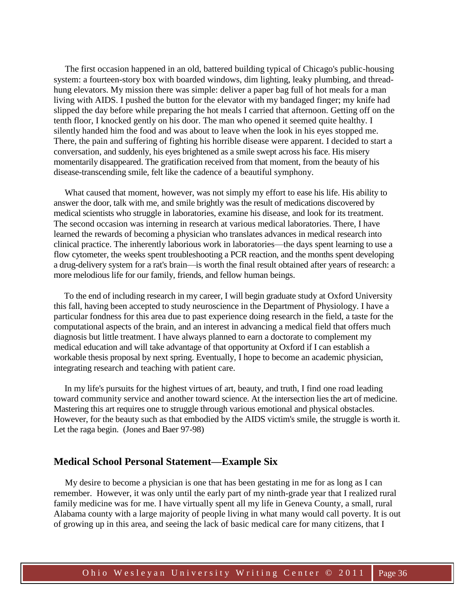The first occasion happened in an old, battered building typical of Chicago's public-housing system: a fourteen-story box with boarded windows, dim lighting, leaky plumbing, and threadhung elevators. My mission there was simple: deliver a paper bag full of hot meals for a man living with AIDS. I pushed the button for the elevator with my bandaged finger; my knife had slipped the day before while preparing the hot meals I carried that afternoon. Getting off on the tenth floor, I knocked gently on his door. The man who opened it seemed quite healthy. I silently handed him the food and was about to leave when the look in his eyes stopped me. There, the pain and suffering of fighting his horrible disease were apparent. I decided to start a conversation, and suddenly, his eyes brightened as a smile swept across his face. His misery momentarily disappeared. The gratification received from that moment, from the beauty of his disease-transcending smile, felt like the cadence of a beautiful symphony.

 What caused that moment, however, was not simply my effort to ease his life. His ability to answer the door, talk with me, and smile brightly was the result of medications discovered by medical scientists who struggle in laboratories, examine his disease, and look for its treatment. The second occasion was interning in research at various medical laboratories. There, I have learned the rewards of becoming a physician who translates advances in medical research into clinical practice. The inherently laborious work in laboratories—the days spent learning to use a flow cytometer, the weeks spent troubleshooting a PCR reaction, and the months spent developing a drug-delivery system for a rat's brain—is worth the final result obtained after years of research: a more melodious life for our family, friends, and fellow human beings.

 To the end of including research in my career, I will begin graduate study at Oxford University this fall, having been accepted to study neuroscience in the Department of Physiology. I have a particular fondness for this area due to past experience doing research in the field, a taste for the computational aspects of the brain, and an interest in advancing a medical field that offers much diagnosis but little treatment. I have always planned to earn a doctorate to complement my medical education and will take advantage of that opportunity at Oxford if I can establish a workable thesis proposal by next spring. Eventually, I hope to become an academic physician, integrating research and teaching with patient care.

 In my life's pursuits for the highest virtues of art, beauty, and truth, I find one road leading toward community service and another toward science. At the intersection lies the art of medicine. Mastering this art requires one to struggle through various emotional and physical obstacles. However, for the beauty such as that embodied by the AIDS victim's smile, the struggle is worth it. Let the raga begin. (Jones and Baer 97-98)

#### **Medical School Personal Statement—Example Six**

 My desire to become a physician is one that has been gestating in me for as long as I can remember. However, it was only until the early part of my ninth-grade year that I realized rural family medicine was for me. I have virtually spent all my life in Geneva County, a small, rural Alabama county with a large majority of people living in what many would call poverty. It is out of growing up in this area, and seeing the lack of basic medical care for many citizens, that I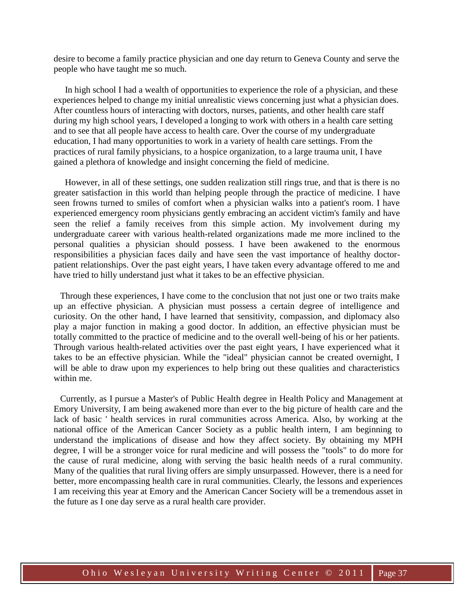desire to become a family practice physician and one day return to Geneva County and serve the people who have taught me so much.

 In high school I had a wealth of opportunities to experience the role of a physician, and these experiences helped to change my initial unrealistic views concerning just what a physician does. After countless hours of interacting with doctors, nurses, patients, and other health care staff during my high school years, I developed a longing to work with others in a health care setting and to see that all people have access to health care. Over the course of my undergraduate education, I had many opportunities to work in a variety of health care settings. From the practices of rural family physicians, to a hospice organization, to a large trauma unit, I have gained a plethora of knowledge and insight concerning the field of medicine.

 However, in all of these settings, one sudden realization still rings true, and that is there is no greater satisfaction in this world than helping people through the practice of medicine. I have seen frowns turned to smiles of comfort when a physician walks into a patient's room. I have experienced emergency room physicians gently embracing an accident victim's family and have seen the relief a family receives from this simple action. My involvement during my undergraduate career with various health-related organizations made me more inclined to the personal qualities a physician should possess. I have been awakened to the enormous responsibilities a physician faces daily and have seen the vast importance of healthy doctorpatient relationships. Over the past eight years, I have taken every advantage offered to me and have tried to hilly understand just what it takes to be an effective physician.

Through these experiences, I have come to the conclusion that not just one or two traits make up an effective physician. A physician must possess a certain degree of intelligence and curiosity. On the other hand, I have learned that sensitivity, compassion, and diplomacy also play a major function in making a good doctor. In addition, an effective physician must be totally committed to the practice of medicine and to the overall well-being of his or her patients. Through various health-related activities over the past eight years, I have experienced what it takes to be an effective physician. While the "ideal" physician cannot be created overnight, I will be able to draw upon my experiences to help bring out these qualities and characteristics within me.

Currently, as I pursue a Master's of Public Health degree in Health Policy and Management at Emory University, I am being awakened more than ever to the big picture of health care and the lack of basic ' health services in rural communities across America. Also, by working at the national office of the American Cancer Society as a public health intern, I am beginning to understand the implications of disease and how they affect society. By obtaining my MPH degree, I will be a stronger voice for rural medicine and will possess the "tools" to do more for the cause of rural medicine, along with serving the basic health needs of a rural community. Many of the qualities that rural living offers are simply unsurpassed. However, there is a need for better, more encompassing health care in rural communities. Clearly, the lessons and experiences I am receiving this year at Emory and the American Cancer Society will be a tremendous asset in the future as I one day serve as a rural health care provider.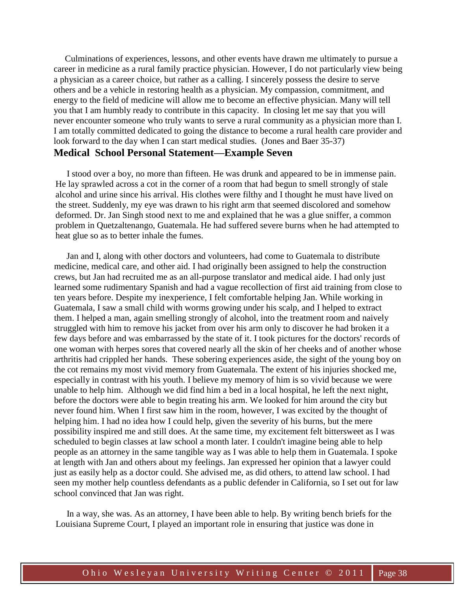Culminations of experiences, lessons, and other events have drawn me ultimately to pursue a career in medicine as a rural family practice physician. However, I do not particularly view being a physician as a career choice, but rather as a calling. I sincerely possess the desire to serve others and be a vehicle in restoring health as a physician. My compassion, commitment, and energy to the field of medicine will allow me to become an effective physician. Many will tell you that I am humbly ready to contribute in this capacity. In closing let me say that you will never encounter someone who truly wants to serve a rural community as a physician more than I. I am totally committed dedicated to going the distance to become a rural health care provider and look forward to the day when I can start medical studies. (Jones and Baer 35-37) **Medical School Personal Statement—Example Seven**

 I stood over a boy, no more than fifteen. He was drunk and appeared to be in immense pain. He lay sprawled across a cot in the corner of a room that had begun to smell strongly of stale alcohol and urine since his arrival. His clothes were filthy and I thought he must have lived on the street. Suddenly, my eye was drawn to his right arm that seemed discolored and somehow deformed. Dr. Jan Singh stood next to me and explained that he was a glue sniffer, a common problem in Quetzaltenango, Guatemala. He had suffered severe burns when he had attempted to heat glue so as to better inhale the fumes.

 Jan and I, along with other doctors and volunteers, had come to Guatemala to distribute medicine, medical care, and other aid. I had originally been assigned to help the construction crews, but Jan had recruited me as an all-purpose translator and medical aide. I had only just learned some rudimentary Spanish and had a vague recollection of first aid training from close to ten years before. Despite my inexperience, I felt comfortable helping Jan. While working in Guatemala, I saw a small child with worms growing under his scalp, and I helped to extract them. I helped a man, again smelling strongly of alcohol, into the treatment room and naively struggled with him to remove his jacket from over his arm only to discover he had broken it a few days before and was embarrassed by the state of it. I took pictures for the doctors' records of one woman with herpes sores that covered nearly all the skin of her cheeks and of another whose arthritis had crippled her hands. These sobering experiences aside, the sight of the young boy on the cot remains my most vivid memory from Guatemala. The extent of his injuries shocked me, especially in contrast with his youth. I believe my memory of him is so vivid because we were unable to help him. Although we did find him a bed in a local hospital, he left the next night, before the doctors were able to begin treating his arm. We looked for him around the city but never found him. When I first saw him in the room, however, I was excited by the thought of helping him. I had no idea how I could help, given the severity of his burns, but the mere possibility inspired me and still does. At the same time, my excitement felt bittersweet as I was scheduled to begin classes at law school a month later. I couldn't imagine being able to help people as an attorney in the same tangible way as I was able to help them in Guatemala. I spoke at length with Jan and others about my feelings. Jan expressed her opinion that a lawyer could just as easily help as a doctor could. She advised me, as did others, to attend law school. I had seen my mother help countless defendants as a public defender in California, so I set out for law school convinced that Jan was right.

 In a way, she was. As an attorney, I have been able to help. By writing bench briefs for the Louisiana Supreme Court, I played an important role in ensuring that justice was done in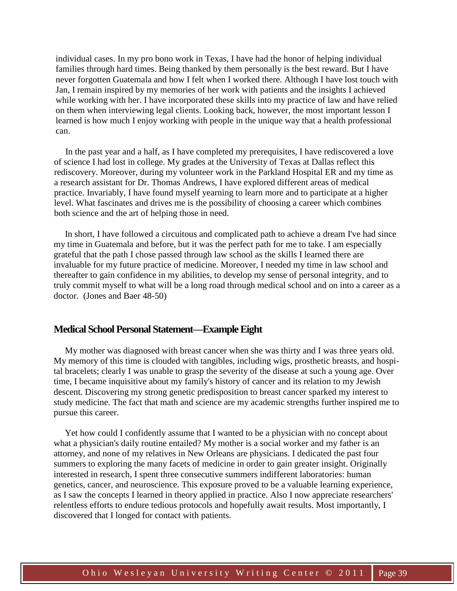individual cases. In my pro bono work in Texas, I have had the honor of helping individual families through hard times. Being thanked by them personally is the best reward. But I have never forgotten Guatemala and how I felt when I worked there. Although I have lost touch with Jan, I remain inspired by my memories of her work with patients and the insights I achieved while working with her. I have incorporated these skills into my practice of law and have relied on them when interviewing legal clients. Looking back, however, the most important lesson I learned is how much I enjoy working with people in the unique way that a health professional can.

 In the past year and a half, as I have completed my prerequisites, I have rediscovered a love of science I had lost in college. My grades at the University of Texas at Dallas reflect this rediscovery. Moreover, during my volunteer work in the Parkland Hospital ER and my time as a research assistant for Dr. Thomas Andrews, I have explored different areas of medical practice. Invariably, I have found myself yearning to learn more and to participate at a higher level. What fascinates and drives me is the possibility of choosing a career which combines both science and the art of helping those in need.

 In short, I have followed a circuitous and complicated path to achieve a dream I've had since my time in Guatemala and before, but it was the perfect path for me to take. I am especially grateful that the path I chose passed through law school as the skills I learned there are invaluable for my future practice of medicine. Moreover, I needed my time in law school and thereafter to gain confidence in my abilities, to develop my sense of personal integrity, and to truly commit myself to what will be a long road through medical school and on into a career as a doctor. (Jones and Baer 48-50)

### **Medical School Personal Statement—Example Eight**

 My mother was diagnosed with breast cancer when she was thirty and I was three years old. My memory of this time is clouded with tangibles, including wigs, prosthetic breasts, and hospital bracelets; clearly I was unable to grasp the severity of the disease at such a young age. Over time, I became inquisitive about my family's history of cancer and its relation to my Jewish descent. Discovering my strong genetic predisposition to breast cancer sparked my interest to study medicine. The fact that math and science are my academic strengths further inspired me to pursue this career.

 Yet how could I confidently assume that I wanted to be a physician with no concept about what a physician's daily routine entailed? My mother is a social worker and my father is an attorney, and none of my relatives in New Orleans are physicians. I dedicated the past four summers to exploring the many facets of medicine in order to gain greater insight. Originally interested in research, I spent three consecutive summers indifferent laboratories: human genetics, cancer, and neuroscience. This exposure proved to be a valuable learning experience, as I saw the concepts I learned in theory applied in practice. Also I now appreciate researchers' relentless efforts to endure tedious protocols and hopefully await results. Most importantly, I discovered that I longed for contact with patients.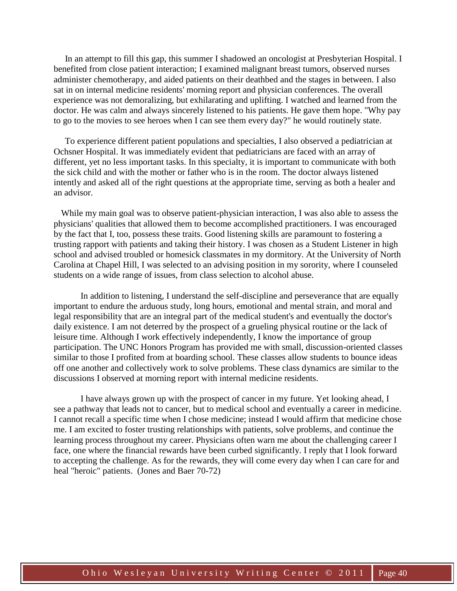In an attempt to fill this gap, this summer I shadowed an oncologist at Presbyterian Hospital. I benefited from close patient interaction; I examined malignant breast tumors, observed nurses administer chemotherapy, and aided patients on their deathbed and the stages in between. I also sat in on internal medicine residents' morning report and physician conferences. The overall experience was not demoralizing, but exhilarating and uplifting. I watched and learned from the doctor. He was calm and always sincerely listened to his patients. He gave them hope. "Why pay to go to the movies to see heroes when I can see them every day?" he would routinely state.

 To experience different patient populations and specialties, I also observed a pediatrician at Ochsner Hospital. It was immediately evident that pediatricians are faced with an array of different, yet no less important tasks. In this specialty, it is important to communicate with both the sick child and with the mother or father who is in the room. The doctor always listened intently and asked all of the right questions at the appropriate time, serving as both a healer and an advisor.

While my main goal was to observe patient-physician interaction, I was also able to assess the physicians' qualities that allowed them to become accomplished practitioners. I was encouraged by the fact that I, too, possess these traits. Good listening skills are paramount to fostering a trusting rapport with patients and taking their history. I was chosen as a Student Listener in high school and advised troubled or homesick classmates in my dormitory. At the University of North Carolina at Chapel Hill, I was selected to an advising position in my sorority, where I counseled students on a wide range of issues, from class selection to alcohol abuse.

In addition to listening, I understand the self-discipline and perseverance that are equally important to endure the arduous study, long hours, emotional and mental strain, and moral and legal responsibility that are an integral part of the medical student's and eventually the doctor's daily existence. I am not deterred by the prospect of a grueling physical routine or the lack of leisure time. Although I work effectively independently, I know the importance of group participation. The UNC Honors Program has provided me with small, discussion-oriented classes similar to those I profited from at boarding school. These classes allow students to bounce ideas off one another and collectively work to solve problems. These class dynamics are similar to the discussions I observed at morning report with internal medicine residents.

I have always grown up with the prospect of cancer in my future. Yet looking ahead, I see a pathway that leads not to cancer, but to medical school and eventually a career in medicine. I cannot recall a specific time when I chose medicine; instead I would affirm that medicine chose me. I am excited to foster trusting relationships with patients, solve problems, and continue the learning process throughout my career. Physicians often warn me about the challenging career I face, one where the financial rewards have been curbed significantly. I reply that I look forward to accepting the challenge. As for the rewards, they will come every day when I can care for and heal "heroic" patients. (Jones and Baer 70-72)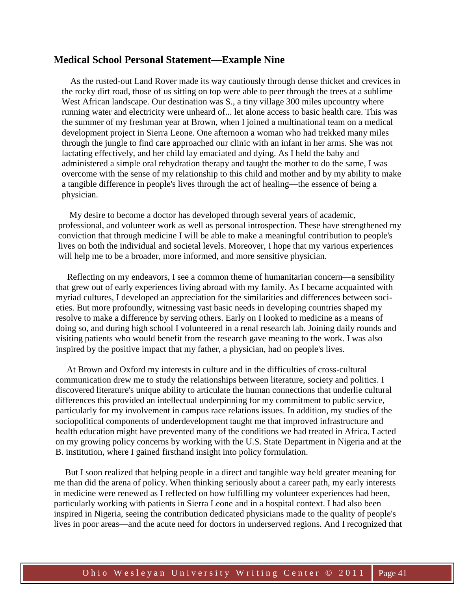#### **Medical School Personal Statement—Example Nine**

As the rusted-out Land Rover made its way cautiously through dense thicket and crevices in the rocky dirt road, those of us sitting on top were able to peer through the trees at a sublime West African landscape. Our destination was S., a tiny village 300 miles upcountry where running water and electricity were unheard of... let alone access to basic health care. This was the summer of my freshman year at Brown, when I joined a multinational team on a medical development project in Sierra Leone. One afternoon a woman who had trekked many miles through the jungle to find care approached our clinic with an infant in her arms. She was not lactating effectively, and her child lay emaciated and dying. As I held the baby and administered a simple oral rehydration therapy and taught the mother to do the same, I was overcome with the sense of my relationship to this child and mother and by my ability to make a tangible difference in people's lives through the act of healing—the essence of being a physician.

 My desire to become a doctor has developed through several years of academic, professional, and volunteer work as well as personal introspection. These have strengthened my conviction that through medicine I will be able to make a meaningful contribution to people's lives on both the individual and societal levels. Moreover, I hope that my various experiences will help me to be a broader, more informed, and more sensitive physician.

 Reflecting on my endeavors, I see a common theme of humanitarian concern—a sensibility that grew out of early experiences living abroad with my family. As I became acquainted with myriad cultures, I developed an appreciation for the similarities and differences between societies. But more profoundly, witnessing vast basic needs in developing countries shaped my resolve to make a difference by serving others. Early on I looked to medicine as a means of doing so, and during high school I volunteered in a renal research lab. Joining daily rounds and visiting patients who would benefit from the research gave meaning to the work. I was also inspired by the positive impact that my father, a physician, had on people's lives.

 At Brown and Oxford my interests in culture and in the difficulties of cross-cultural communication drew me to study the relationships between literature, society and politics. I discovered literature's unique ability to articulate the human connections that underlie cultural differences this provided an intellectual underpinning for my commitment to public service, particularly for my involvement in campus race relations issues. In addition, my studies of the sociopolitical components of underdevelopment taught me that improved infrastructure and health education might have prevented many of the conditions we had treated in Africa. I acted on my growing policy concerns by working with the U.S. State Department in Nigeria and at the B. institution, where I gained firsthand insight into policy formulation.

 But I soon realized that helping people in a direct and tangible way held greater meaning for me than did the arena of policy. When thinking seriously about a career path, my early interests in medicine were renewed as I reflected on how fulfilling my volunteer experiences had been, particularly working with patients in Sierra Leone and in a hospital context. I had also been inspired in Nigeria, seeing the contribution dedicated physicians made to the quality of people's lives in poor areas—and the acute need for doctors in underserved regions. And I recognized that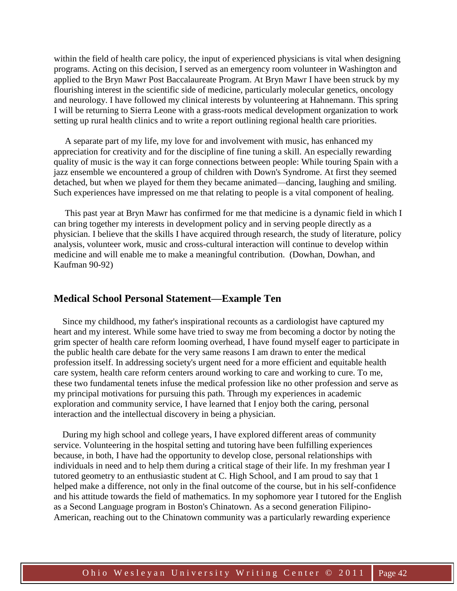within the field of health care policy, the input of experienced physicians is vital when designing programs. Acting on this decision, I served as an emergency room volunteer in Washington and applied to the Bryn Mawr Post Baccalaureate Program. At Bryn Mawr I have been struck by my flourishing interest in the scientific side of medicine, particularly molecular genetics, oncology and neurology. I have followed my clinical interests by volunteering at Hahnemann. This spring I will be returning to Sierra Leone with a grass-roots medical development organization to work setting up rural health clinics and to write a report outlining regional health care priorities.

 A separate part of my life, my love for and involvement with music, has enhanced my appreciation for creativity and for the discipline of fine tuning a skill. An especially rewarding quality of music is the way it can forge connections between people: While touring Spain with a jazz ensemble we encountered a group of children with Down's Syndrome. At first they seemed detached, but when we played for them they became animated—dancing, laughing and smiling. Such experiences have impressed on me that relating to people is a vital component of healing.

 This past year at Bryn Mawr has confirmed for me that medicine is a dynamic field in which I can bring together my interests in development policy and in serving people directly as a physician. I believe that the skills I have acquired through research, the study of literature, policy analysis, volunteer work, music and cross-cultural interaction will continue to develop within medicine and will enable me to make a meaningful contribution. (Dowhan, Dowhan, and Kaufman 90-92)

### **Medical School Personal Statement—Example Ten**

Since my childhood, my father's inspirational recounts as a cardiologist have captured my heart and my interest. While some have tried to sway me from becoming a doctor by noting the grim specter of health care reform looming overhead, I have found myself eager to participate in the public health care debate for the very same reasons I am drawn to enter the medical profession itself. In addressing society's urgent need for a more efficient and equitable health care system, health care reform centers around working to care and working to cure. To me, these two fundamental tenets infuse the medical profession like no other profession and serve as my principal motivations for pursuing this path. Through my experiences in academic exploration and community service, I have learned that I enjoy both the caring, personal interaction and the intellectual discovery in being a physician.

During my high school and college years, I have explored different areas of community service. Volunteering in the hospital setting and tutoring have been fulfilling experiences because, in both, I have had the opportunity to develop close, personal relationships with individuals in need and to help them during a critical stage of their life. In my freshman year I tutored geometry to an enthusiastic student at C. High School, and I am proud to say that 1 helped make a difference, not only in the final outcome of the course, but in his self-confidence and his attitude towards the field of mathematics. In my sophomore year I tutored for the English as a Second Language program in Boston's Chinatown. As a second generation Filipino-American, reaching out to the Chinatown community was a particularly rewarding experience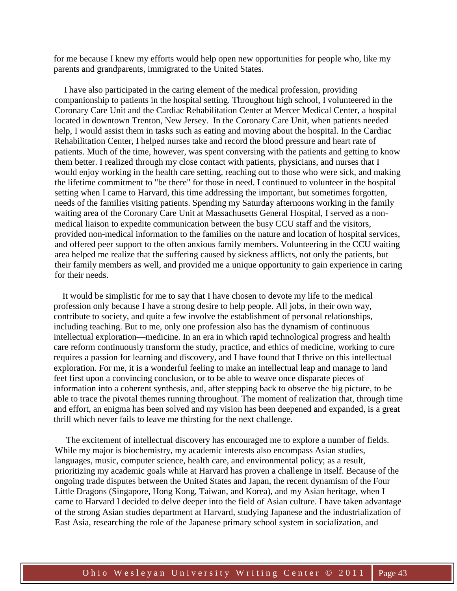for me because I knew my efforts would help open new opportunities for people who, like my parents and grandparents, immigrated to the United States.

I have also participated in the caring element of the medical profession, providing companionship to patients in the hospital setting. Throughout high school, I volunteered in the Coronary Care Unit and the Cardiac Rehabilitation Center at Mercer Medical Center, a hospital located in downtown Trenton, New Jersey. In the Coronary Care Unit, when patients needed help, I would assist them in tasks such as eating and moving about the hospital. In the Cardiac Rehabilitation Center, I helped nurses take and record the blood pressure and heart rate of patients. Much of the time, however, was spent conversing with the patients and getting to know them better. I realized through my close contact with patients, physicians, and nurses that I would enjoy working in the health care setting, reaching out to those who were sick, and making the lifetime commitment to "be there" for those in need. I continued to volunteer in the hospital setting when I came to Harvard, this time addressing the important, but sometimes forgotten, needs of the families visiting patients. Spending my Saturday afternoons working in the family waiting area of the Coronary Care Unit at Massachusetts General Hospital, I served as a nonmedical liaison to expedite communication between the busy CCU staff and the visitors, provided non-medical information to the families on the nature and location of hospital services, and offered peer support to the often anxious family members. Volunteering in the CCU waiting area helped me realize that the suffering caused by sickness afflicts, not only the patients, but their family members as well, and provided me a unique opportunity to gain experience in caring for their needs.

It would be simplistic for me to say that I have chosen to devote my life to the medical profession only because I have a strong desire to help people. All jobs, in their own way, contribute to society, and quite a few involve the establishment of personal relationships, including teaching. But to me, only one profession also has the dynamism of continuous intellectual exploration—medicine. In an era in which rapid technological progress and health care reform continuously transform the study, practice, and ethics of medicine, working to cure requires a passion for learning and discovery, and I have found that I thrive on this intellectual exploration. For me, it is a wonderful feeling to make an intellectual leap and manage to land feet first upon a convincing conclusion, or to be able to weave once disparate pieces of information into a coherent synthesis, and, after stepping back to observe the big picture, to be able to trace the pivotal themes running throughout. The moment of realization that, through time and effort, an enigma has been solved and my vision has been deepened and expanded, is a great thrill which never fails to leave me thirsting for the next challenge.

 The excitement of intellectual discovery has encouraged me to explore a number of fields. While my major is biochemistry, my academic interests also encompass Asian studies, languages, music, computer science, health care, and environmental policy; as a result, prioritizing my academic goals while at Harvard has proven a challenge in itself. Because of the ongoing trade disputes between the United States and Japan, the recent dynamism of the Four Little Dragons (Singapore, Hong Kong, Taiwan, and Korea), and my Asian heritage, when I came to Harvard I decided to delve deeper into the field of Asian culture. I have taken advantage of the strong Asian studies department at Harvard, studying Japanese and the industrialization of East Asia, researching the role of the Japanese primary school system in socialization, and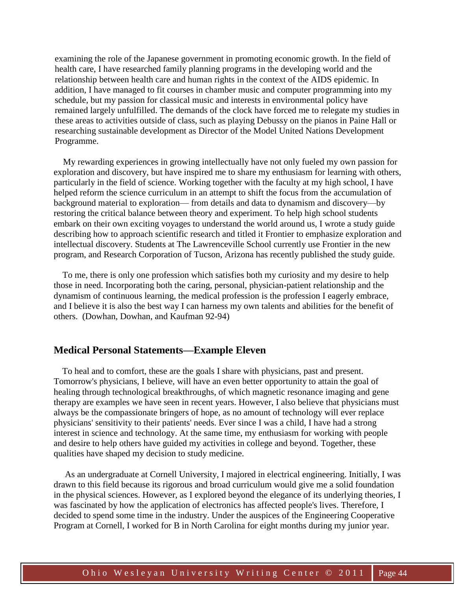examining the role of the Japanese government in promoting economic growth. In the field of health care, I have researched family planning programs in the developing world and the relationship between health care and human rights in the context of the AIDS epidemic. In addition, I have managed to fit courses in chamber music and computer programming into my schedule, but my passion for classical music and interests in environmental policy have remained largely unfulfilled. The demands of the clock have forced me to relegate my studies in these areas to activities outside of class, such as playing Debussy on the pianos in Paine Hall or researching sustainable development as Director of the Model United Nations Development Programme.

My rewarding experiences in growing intellectually have not only fueled my own passion for exploration and discovery, but have inspired me to share my enthusiasm for learning with others, particularly in the field of science. Working together with the faculty at my high school, I have helped reform the science curriculum in an attempt to shift the focus from the accumulation of background material to exploration— from details and data to dynamism and discovery—by restoring the critical balance between theory and experiment. To help high school students embark on their own exciting voyages to understand the world around us, I wrote a study guide describing how to approach scientific research and titled it Frontier to emphasize exploration and intellectual discovery. Students at The Lawrenceville School currently use Frontier in the new program, and Research Corporation of Tucson, Arizona has recently published the study guide.

To me, there is only one profession which satisfies both my curiosity and my desire to help those in need. Incorporating both the caring, personal, physician-patient relationship and the dynamism of continuous learning, the medical profession is the profession I eagerly embrace, and I believe it is also the best way I can harness my own talents and abilities for the benefit of others. (Dowhan, Dowhan, and Kaufman 92-94)

### **Medical Personal Statements—Example Eleven**

To heal and to comfort, these are the goals I share with physicians, past and present. Tomorrow's physicians, I believe, will have an even better opportunity to attain the goal of healing through technological breakthroughs, of which magnetic resonance imaging and gene therapy are examples we have seen in recent years. However, I also believe that physicians must always be the compassionate bringers of hope, as no amount of technology will ever replace physicians' sensitivity to their patients' needs. Ever since I was a child, I have had a strong interest in science and technology. At the same time, my enthusiasm for working with people and desire to help others have guided my activities in college and beyond. Together, these qualities have shaped my decision to study medicine.

 As an undergraduate at Cornell University, I majored in electrical engineering. Initially, I was drawn to this field because its rigorous and broad curriculum would give me a solid foundation in the physical sciences. However, as I explored beyond the elegance of its underlying theories, I was fascinated by how the application of electronics has affected people's lives. Therefore, I decided to spend some time in the industry. Under the auspices of the Engineering Cooperative Program at Cornell, I worked for B in North Carolina for eight months during my junior year.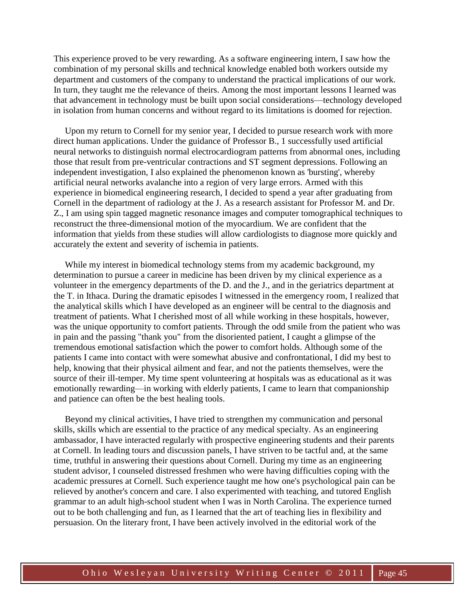This experience proved to be very rewarding. As a software engineering intern, I saw how the combination of my personal skills and technical knowledge enabled both workers outside my department and customers of the company to understand the practical implications of our work. In turn, they taught me the relevance of theirs. Among the most important lessons I learned was that advancement in technology must be built upon social considerations—technology developed in isolation from human concerns and without regard to its limitations is doomed for rejection.

 Upon my return to Cornell for my senior year, I decided to pursue research work with more direct human applications. Under the guidance of Professor B., 1 successfully used artificial neural networks to distinguish normal electrocardiogram patterns from abnormal ones, including those that result from pre-ventricular contractions and ST segment depressions. Following an independent investigation, I also explained the phenomenon known as 'bursting', whereby artificial neural networks avalanche into a region of very large errors. Armed with this experience in biomedical engineering research, I decided to spend a year after graduating from Cornell in the department of radiology at the J. As a research assistant for Professor M. and Dr. Z., I am using spin tagged magnetic resonance images and computer tomographical techniques to reconstruct the three-dimensional motion of the myocardium. We are confident that the information that yields from these studies will allow cardiologists to diagnose more quickly and accurately the extent and severity of ischemia in patients.

 While my interest in biomedical technology stems from my academic background, my determination to pursue a career in medicine has been driven by my clinical experience as a volunteer in the emergency departments of the D. and the J., and in the geriatrics department at the T. in Ithaca. During the dramatic episodes I witnessed in the emergency room, I realized that the analytical skills which I have developed as an engineer will be central to the diagnosis and treatment of patients. What I cherished most of all while working in these hospitals, however, was the unique opportunity to comfort patients. Through the odd smile from the patient who was in pain and the passing "thank you" from the disoriented patient, I caught a glimpse of the tremendous emotional satisfaction which the power to comfort holds. Although some of the patients I came into contact with were somewhat abusive and confrontational, I did my best to help, knowing that their physical ailment and fear, and not the patients themselves, were the source of their ill-temper. My time spent volunteering at hospitals was as educational as it was emotionally rewarding—in working with elderly patients, I came to learn that companionship and patience can often be the best healing tools.

 Beyond my clinical activities, I have tried to strengthen my communication and personal skills, skills which are essential to the practice of any medical specialty. As an engineering ambassador, I have interacted regularly with prospective engineering students and their parents at Cornell. In leading tours and discussion panels, I have striven to be tactful and, at the same time, truthful in answering their questions about Cornell. During my time as an engineering student advisor, I counseled distressed freshmen who were having difficulties coping with the academic pressures at Cornell. Such experience taught me how one's psychological pain can be relieved by another's concern and care. I also experimented with teaching, and tutored English grammar to an adult high-school student when I was in North Carolina. The experience turned out to be both challenging and fun, as I learned that the art of teaching lies in flexibility and persuasion. On the literary front, I have been actively involved in the editorial work of the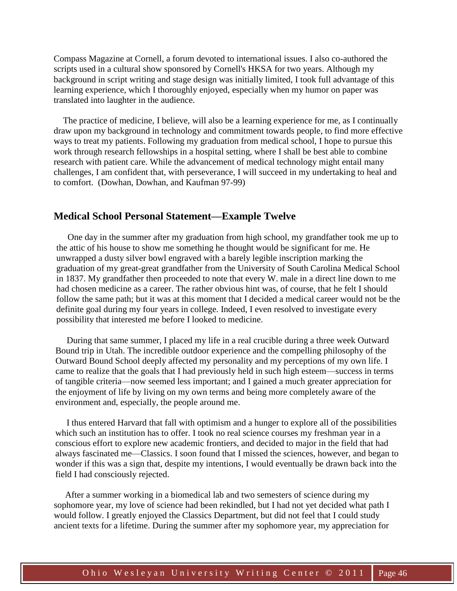Compass Magazine at Cornell, a forum devoted to international issues. I also co-authored the scripts used in a cultural show sponsored by Cornell's HKSA for two years. Although my background in script writing and stage design was initially limited, I took full advantage of this learning experience, which I thoroughly enjoyed, especially when my humor on paper was translated into laughter in the audience.

The practice of medicine, I believe, will also be a learning experience for me, as I continually draw upon my background in technology and commitment towards people, to find more effective ways to treat my patients. Following my graduation from medical school, I hope to pursue this work through research fellowships in a hospital setting, where I shall be best able to combine research with patient care. While the advancement of medical technology might entail many challenges, I am confident that, with perseverance, I will succeed in my undertaking to heal and to comfort. (Dowhan, Dowhan, and Kaufman 97-99)

#### **Medical School Personal Statement—Example Twelve**

 One day in the summer after my graduation from high school, my grandfather took me up to the attic of his house to show me something he thought would be significant for me. He unwrapped a dusty silver bowl engraved with a barely legible inscription marking the graduation of my great-great grandfather from the University of South Carolina Medical School in 1837. My grandfather then proceeded to note that every W. male in a direct line down to me had chosen medicine as a career. The rather obvious hint was, of course, that he felt I should follow the same path; but it was at this moment that I decided a medical career would not be the definite goal during my four years in college. Indeed, I even resolved to investigate every possibility that interested me before I looked to medicine.

 During that same summer, I placed my life in a real crucible during a three week Outward Bound trip in Utah. The incredible outdoor experience and the compelling philosophy of the Outward Bound School deeply affected my personality and my perceptions of my own life. I came to realize that the goals that I had previously held in such high esteem—success in terms of tangible criteria—now seemed less important; and I gained a much greater appreciation for the enjoyment of life by living on my own terms and being more completely aware of the environment and, especially, the people around me.

 I thus entered Harvard that fall with optimism and a hunger to explore all of the possibilities which such an institution has to offer. I took no real science courses my freshman year in a conscious effort to explore new academic frontiers, and decided to major in the field that had always fascinated me—Classics. I soon found that I missed the sciences, however, and began to wonder if this was a sign that, despite my intentions, I would eventually be drawn back into the field I had consciously rejected.

 After a summer working in a biomedical lab and two semesters of science during my sophomore year, my love of science had been rekindled, but I had not yet decided what path I would follow. I greatly enjoyed the Classics Department, but did not feel that I could study ancient texts for a lifetime. During the summer after my sophomore year, my appreciation for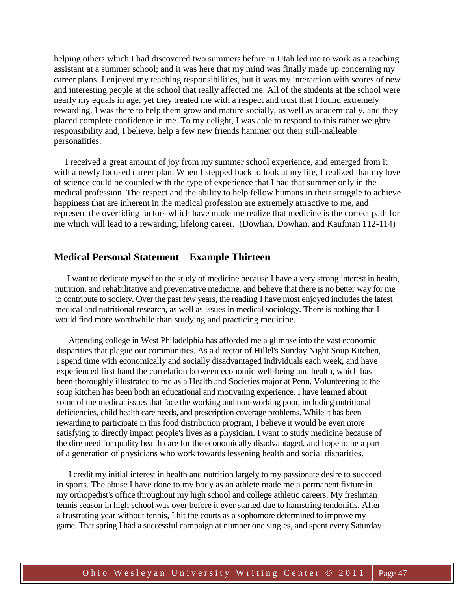helping others which I had discovered two summers before in Utah led me to work as a teaching assistant at a summer school; and it was here that my mind was finally made up concerning my career plans. I enjoyed my teaching responsibilities, but it was my interaction with scores of new and interesting people at the school that really affected me. All of the students at the school were nearly my equals in age, yet they treated me with a respect and trust that I found extremely rewarding. I was there to help them grow and mature socially, as well as academically, and they placed complete confidence in me. To my delight, I was able to respond to this rather weighty responsibility and, I believe, help a few new friends hammer out their still-malleable personalities.

 I received a great amount of joy from my summer school experience, and emerged from it with a newly focused career plan. When I stepped back to look at my life, I realized that my love of science could be coupled with the type of experience that I had that summer only in the medical profession. The respect and the ability to help fellow humans in their struggle to achieve happiness that are inherent in the medical profession are extremely attractive to me, and represent the overriding factors which have made me realize that medicine is the correct path for me which will lead to a rewarding, lifelong career. (Dowhan, Dowhan, and Kaufman 112-114)

#### **Medical Personal Statement—Example Thirteen**

I want to dedicate myself to the study of medicine because I have a very strong interest in health, nutrition, and rehabilitative and preventative medicine, and believe that there is no better way for me to contribute to society. Over the past few years, the reading I have most enjoyed includes the latest medical and nutritional research, as well as issues in medical sociology. There is nothing that I would find more worthwhile than studying and practicing medicine.

Attending college in West Philadelphia has afforded me a glimpse into the vast economic disparities that plague our communities. As a director of Hillel's Sunday Night Soup Kitchen, I spend time with economically and socially disadvantaged individuals each week, and have experienced first hand the correlation between economic well-being and health, which has been thoroughly illustrated to me as a Health and Societies major at Penn. Volunteering at the soup kitchen has been both an educational and motivating experience. I have learned about some of the medical issues that face the working and non-working poor, including nutritional deficiencies, child health care needs, and prescription coverage problems. While it has been rewarding to participate in this food distribution program, I believe it would be even more satisfying to directly impact people's lives as a physician. I want to study medicine because of the dire need for quality health care for the economically disadvantaged, and hope to be a part of a generation of physicians who work towards lessening health and social disparities.

I credit my initial interest in health and nutrition largely to my passionate desire to succeed in sports. The abuse I have done to my body as an athlete made me a permanent fixture in my orthopedist's office throughout my high school and college athletic careers. My freshman tennis season in high school was over before it ever started due to hamstring tendonitis. After a frustrating year without tennis, I hit the courts as a sophomore determined to improve my game. That spring I had a successful campaign at number one singles, and spent every Saturday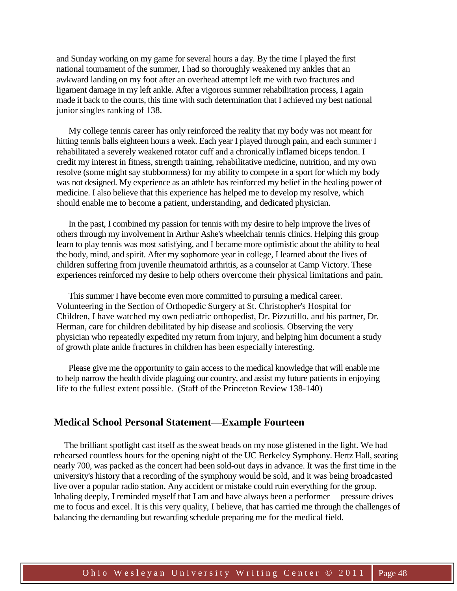and Sunday working on my game for several hours a day. By the time I played the first national tournament of the summer, I had so thoroughly weakened my ankles that an awkward landing on my foot after an overhead attempt left me with two fractures and ligament damage in my left ankle. After a vigorous summer rehabilitation process, I again made it back to the courts, this time with such determination that I achieved my best national junior singles ranking of 138.

My college tennis career has only reinforced the reality that my body was not meant for hitting tennis balls eighteen hours a week. Each year I played through pain, and each summer I rehabilitated a severely weakened rotator cuff and a chronically inflamed biceps tendon. I credit my interest in fitness, strength training, rehabilitative medicine, nutrition, and my own resolve (some might say stubbornness) for my ability to compete in a sport for which my body was not designed. My experience as an athlete has reinforced my belief in the healing power of medicine. I also believe that this experience has helped me to develop my resolve, which should enable me to become a patient, understanding, and dedicated physician.

In the past, I combined my passion for tennis with my desire to help improve the lives of others through my involvement in Arthur Ashe's wheelchair tennis clinics. Helping this group learn to play tennis was most satisfying, and I became more optimistic about the ability to heal the body, mind, and spirit. After my sophomore year in college, I learned about the lives of children suffering from juvenile rheumatoid arthritis, as a counselor at Camp Victory. These experiences reinforced my desire to help others overcome their physical limitations and pain.

This summer I have become even more committed to pursuing a medical career. Volunteering in the Section of Orthopedic Surgery at St. Christopher's Hospital for Children, I have watched my own pediatric orthopedist, Dr. Pizzutillo, and his partner, Dr. Herman, care for children debilitated by hip disease and scoliosis. Observing the very physician who repeatedly expedited my return from injury, and helping him document a study of growth plate ankle fractures in children has been especially interesting.

Please give me the opportunity to gain access to the medical knowledge that will enable me to help narrow the health divide plaguing our country, and assist my future patients in enjoying life to the fullest extent possible. (Staff of the Princeton Review 138-140)

#### **Medical School Personal Statement—Example Fourteen**

The brilliant spotlight cast itself as the sweat beads on my nose glistened in the light. We had rehearsed countless hours for the opening night of the UC Berkeley Symphony. Hertz Hall, seating nearly 700, was packed as the concert had been sold-out days in advance. It was the first time in the university's history that a recording of the symphony would be sold, and it was being broadcasted live over a popular radio station. Any accident or mistake could ruin everything for the group. Inhaling deeply, I reminded myself that I am and have always been a performer— pressure drives me to focus and excel. It is this very quality, I believe, that has carried me through the challenges of balancing the demanding but rewarding schedule preparing me for the medical field.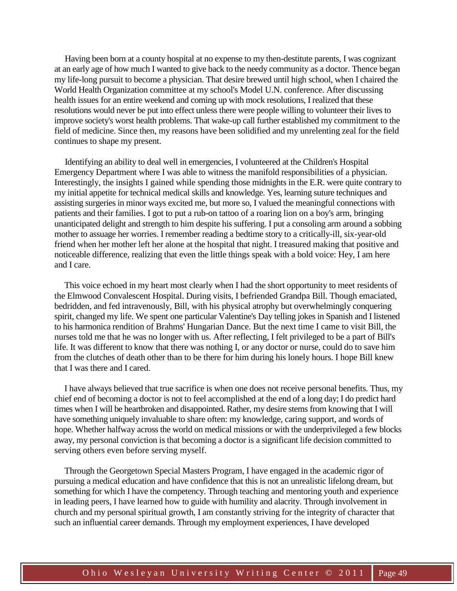Having been born at a county hospital at no expense to my then-destitute parents, I was cognizant at an early age of how much I wanted to give back to the needy community as a doctor. Thence began my life-long pursuit to become a physician. That desire brewed until high school, when I chaired the World Health Organization committee at my school's Model U.N. conference. After discussing health issues for an entire weekend and coming up with mock resolutions, I realized that these resolutions would never be put into effect unless there were people willing to volunteer their lives to improve society's worst health problems. That wake-up call further established my commitment to the field of medicine. Since then, my reasons have been solidified and my unrelenting zeal for the field continues to shape my present.

 Identifying an ability to deal well in emergencies, I volunteered at the Children's Hospital Emergency Department where I was able to witness the manifold responsibilities of a physician. Interestingly, the insights I gained while spending those midnights in the E.R. were quite contrary to my initial appetite for technical medical skills and knowledge. Yes, learning suture techniques and assisting surgeries in minor ways excited me, but more so, I valued the meaningful connections with patients and their families. I got to put a rub-on tattoo of a roaring lion on a boy's arm, bringing unanticipated delight and strength to him despite his suffering. I put a consoling arm around a sobbing mother to assuage her worries. I remember reading a bedtime story to a critically-ill, six-year-old friend when her mother left her alone at the hospital that night. I treasured making that positive and noticeable difference, realizing that even the little things speak with a bold voice: Hey, I am here and I care.

This voice echoed in my heart most clearly when I had the short opportunity to meet residents of the Elmwood Convalescent Hospital. During visits, I befriended Grandpa Bill. Though emaciated, bedridden, and fed intravenously, Bill, with his physical atrophy but overwhelmingly conquering spirit, changed my life. We spent one particular Valentine's Day telling jokes in Spanish and I listened to his harmonica rendition of Brahms' Hungarian Dance. But the next time I came to visit Bill, the nurses told me that he was no longer with us. After reflecting, I felt privileged to be a part of Bill's life. It was different to know that there was nothing I, or any doctor or nurse, could do to save him from the clutches of death other than to be there for him during his lonely hours. I hope Bill knew that I was there and I cared.

I have always believed that true sacrifice is when one does not receive personal benefits. Thus, my chief end of becoming a doctor is not to feel accomplished at the end of a long day; I do predict hard times when I will be heartbroken and disappointed. Rather, my desire stems from knowing that I will have something uniquely invaluable to share often: my knowledge, caring support, and words of hope. Whether halfway across the world on medical missions or with the underprivileged a few blocks away, my personal conviction is that becoming a doctor is a significant life decision committed to serving others even before serving myself.

Through the Georgetown Special Masters Program, I have engaged in the academic rigor of pursuing a medical education and have confidence that this is not an unrealistic lifelong dream, but something for which I have the competency. Through teaching and mentoring youth and experience in leading peers, I have learned how to guide with humility and alacrity. Through involvement in church and my personal spiritual growth, I am constantly striving for the integrity of character that such an influential career demands. Through my employment experiences, I have developed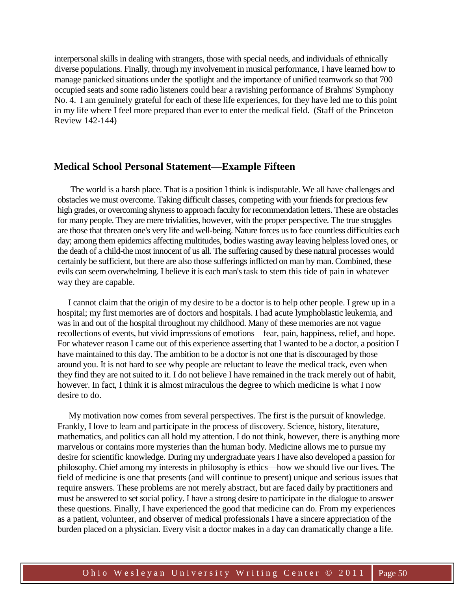interpersonal skills in dealing with strangers, those with special needs, and individuals of ethnically diverse populations. Finally, through my involvement in musical performance, I have learned how to manage panicked situations under the spotlight and the importance of unified teamwork so that 700 occupied seats and some radio listeners could hear a ravishing performance of Brahms' Symphony No. 4. I am genuinely grateful for each of these life experiences, for they have led me to this point in my life where I feel more prepared than ever to enter the medical field. (Staff of the Princeton Review 142-144)

#### **Medical School Personal Statement—Example Fifteen**

The world is a harsh place. That is a position I think is indisputable. We all have challenges and obstacles we must overcome. Taking difficult classes, competing with your friends for precious few high grades, or overcoming shyness to approach faculty for recommendation letters. These are obstacles for many people. They are mere trivialities, however, with the proper perspective. The true struggles are those that threaten one's very life and well-being. Nature forces us to face countless difficulties each day; among them epidemics affecting multitudes, bodies wasting away leaving helpless loved ones, or the death of a child-the most innocent of us all. The suffering caused by these natural processes would certainly be sufficient, but there are also those sufferings inflicted on man by man. Combined, these evils can seem overwhelming. I believe it is each man's task to stem this tide of pain in whatever way they are capable.

 I cannot claim that the origin of my desire to be a doctor is to help other people. I grew up in a hospital; my first memories are of doctors and hospitals. I had acute lymphoblastic leukemia, and was in and out of the hospital throughout my childhood. Many of these memories are not vague recollections of events, but vivid impressions of emotions—fear, pain, happiness, relief, and hope. For whatever reason I came out of this experience asserting that I wanted to be a doctor, a position I have maintained to this day. The ambition to be a doctor is not one that is discouraged by those around you. It is not hard to see why people are reluctant to leave the medical track, even when they find they are not suited to it. I do not believe I have remained in the track merely out of habit, however. In fact, I think it is almost miraculous the degree to which medicine is what I now desire to do.

 My motivation now comes from several perspectives. The first is the pursuit of knowledge. Frankly, I love to learn and participate in the process of discovery. Science, history, literature, mathematics, and politics can all hold my attention. I do not think, however, there is anything more marvelous or contains more mysteries than the human body. Medicine allows me to pursue my desire for scientific knowledge. During my undergraduate years I have also developed a passion for philosophy. Chief among my interests in philosophy is ethics—how we should live our lives. The field of medicine is one that presents (and will continue to present) unique and serious issues that require answers. These problems are not merely abstract, but are faced daily by practitioners and must be answered to set social policy. I have a strong desire to participate in the dialogue to answer these questions. Finally, I have experienced the good that medicine can do. From my experiences as a patient, volunteer, and observer of medical professionals I have a sincere appreciation of the burden placed on a physician. Every visit a doctor makes in a day can dramatically change a life.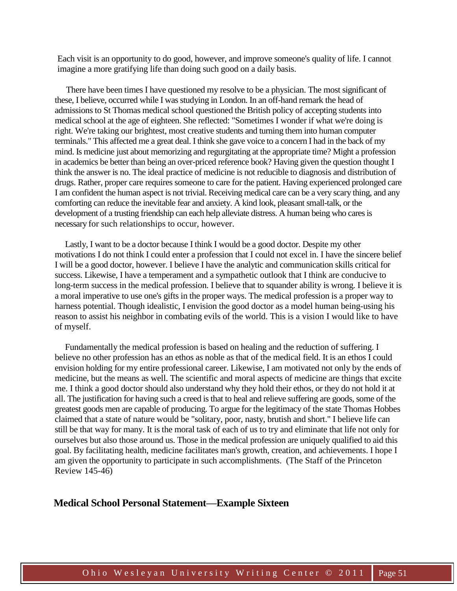Each visit is an opportunity to do good, however, and improve someone's quality of life. I cannot imagine a more gratifying life than doing such good on a daily basis.

 There have been times I have questioned my resolve to be a physician. The most significant of these, I believe, occurred while I was studying in London. In an off-hand remark the head of admissions to St Thomas medical school questioned the British policy of accepting students into medical school at the age of eighteen. She reflected: "Sometimes I wonder if what we're doing is right. We're taking our brightest, most creative students and turning them into human computer terminals." This affected me a great deal. I think she gave voice to a concern I had in the back of my mind. Is medicine just about memorizing and regurgitating at the appropriate time? Might a profession in academics be better than being an over-priced reference book? Having given the question thought I think the answer is no. The ideal practice of medicine is not reducible to diagnosis and distribution of drugs. Rather, proper care requires someone to care for the patient. Having experienced prolonged care I am confident the human aspect is not trivial. Receiving medical care can be a very scary thing, and any comforting can reduce the inevitable fear and anxiety. A kind look, pleasant small-talk, or the development of a trusting friendship can each help alleviate distress. A human being who cares is necessary for such relationships to occur, however.

Lastly, I want to be a doctor because I think I would be a good doctor. Despite my other motivations I do not think I could enter a profession that I could not excel in. I have the sincere belief I will be a good doctor, however. I believe I have the analytic and communication skills critical for success. Likewise, I have a temperament and a sympathetic outlook that I think are conducive to long-term success in the medical profession. I believe that to squander ability is wrong. I believe it is a moral imperative to use one's gifts in the proper ways. The medical profession is a proper way to harness potential. Though idealistic, I envision the good doctor as a model human being-using his reason to assist his neighbor in combating evils of the world. This is a vision I would like to have of myself.

Fundamentally the medical profession is based on healing and the reduction of suffering. I believe no other profession has an ethos as noble as that of the medical field. It is an ethos I could envision holding for my entire professional career. Likewise, I am motivated not only by the ends of medicine, but the means as well. The scientific and moral aspects of medicine are things that excite me. I think a good doctor should also understand why they hold their ethos, or they do not hold it at all. The justification for having such a creed is that to heal and relieve suffering are goods, some of the greatest goods men are capable of producing. To argue for the legitimacy of the state Thomas Hobbes claimed that a state of nature would be "solitary, poor, nasty, brutish and short." I believe life can still be that way for many. It is the moral task of each of us to try and eliminate that life not only for ourselves but also those around us. Those in the medical profession are uniquely qualified to aid this goal. By facilitating health, medicine facilitates man's growth, creation, and achievements. I hope I am given the opportunity to participate in such accomplishments. (The Staff of the Princeton Review 145-46)

#### **Medical School Personal Statement—Example Sixteen**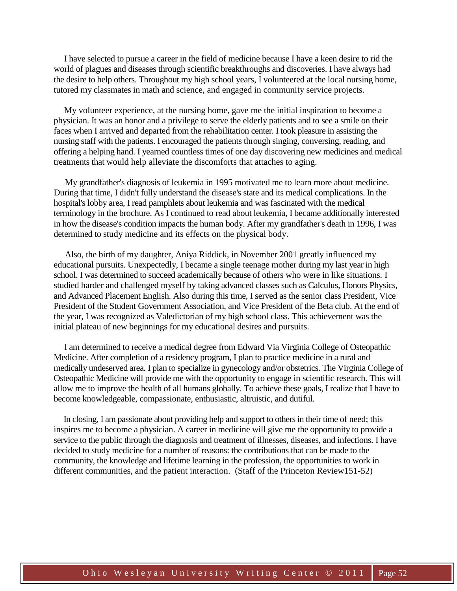I have selected to pursue a career in the field of medicine because I have a keen desire to rid the world of plagues and diseases through scientific breakthroughs and discoveries. I have always had the desire to help others. Throughout my high school years, I volunteered at the local nursing home, tutored my classmates in math and science, and engaged in community service projects.

My volunteer experience, at the nursing home, gave me the initial inspiration to become a physician. It was an honor and a privilege to serve the elderly patients and to see a smile on their faces when I arrived and departed from the rehabilitation center. I took pleasure in assisting the nursing staff with the patients. I encouraged the patients through singing, conversing, reading, and offering a helping hand. I yearned countless times of one day discovering new medicines and medical treatments that would help alleviate the discomforts that attaches to aging.

 My grandfather's diagnosis of leukemia in 1995 motivated me to learn more about medicine. During that time, I didn't fully understand the disease's state and its medical complications. In the hospital's lobby area, I read pamphlets about leukemia and was fascinated with the medical terminology in the brochure. As I continued to read about leukemia, I became additionally interested in how the disease's condition impacts the human body. After my grandfather's death in 1996, I was determined to study medicine and its effects on the physical body.

 Also, the birth of my daughter, Aniya Riddick, in November 2001 greatly influenced my educational pursuits. Unexpectedly, I became a single teenage mother during my last year in high school. I was determined to succeed academically because of others who were in like situations. I studied harder and challenged myself by taking advanced classes such as Calculus, Honors Physics, and Advanced Placement English. Also during this time, I served as the senior class President, Vice President of the Student Government Association, and Vice President of the Beta club. At the end of the year, I was recognized as Valedictorian of my high school class. This achievement was the initial plateau of new beginnings for my educational desires and pursuits.

 I am determined to receive a medical degree from Edward Via Virginia College of Osteopathic Medicine. After completion of a residency program, I plan to practice medicine in a rural and medically undeserved area. I plan to specialize in gynecology and/or obstetrics. The Virginia College of Osteopathic Medicine will provide me with the opportunity to engage in scientific research. This will allow me to improve the health of all humans globally. To achieve these goals, I realize that I have to become knowledgeable, compassionate, enthusiastic, altruistic, and dutiful.

 In closing, I am passionate about providing help and support to others in their time of need; this inspires me to become a physician. A career in medicine will give me the opportunity to provide a service to the public through the diagnosis and treatment of illnesses, diseases, and infections. I have decided to study medicine for a number of reasons: the contributions that can be made to the community, the knowledge and lifetime learning in the profession, the opportunities to work in different communities, and the patient interaction. (Staff of the Princeton Review151-52)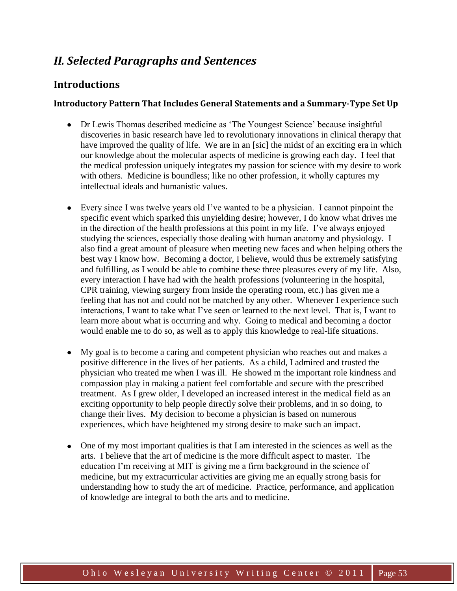# *II. Selected Paragraphs and Sentences*

### **Introductions**

### **Introductory Pattern That Includes General Statements and a Summary-Type Set Up**

- Dr Lewis Thomas described medicine as "The Youngest Science" because insightful  $\bullet$ discoveries in basic research have led to revolutionary innovations in clinical therapy that have improved the quality of life. We are in an [sic] the midst of an exciting era in which our knowledge about the molecular aspects of medicine is growing each day. I feel that the medical profession uniquely integrates my passion for science with my desire to work with others. Medicine is boundless; like no other profession, it wholly captures my intellectual ideals and humanistic values.
- Every since I was twelve years old I"ve wanted to be a physician. I cannot pinpoint the specific event which sparked this unyielding desire; however, I do know what drives me in the direction of the health professions at this point in my life. I"ve always enjoyed studying the sciences, especially those dealing with human anatomy and physiology. I also find a great amount of pleasure when meeting new faces and when helping others the best way I know how. Becoming a doctor, I believe, would thus be extremely satisfying and fulfilling, as I would be able to combine these three pleasures every of my life. Also, every interaction I have had with the health professions (volunteering in the hospital, CPR training, viewing surgery from inside the operating room, etc.) has given me a feeling that has not and could not be matched by any other. Whenever I experience such interactions, I want to take what I"ve seen or learned to the next level. That is, I want to learn more about what is occurring and why. Going to medical and becoming a doctor would enable me to do so, as well as to apply this knowledge to real-life situations.
- My goal is to become a caring and competent physician who reaches out and makes a positive difference in the lives of her patients. As a child, I admired and trusted the physician who treated me when I was ill. He showed m the important role kindness and compassion play in making a patient feel comfortable and secure with the prescribed treatment. As I grew older, I developed an increased interest in the medical field as an exciting opportunity to help people directly solve their problems, and in so doing, to change their lives. My decision to become a physician is based on numerous experiences, which have heightened my strong desire to make such an impact.
- One of my most important qualities is that I am interested in the sciences as well as the arts. I believe that the art of medicine is the more difficult aspect to master. The education I"m receiving at MIT is giving me a firm background in the science of medicine, but my extracurricular activities are giving me an equally strong basis for understanding how to study the art of medicine. Practice, performance, and application of knowledge are integral to both the arts and to medicine.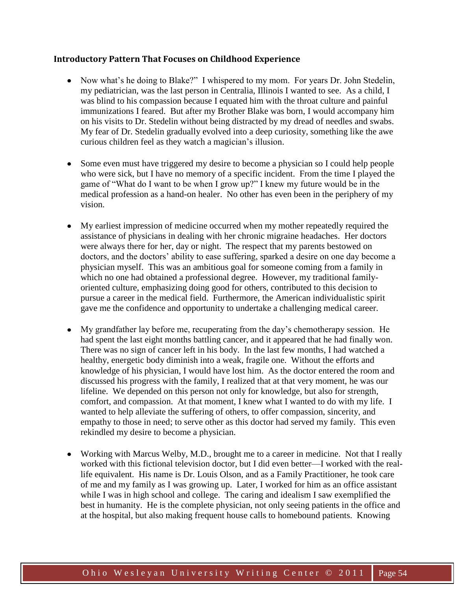### **Introductory Pattern That Focuses on Childhood Experience**

- Now what's he doing to Blake?" I whispered to my mom. For years Dr. John Stedelin, my pediatrician, was the last person in Centralia, Illinois I wanted to see. As a child, I was blind to his compassion because I equated him with the throat culture and painful immunizations I feared. But after my Brother Blake was born, I would accompany him on his visits to Dr. Stedelin without being distracted by my dread of needles and swabs. My fear of Dr. Stedelin gradually evolved into a deep curiosity, something like the awe curious children feel as they watch a magician"s illusion.
- Some even must have triggered my desire to become a physician so I could help people who were sick, but I have no memory of a specific incident. From the time I played the game of "What do I want to be when I grow up?" I knew my future would be in the medical profession as a hand-on healer. No other has even been in the periphery of my vision.
- My earliest impression of medicine occurred when my mother repeatedly required the assistance of physicians in dealing with her chronic migraine headaches. Her doctors were always there for her, day or night. The respect that my parents bestowed on doctors, and the doctors' ability to ease suffering, sparked a desire on one day become a physician myself. This was an ambitious goal for someone coming from a family in which no one had obtained a professional degree. However, my traditional familyoriented culture, emphasizing doing good for others, contributed to this decision to pursue a career in the medical field. Furthermore, the American individualistic spirit gave me the confidence and opportunity to undertake a challenging medical career.
- My grandfather lay before me, recuperating from the day"s chemotherapy session. He  $\bullet$ had spent the last eight months battling cancer, and it appeared that he had finally won. There was no sign of cancer left in his body. In the last few months, I had watched a healthy, energetic body diminish into a weak, fragile one. Without the efforts and knowledge of his physician, I would have lost him. As the doctor entered the room and discussed his progress with the family, I realized that at that very moment, he was our lifeline. We depended on this person not only for knowledge, but also for strength, comfort, and compassion. At that moment, I knew what I wanted to do with my life. I wanted to help alleviate the suffering of others, to offer compassion, sincerity, and empathy to those in need; to serve other as this doctor had served my family. This even rekindled my desire to become a physician.
- Working with Marcus Welby, M.D., brought me to a career in medicine. Not that I really worked with this fictional television doctor, but I did even better—I worked with the reallife equivalent. His name is Dr. Louis Olson, and as a Family Practitioner, he took care of me and my family as I was growing up. Later, I worked for him as an office assistant while I was in high school and college. The caring and idealism I saw exemplified the best in humanity. He is the complete physician, not only seeing patients in the office and at the hospital, but also making frequent house calls to homebound patients. Knowing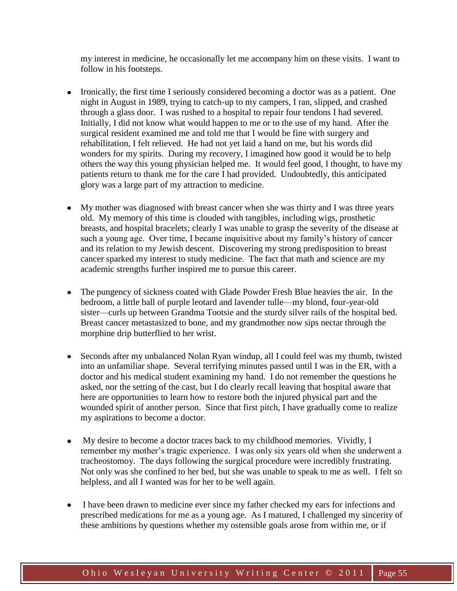my interest in medicine, he occasionally let me accompany him on these visits. I want to follow in his footsteps.

- Ironically, the first time I seriously considered becoming a doctor was as a patient. One night in August in 1989, trying to catch-up to my campers, I ran, slipped, and crashed through a glass door. I was rushed to a hospital to repair four tendons I had severed. Initially, I did not know what would happen to me or to the use of my hand. After the surgical resident examined me and told me that I would be fine with surgery and rehabilitation, I felt relieved. He had not yet laid a hand on me, but his words did wonders for my spirits. During my recovery, I imagined how good it would be to help others the way this young physician helped me. It would feel good, I thought, to have my patients return to thank me for the care I had provided. Undoubtedly, this anticipated glory was a large part of my attraction to medicine.
- My mother was diagnosed with breast cancer when she was thirty and I was three years old. My memory of this time is clouded with tangibles, including wigs, prosthetic breasts, and hospital bracelets; clearly I was unable to grasp the severity of the disease at such a young age. Over time, I became inquisitive about my family"s history of cancer and its relation to my Jewish descent. Discovering my strong predisposition to breast cancer sparked my interest to study medicine. The fact that math and science are my academic strengths further inspired me to pursue this career.
- The pungency of sickness coated with Glade Powder Fresh Blue heavies the air. In the bedroom, a little ball of purple leotard and lavender tulle—my blond, four-year-old sister—curls up between Grandma Tootsie and the sturdy silver rails of the hospital bed. Breast cancer metastasized to bone, and my grandmother now sips nectar through the morphine drip butterflied to her wrist.
- Seconds after my unbalanced Nolan Ryan windup, all I could feel was my thumb, twisted into an unfamiliar shape. Several terrifying minutes passed until I was in the ER, with a doctor and his medical student examining my hand. I do not remember the questions he asked, nor the setting of the cast, but I do clearly recall leaving that hospital aware that here are opportunities to learn how to restore both the injured physical part and the wounded spirit of another person. Since that first pitch, I have gradually come to realize my aspirations to become a doctor.
- My desire to become a doctor traces back to my childhood memories. Vividly, I  $\bullet$ remember my mother"s tragic experience. I was only six years old when she underwent a tracheostomoy. The days following the surgical procedure were incredibly frustrating. Not only was she confined to her bed, but she was unable to speak to me as well. I felt so helpless, and all I wanted was for her to be well again.
- I have been drawn to medicine ever since my father checked my ears for infections and  $\bullet$ prescribed medications for me as a young age. As I matured, I challenged my sincerity of these ambitions by questions whether my ostensible goals arose from within me, or if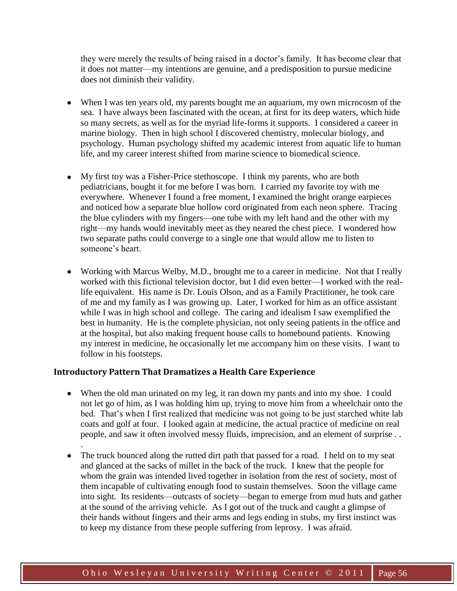they were merely the results of being raised in a doctor"s family. It has become clear that it does not matter—my intentions are genuine, and a predisposition to pursue medicine does not diminish their validity.

- When I was ten years old, my parents bought me an aquarium, my own microcosm of the sea. I have always been fascinated with the ocean, at first for its deep waters, which hide so many secrets, as well as for the myriad life-forms it supports. I considered a career in marine biology. Then in high school I discovered chemistry, molecular biology, and psychology. Human psychology shifted my academic interest from aquatic life to human life, and my career interest shifted from marine science to biomedical science.
- My first toy was a Fisher-Price stethoscope. I think my parents, who are both pediatricians, bought it for me before I was born. I carried my favorite toy with me everywhere. Whenever I found a free moment, I examined the bright orange earpieces and noticed how a separate blue hollow cord originated from each neon sphere. Tracing the blue cylinders with my fingers—one tube with my left hand and the other with my right—my hands would inevitably meet as they neared the chest piece. I wondered how two separate paths could converge to a single one that would allow me to listen to someone's heart.
- Working with Marcus Welby, M.D., brought me to a career in medicine. Not that I really worked with this fictional television doctor, but I did even better—I worked with the reallife equivalent. His name is Dr. Louis Olson, and as a Family Practitioner, he took care of me and my family as I was growing up. Later, I worked for him as an office assistant while I was in high school and college. The caring and idealism I saw exemplified the best in humanity. He is the complete physician, not only seeing patients in the office and at the hospital, but also making frequent house calls to homebound patients. Knowing my interest in medicine, he occasionally let me accompany him on these visits. I want to follow in his footsteps.

### **Introductory Pattern That Dramatizes a Health Care Experience**

.

- When the old man urinated on my leg, it ran down my pants and into my shoe. I could not let go of him, as I was holding him up, trying to move him from a wheelchair onto the bed. That's when I first realized that medicine was not going to be just starched white lab coats and golf at four. I looked again at medicine, the actual practice of medicine on real people, and saw it often involved messy fluids, imprecision, and an element of surprise . .
- The truck bounced along the rutted dirt path that passed for a road. I held on to my seat and glanced at the sacks of millet in the back of the truck. I knew that the people for whom the grain was intended lived together in isolation from the rest of society, most of them incapable of cultivating enough food to sustain themselves. Soon the village came into sight. Its residents—outcasts of society—began to emerge from mud huts and gather at the sound of the arriving vehicle. As I got out of the truck and caught a glimpse of their hands without fingers and their arms and legs ending in stubs, my first instinct was to keep my distance from these people suffering from leprosy. I was afraid.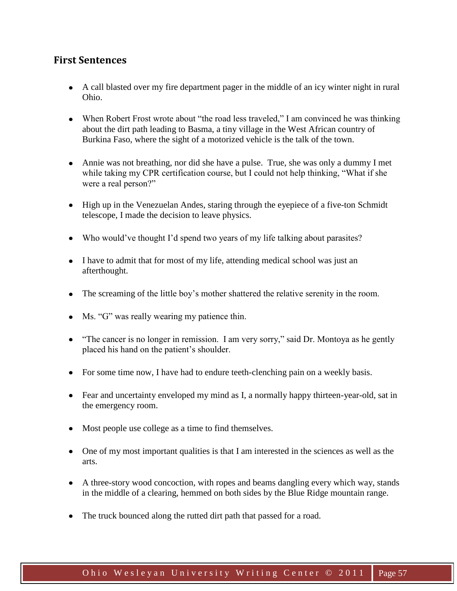# **First Sentences**

- A call blasted over my fire department pager in the middle of an icy winter night in rural Ohio.
- When Robert Frost wrote about "the road less traveled," I am convinced he was thinking about the dirt path leading to Basma, a tiny village in the West African country of Burkina Faso, where the sight of a motorized vehicle is the talk of the town.
- Annie was not breathing, nor did she have a pulse. True, she was only a dummy I met while taking my CPR certification course, but I could not help thinking, "What if she were a real person?"
- High up in the Venezuelan Andes, staring through the eyepiece of a five-ton Schmidt telescope, I made the decision to leave physics.
- Who would've thought I'd spend two years of my life talking about parasites?  $\bullet$
- I have to admit that for most of my life, attending medical school was just an afterthought.
- The screaming of the little boy"s mother shattered the relative serenity in the room.  $\bullet$
- Ms. "G" was really wearing my patience thin.
- "The cancer is no longer in remission. I am very sorry," said Dr. Montoya as he gently placed his hand on the patient's shoulder.
- For some time now, I have had to endure teeth-clenching pain on a weekly basis.
- Fear and uncertainty enveloped my mind as I, a normally happy thirteen-year-old, sat in the emergency room.
- Most people use college as a time to find themselves.
- One of my most important qualities is that I am interested in the sciences as well as the arts.
- A three-story wood concoction, with ropes and beams dangling every which way, stands in the middle of a clearing, hemmed on both sides by the Blue Ridge mountain range.
- The truck bounced along the rutted dirt path that passed for a road.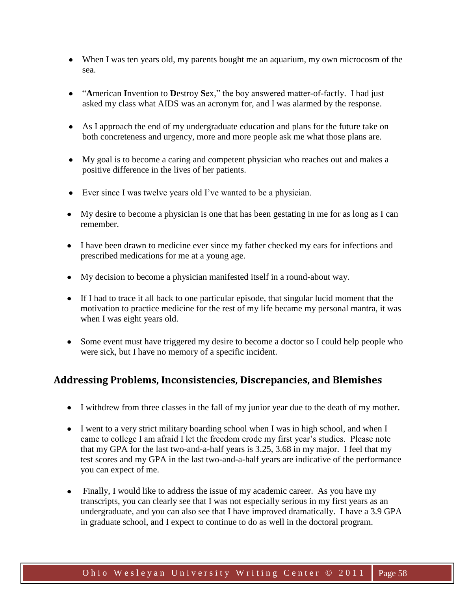- When I was ten years old, my parents bought me an aquarium, my own microcosm of the sea.
- "**A**merican **I**nvention to **D**estroy **S**ex," the boy answered matter-of-factly. I had just asked my class what AIDS was an acronym for, and I was alarmed by the response.
- As I approach the end of my undergraduate education and plans for the future take on both concreteness and urgency, more and more people ask me what those plans are.
- My goal is to become a caring and competent physician who reaches out and makes a positive difference in the lives of her patients.
- Ever since I was twelve years old I"ve wanted to be a physician.
- My desire to become a physician is one that has been gestating in me for as long as I can remember.
- I have been drawn to medicine ever since my father checked my ears for infections and prescribed medications for me at a young age.
- My decision to become a physician manifested itself in a round-about way.
- If I had to trace it all back to one particular episode, that singular lucid moment that the motivation to practice medicine for the rest of my life became my personal mantra, it was when I was eight years old.
- Some event must have triggered my desire to become a doctor so I could help people who were sick, but I have no memory of a specific incident.

# **Addressing Problems, Inconsistencies, Discrepancies, and Blemishes**

- I withdrew from three classes in the fall of my junior year due to the death of my mother.
- I went to a very strict military boarding school when I was in high school, and when I came to college I am afraid I let the freedom erode my first year's studies. Please note that my GPA for the last two-and-a-half years is 3.25, 3.68 in my major. I feel that my test scores and my GPA in the last two-and-a-half years are indicative of the performance you can expect of me.
- Finally, I would like to address the issue of my academic career. As you have my transcripts, you can clearly see that I was not especially serious in my first years as an undergraduate, and you can also see that I have improved dramatically. I have a 3.9 GPA in graduate school, and I expect to continue to do as well in the doctoral program.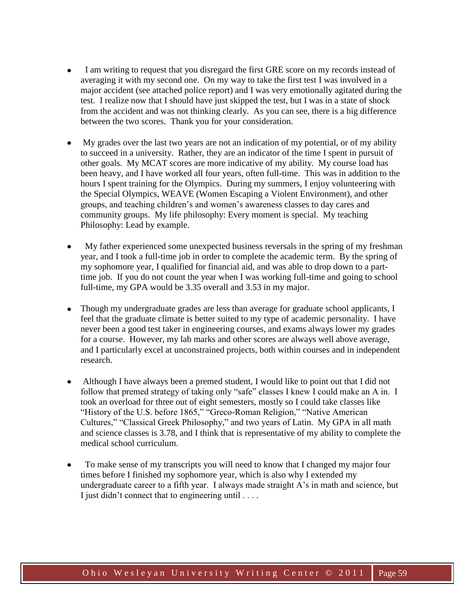- I am writing to request that you disregard the first GRE score on my records instead of  $\bullet$ averaging it with my second one. On my way to take the first test I was involved in a major accident (see attached police report) and I was very emotionally agitated during the test. I realize now that I should have just skipped the test, but I was in a state of shock from the accident and was not thinking clearly. As you can see, there is a big difference between the two scores. Thank you for your consideration.
- My grades over the last two years are not an indication of my potential, or of my ability to succeed in a university. Rather, they are an indicator of the time I spent in pursuit of other goals. My MCAT scores are more indicative of my ability. My course load has been heavy, and I have worked all four years, often full-time. This was in addition to the hours I spent training for the Olympics. During my summers, I enjoy volunteering with the Special Olympics, WEAVE (Women Escaping a Violent Environment), and other groups, and teaching children"s and women"s awareness classes to day cares and community groups. My life philosophy: Every moment is special. My teaching Philosophy: Lead by example.
- My father experienced some unexpected business reversals in the spring of my freshman year, and I took a full-time job in order to complete the academic term. By the spring of my sophomore year, I qualified for financial aid, and was able to drop down to a parttime job. If you do not count the year when I was working full-time and going to school full-time, my GPA would be 3.35 overall and 3.53 in my major.
- Though my undergraduate grades are less than average for graduate school applicants, I  $\bullet$ feel that the graduate climate is better suited to my type of academic personality. I have never been a good test taker in engineering courses, and exams always lower my grades for a course. However, my lab marks and other scores are always well above average, and I particularly excel at unconstrained projects, both within courses and in independent research.
- Although I have always been a premed student, I would like to point out that I did not follow that premed strategy of taking only "safe" classes I knew I could make an A in. I took an overload for three out of eight semesters, mostly so I could take classes like "History of the U.S. before 1865," "Greco-Roman Religion," "Native American Cultures," "Classical Greek Philosophy," and two years of Latin. My GPA in all math and science classes is 3.78, and I think that is representative of my ability to complete the medical school curriculum.
- To make sense of my transcripts you will need to know that I changed my major four times before I finished my sophomore year, which is also why I extended my undergraduate career to a fifth year. I always made straight A"s in math and science, but I just didn't connect that to engineering until . . . .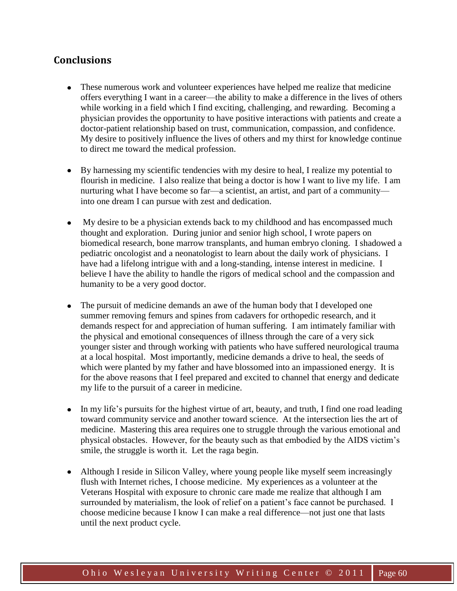# **Conclusions**

- These numerous work and volunteer experiences have helped me realize that medicine offers everything I want in a career—the ability to make a difference in the lives of others while working in a field which I find exciting, challenging, and rewarding. Becoming a physician provides the opportunity to have positive interactions with patients and create a doctor-patient relationship based on trust, communication, compassion, and confidence. My desire to positively influence the lives of others and my thirst for knowledge continue to direct me toward the medical profession.
- By harnessing my scientific tendencies with my desire to heal, I realize my potential to flourish in medicine. I also realize that being a doctor is how I want to live my life. I am nurturing what I have become so far—a scientist, an artist, and part of a community into one dream I can pursue with zest and dedication.
- My desire to be a physician extends back to my childhood and has encompassed much thought and exploration. During junior and senior high school, I wrote papers on biomedical research, bone marrow transplants, and human embryo cloning. I shadowed a pediatric oncologist and a neonatologist to learn about the daily work of physicians. I have had a lifelong intrigue with and a long-standing, intense interest in medicine. I believe I have the ability to handle the rigors of medical school and the compassion and humanity to be a very good doctor.
- The pursuit of medicine demands an awe of the human body that I developed one summer removing femurs and spines from cadavers for orthopedic research, and it demands respect for and appreciation of human suffering. I am intimately familiar with the physical and emotional consequences of illness through the care of a very sick younger sister and through working with patients who have suffered neurological trauma at a local hospital. Most importantly, medicine demands a drive to heal, the seeds of which were planted by my father and have blossomed into an impassioned energy. It is for the above reasons that I feel prepared and excited to channel that energy and dedicate my life to the pursuit of a career in medicine.
- In my life"s pursuits for the highest virtue of art, beauty, and truth, I find one road leading toward community service and another toward science. At the intersection lies the art of medicine. Mastering this area requires one to struggle through the various emotional and physical obstacles. However, for the beauty such as that embodied by the AIDS victim"s smile, the struggle is worth it. Let the raga begin.
- Although I reside in Silicon Valley, where young people like myself seem increasingly flush with Internet riches, I choose medicine. My experiences as a volunteer at the Veterans Hospital with exposure to chronic care made me realize that although I am surrounded by materialism, the look of relief on a patient's face cannot be purchased. I choose medicine because I know I can make a real difference—not just one that lasts until the next product cycle.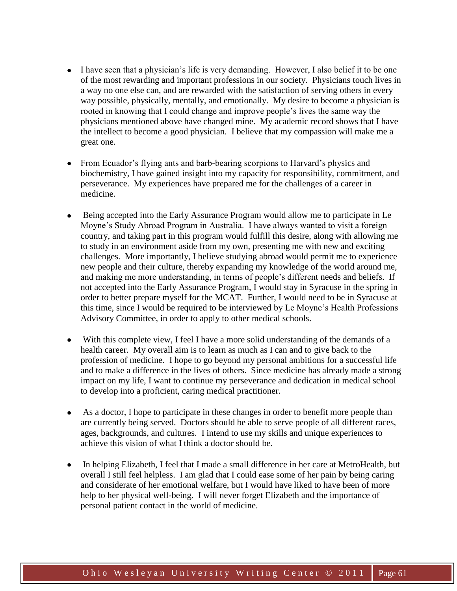- I have seen that a physician's life is very demanding. However, I also belief it to be one of the most rewarding and important professions in our society. Physicians touch lives in a way no one else can, and are rewarded with the satisfaction of serving others in every way possible, physically, mentally, and emotionally. My desire to become a physician is rooted in knowing that I could change and improve people"s lives the same way the physicians mentioned above have changed mine. My academic record shows that I have the intellect to become a good physician. I believe that my compassion will make me a great one.
- From Ecuador"s flying ants and barb-bearing scorpions to Harvard"s physics and biochemistry, I have gained insight into my capacity for responsibility, commitment, and perseverance. My experiences have prepared me for the challenges of a career in medicine.
- Being accepted into the Early Assurance Program would allow me to participate in Le Moyne's Study Abroad Program in Australia. I have always wanted to visit a foreign country, and taking part in this program would fulfill this desire, along with allowing me to study in an environment aside from my own, presenting me with new and exciting challenges. More importantly, I believe studying abroad would permit me to experience new people and their culture, thereby expanding my knowledge of the world around me, and making me more understanding, in terms of people"s different needs and beliefs. If not accepted into the Early Assurance Program, I would stay in Syracuse in the spring in order to better prepare myself for the MCAT. Further, I would need to be in Syracuse at this time, since I would be required to be interviewed by Le Moyne"s Health Professions Advisory Committee, in order to apply to other medical schools.
- With this complete view, I feel I have a more solid understanding of the demands of a health career. My overall aim is to learn as much as I can and to give back to the profession of medicine. I hope to go beyond my personal ambitions for a successful life and to make a difference in the lives of others. Since medicine has already made a strong impact on my life, I want to continue my perseverance and dedication in medical school to develop into a proficient, caring medical practitioner.
- As a doctor, I hope to participate in these changes in order to benefit more people than are currently being served. Doctors should be able to serve people of all different races, ages, backgrounds, and cultures. I intend to use my skills and unique experiences to achieve this vision of what I think a doctor should be.
- In helping Elizabeth, I feel that I made a small difference in her care at MetroHealth, but overall I still feel helpless. I am glad that I could ease some of her pain by being caring and considerate of her emotional welfare, but I would have liked to have been of more help to her physical well-being. I will never forget Elizabeth and the importance of personal patient contact in the world of medicine.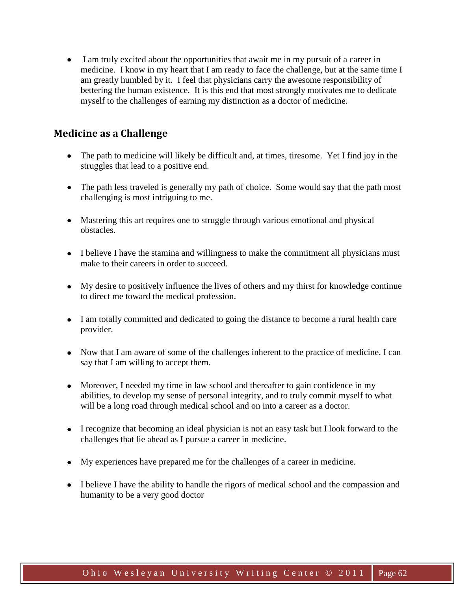I am truly excited about the opportunities that await me in my pursuit of a career in medicine. I know in my heart that I am ready to face the challenge, but at the same time I am greatly humbled by it. I feel that physicians carry the awesome responsibility of bettering the human existence. It is this end that most strongly motivates me to dedicate myself to the challenges of earning my distinction as a doctor of medicine.

### **Medicine as a Challenge**

- The path to medicine will likely be difficult and, at times, tiresome. Yet I find joy in the struggles that lead to a positive end.
- The path less traveled is generally my path of choice. Some would say that the path most challenging is most intriguing to me.
- Mastering this art requires one to struggle through various emotional and physical obstacles.
- I believe I have the stamina and willingness to make the commitment all physicians must make to their careers in order to succeed.
- My desire to positively influence the lives of others and my thirst for knowledge continue to direct me toward the medical profession.
- I am totally committed and dedicated to going the distance to become a rural health care provider.
- Now that I am aware of some of the challenges inherent to the practice of medicine, I can say that I am willing to accept them.
- Moreover, I needed my time in law school and thereafter to gain confidence in my abilities, to develop my sense of personal integrity, and to truly commit myself to what will be a long road through medical school and on into a career as a doctor.
- I recognize that becoming an ideal physician is not an easy task but I look forward to the challenges that lie ahead as I pursue a career in medicine.
- My experiences have prepared me for the challenges of a career in medicine.
- I believe I have the ability to handle the rigors of medical school and the compassion and humanity to be a very good doctor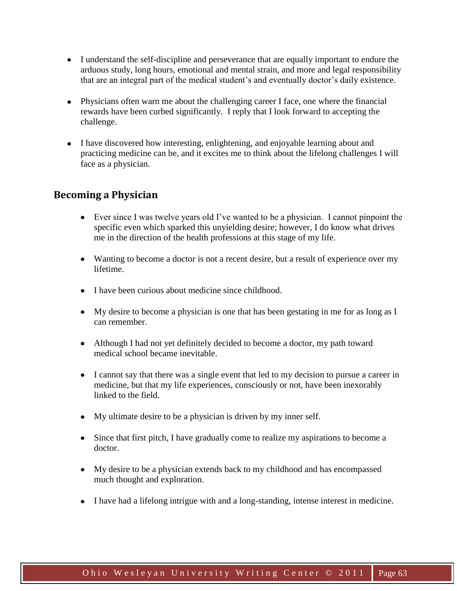- I understand the self-discipline and perseverance that are equally important to endure the arduous study, long hours, emotional and mental strain, and more and legal responsibility that are an integral part of the medical student's and eventually doctor's daily existence.
- Physicians often warn me about the challenging career I face, one where the financial rewards have been curbed significantly. I reply that I look forward to accepting the challenge.
- I have discovered how interesting, enlightening, and enjoyable learning about and practicing medicine can be, and it excites me to think about the lifelong challenges I will face as a physician.

# **Becoming a Physician**

- Ever since I was twelve years old I"ve wanted to be a physician. I cannot pinpoint the specific even which sparked this unyielding desire; however, I do know what drives me in the direction of the health professions at this stage of my life.
- Wanting to become a doctor is not a recent desire, but a result of experience over my lifetime.
- I have been curious about medicine since childhood.
- My desire to become a physician is one that has been gestating in me for as long as I can remember.
- Although I had not yet definitely decided to become a doctor, my path toward medical school became inevitable.
- I cannot say that there was a single event that led to my decision to pursue a career in medicine, but that my life experiences, consciously or not, have been inexorably linked to the field.
- My ultimate desire to be a physician is driven by my inner self.
- Since that first pitch, I have gradually come to realize my aspirations to become a doctor.
- My desire to be a physician extends back to my childhood and has encompassed much thought and exploration.
- I have had a lifelong intrigue with and a long-standing, intense interest in medicine.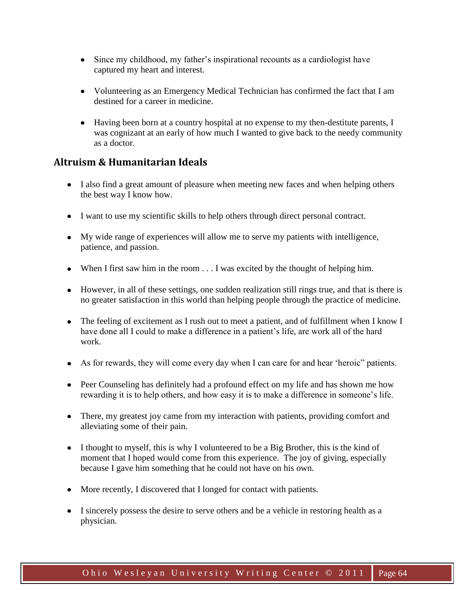- Since my childhood, my father's inspirational recounts as a cardiologist have captured my heart and interest.
- Volunteering as an Emergency Medical Technician has confirmed the fact that I am destined for a career in medicine.
- Having been born at a country hospital at no expense to my then-destitute parents, I was cognizant at an early of how much I wanted to give back to the needy community as a doctor.

# **Altruism & Humanitarian Ideals**

- I also find a great amount of pleasure when meeting new faces and when helping others the best way I know how.
- I want to use my scientific skills to help others through direct personal contract.
- My wide range of experiences will allow me to serve my patients with intelligence, patience, and passion.
- When I first saw him in the room . . . I was excited by the thought of helping him.
- However, in all of these settings, one sudden realization still rings true, and that is there is no greater satisfaction in this world than helping people through the practice of medicine.
- The feeling of excitement as I rush out to meet a patient, and of fulfillment when I know I have done all I could to make a difference in a patient's life, are work all of the hard work.
- As for rewards, they will come every day when I can care for and hear "heroic" patients.
- Peer Counseling has definitely had a profound effect on my life and has shown me how rewarding it is to help others, and how easy it is to make a difference in someone's life.
- There, my greatest joy came from my interaction with patients, providing comfort and alleviating some of their pain.
- I thought to myself, this is why I volunteered to be a Big Brother, this is the kind of moment that I hoped would come from this experience. The joy of giving, especially because I gave him something that he could not have on his own.
- More recently, I discovered that I longed for contact with patients.
- I sincerely possess the desire to serve others and be a vehicle in restoring health as a physician.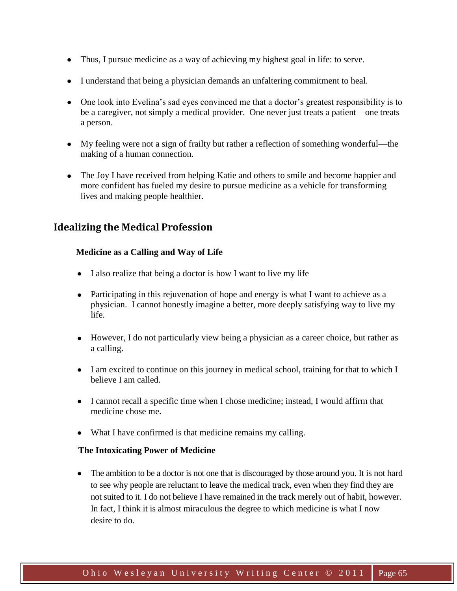- Thus, I pursue medicine as a way of achieving my highest goal in life: to serve.
- I understand that being a physician demands an unfaltering commitment to heal.
- One look into Evelina's sad eyes convinced me that a doctor's greatest responsibility is to be a caregiver, not simply a medical provider. One never just treats a patient—one treats a person.
- My feeling were not a sign of frailty but rather a reflection of something wonderful—the making of a human connection.
- The Joy I have received from helping Katie and others to smile and become happier and more confident has fueled my desire to pursue medicine as a vehicle for transforming lives and making people healthier.

# **Idealizing the Medical Profession**

### **Medicine as a Calling and Way of Life**

- I also realize that being a doctor is how I want to live my life
- Participating in this rejuvenation of hope and energy is what I want to achieve as a physician. I cannot honestly imagine a better, more deeply satisfying way to live my life.
- However, I do not particularly view being a physician as a career choice, but rather as a calling.
- I am excited to continue on this journey in medical school, training for that to which I believe I am called.
- I cannot recall a specific time when I chose medicine; instead, I would affirm that medicine chose me.
- What I have confirmed is that medicine remains my calling.

### **The Intoxicating Power of Medicine**

• The ambition to be a doctor is not one that is discouraged by those around you. It is not hard to see why people are reluctant to leave the medical track, even when they find they are not suited to it. I do not believe I have remained in the track merely out of habit, however. In fact, I think it is almost miraculous the degree to which medicine is what I now desire to do.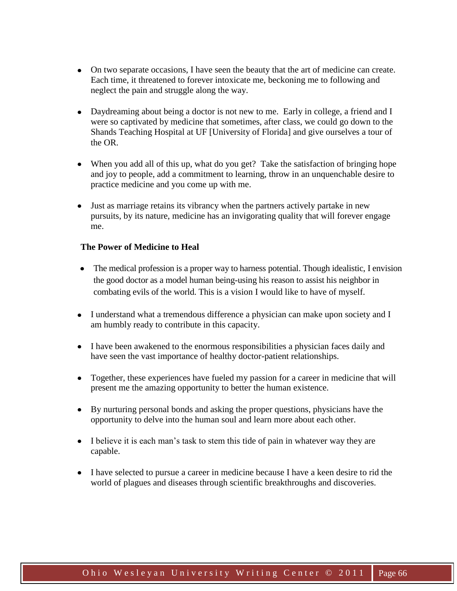- On two separate occasions, I have seen the beauty that the art of medicine can create. Each time, it threatened to forever intoxicate me, beckoning me to following and neglect the pain and struggle along the way.
- Daydreaming about being a doctor is not new to me. Early in college, a friend and I  $\bullet$ were so captivated by medicine that sometimes, after class, we could go down to the Shands Teaching Hospital at UF [University of Florida] and give ourselves a tour of the OR.
- When you add all of this up, what do you get? Take the satisfaction of bringing hope and joy to people, add a commitment to learning, throw in an unquenchable desire to practice medicine and you come up with me.
- Just as marriage retains its vibrancy when the partners actively partake in new pursuits, by its nature, medicine has an invigorating quality that will forever engage me.

### **The Power of Medicine to Heal**

- The medical profession is a proper way to harness potential. Though idealistic, I envision the good doctor as a model human being-using his reason to assist his neighbor in combating evils of the world. This is a vision I would like to have of myself.
- I understand what a tremendous difference a physician can make upon society and I  $\bullet$ am humbly ready to contribute in this capacity.
- I have been awakened to the enormous responsibilities a physician faces daily and have seen the vast importance of healthy doctor-patient relationships.
- Together, these experiences have fueled my passion for a career in medicine that will  $\bullet$ present me the amazing opportunity to better the human existence.
- By nurturing personal bonds and asking the proper questions, physicians have the opportunity to delve into the human soul and learn more about each other.
- I believe it is each man"s task to stem this tide of pain in whatever way they are capable.
- I have selected to pursue a career in medicine because I have a keen desire to rid the world of plagues and diseases through scientific breakthroughs and discoveries.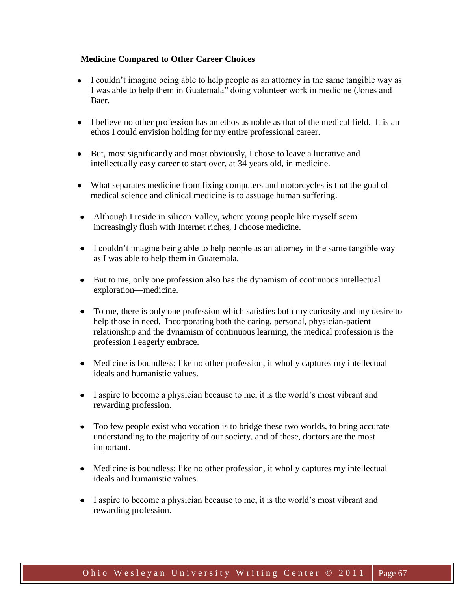### **Medicine Compared to Other Career Choices**

- I couldn"t imagine being able to help people as an attorney in the same tangible way as  $\bullet$ I was able to help them in Guatemala" doing volunteer work in medicine (Jones and Baer.
- I believe no other profession has an ethos as noble as that of the medical field. It is an ethos I could envision holding for my entire professional career.
- But, most significantly and most obviously, I chose to leave a lucrative and  $\bullet$ intellectually easy career to start over, at 34 years old, in medicine.
- What separates medicine from fixing computers and motorcycles is that the goal of medical science and clinical medicine is to assuage human suffering.
- Although I reside in silicon Valley, where young people like myself seem increasingly flush with Internet riches, I choose medicine.
- I couldn't imagine being able to help people as an attorney in the same tangible way as I was able to help them in Guatemala.
- But to me, only one profession also has the dynamism of continuous intellectual exploration—medicine.
- To me, there is only one profession which satisfies both my curiosity and my desire to help those in need. Incorporating both the caring, personal, physician-patient relationship and the dynamism of continuous learning, the medical profession is the profession I eagerly embrace.
- Medicine is boundless; like no other profession, it wholly captures my intellectual ideals and humanistic values.
- I aspire to become a physician because to me, it is the world's most vibrant and rewarding profession.
- Too few people exist who vocation is to bridge these two worlds, to bring accurate understanding to the majority of our society, and of these, doctors are the most important.
- Medicine is boundless; like no other profession, it wholly captures my intellectual ideals and humanistic values.
- I aspire to become a physician because to me, it is the world's most vibrant and rewarding profession.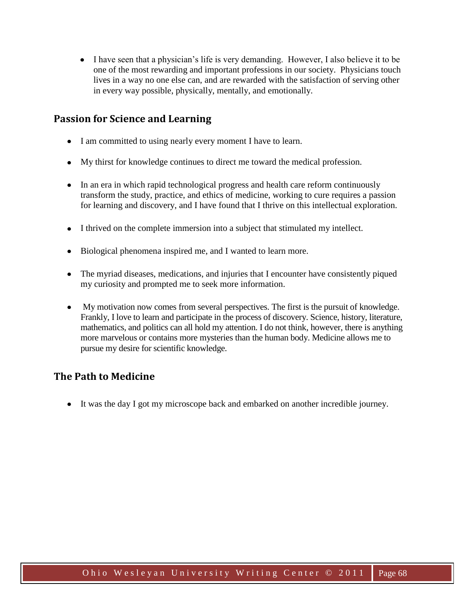• I have seen that a physician's life is very demanding. However, I also believe it to be one of the most rewarding and important professions in our society. Physicians touch lives in a way no one else can, and are rewarded with the satisfaction of serving other in every way possible, physically, mentally, and emotionally.

## **Passion for Science and Learning**

- I am committed to using nearly every moment I have to learn.
- My thirst for knowledge continues to direct me toward the medical profession.
- In an era in which rapid technological progress and health care reform continuously transform the study, practice, and ethics of medicine, working to cure requires a passion for learning and discovery, and I have found that I thrive on this intellectual exploration.
- I thrived on the complete immersion into a subject that stimulated my intellect.
- Biological phenomena inspired me, and I wanted to learn more.
- The myriad diseases, medications, and injuries that I encounter have consistently piqued my curiosity and prompted me to seek more information.
- My motivation now comes from several perspectives. The first is the pursuit of knowledge. Frankly, I love to learn and participate in the process of discovery. Science, history, literature, mathematics, and politics can all hold my attention. I do not think, however, there is anything more marvelous or contains more mysteries than the human body. Medicine allows me to pursue my desire for scientific knowledge.

# **The Path to Medicine**

It was the day I got my microscope back and embarked on another incredible journey.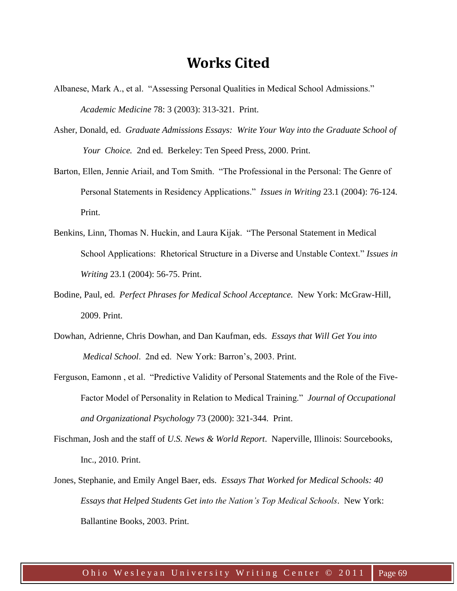# **Works Cited**

- Albanese, Mark A., et al. "Assessing Personal Qualities in Medical School Admissions." *Academic Medicine* 78: 3 (2003): 313-321. Print.
- Asher, Donald, ed. *Graduate Admissions Essays: Write Your Way into the Graduate School of Your Choice.* 2nd ed. Berkeley: Ten Speed Press, 2000. Print.
- Barton, Ellen, Jennie Ariail, and Tom Smith. "The Professional in the Personal: The Genre of Personal Statements in Residency Applications." *Issues in Writing* 23.1 (2004): 76-124. Print.
- Benkins, Linn, Thomas N. Huckin, and Laura Kijak. "The Personal Statement in Medical School Applications: Rhetorical Structure in a Diverse and Unstable Context." *Issues in Writing* 23.1 (2004): 56-75. Print.
- Bodine, Paul, ed. *Perfect Phrases for Medical School Acceptance.* New York: McGraw-Hill, 2009. Print.
- Dowhan, Adrienne, Chris Dowhan, and Dan Kaufman, eds. *Essays that Will Get You into Medical School*. 2nd ed. New York: Barron"s, 2003. Print.
- Ferguson, Eamonn , et al. "Predictive Validity of Personal Statements and the Role of the Five-Factor Model of Personality in Relation to Medical Training." *Journal of Occupational and Organizational Psychology* 73 (2000): 321-344. Print.
- Fischman, Josh and the staff of *U.S. News & World Report*. Naperville, Illinois: Sourcebooks, Inc., 2010. Print.
- Jones, Stephanie, and Emily Angel Baer, eds. *Essays That Worked for Medical Schools: 40 Essays that Helped Students Get into the Nation's Top Medical Schools*. New York: Ballantine Books, 2003. Print.